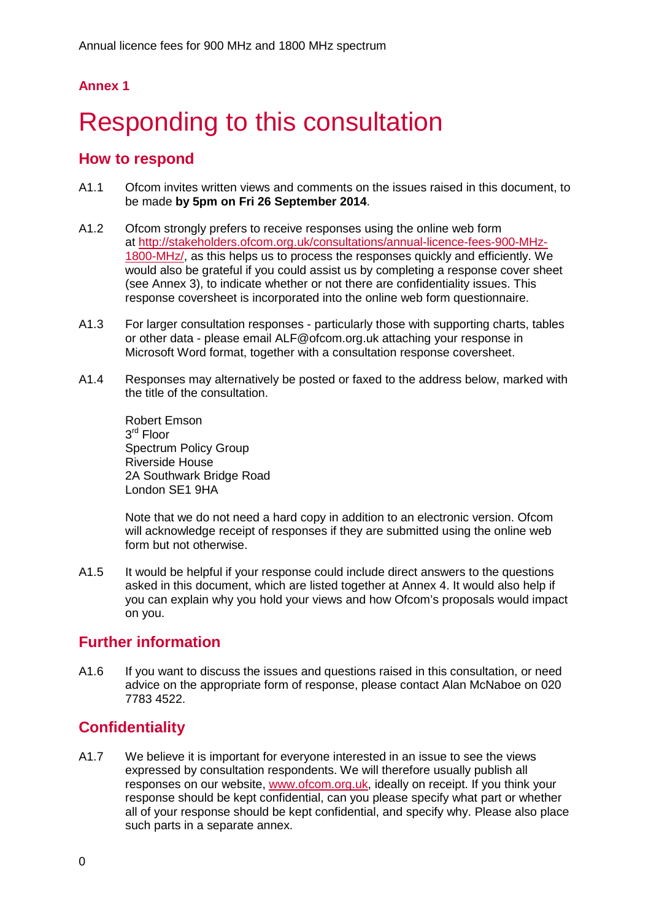# **Annex 1**

# Responding to this consultation

## **How to respond**

- A1.1 Ofcom invites written views and comments on the issues raised in this document, to be made **by 5pm on Fri 26 September 2014**.
- A1.2 Ofcom strongly prefers to receive responses using the online web form at [http://stakeholders.ofcom.org.uk/consultations/annual-licence-fees-900-MHz-](http://stakeholders.ofcom.org.uk/consultations/annual-licence-fees-900-MHz-1800-MHz/)[1800-MHz/,](http://stakeholders.ofcom.org.uk/consultations/annual-licence-fees-900-MHz-1800-MHz/) as this helps us to process the responses quickly and efficiently. We would also be grateful if you could assist us by completing a response cover sheet (see Annex 3), to indicate whether or not there are confidentiality issues. This response coversheet is incorporated into the online web form questionnaire.
- A1.3 For larger consultation responses particularly those with supporting charts, tables or other data - please email ALF@ofcom.org.uk attaching your response in Microsoft Word format, together with a consultation response coversheet.
- A1.4 Responses may alternatively be posted or faxed to the address below, marked with the title of the consultation.

Robert Emson  $3<sup>rd</sup>$  Floor Spectrum Policy Group Riverside House 2A Southwark Bridge Road London SE1 9HA

Note that we do not need a hard copy in addition to an electronic version. Ofcom will acknowledge receipt of responses if they are submitted using the online web form but not otherwise.

A1.5 It would be helpful if your response could include direct answers to the questions asked in this document, which are listed together at Annex 4. It would also help if you can explain why you hold your views and how Ofcom's proposals would impact on you.

# **Further information**

A1.6 If you want to discuss the issues and questions raised in this consultation, or need advice on the appropriate form of response, please contact Alan McNaboe on 020 7783 4522.

# **Confidentiality**

A1.7 We believe it is important for everyone interested in an issue to see the views expressed by consultation respondents. We will therefore usually publish all responses on our website, [www.ofcom.org.uk,](http://www.ofcom.org.uk/) ideally on receipt. If you think your response should be kept confidential, can you please specify what part or whether all of your response should be kept confidential, and specify why. Please also place such parts in a separate annex.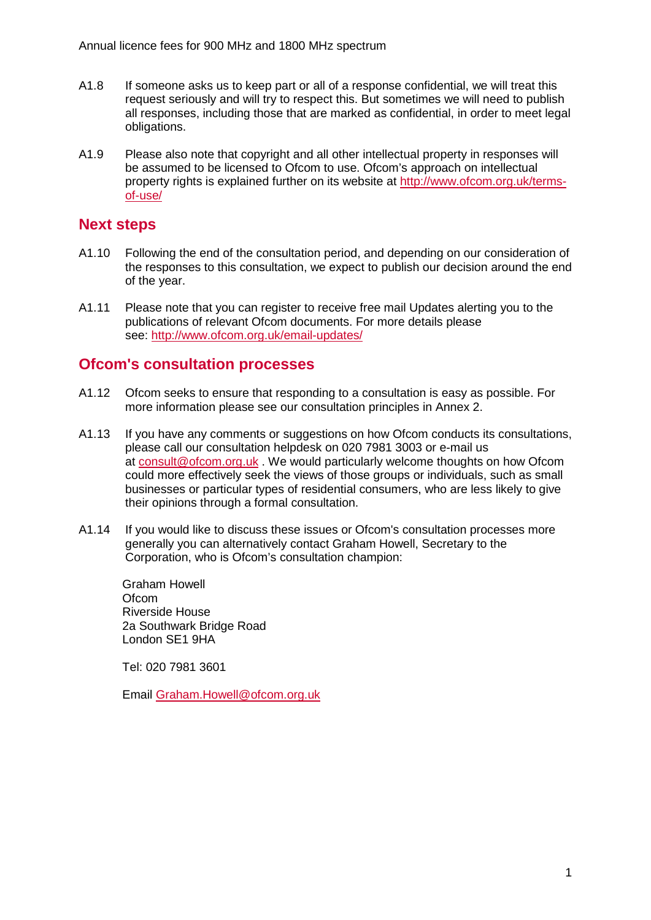- A1.8 If someone asks us to keep part or all of a response confidential, we will treat this request seriously and will try to respect this. But sometimes we will need to publish all responses, including those that are marked as confidential, in order to meet legal obligations.
- A1.9 Please also note that copyright and all other intellectual property in responses will be assumed to be licensed to Ofcom to use. Ofcom's approach on intellectual property rights is explained further on its website at [http://www.ofcom.org.uk/terms](http://www.ofcom.org.uk/terms-of-use/)[of-use/](http://www.ofcom.org.uk/terms-of-use/)

# **Next steps**

- A1.10 Following the end of the consultation period, and depending on our consideration of the responses to this consultation, we expect to publish our decision around the end of the year.
- A1.11 Please note that you can register to receive free mail Updates alerting you to the publications of relevant Ofcom documents. For more details please see:<http://www.ofcom.org.uk/email-updates/>

## **Ofcom's consultation processes**

- A1.12 Ofcom seeks to ensure that responding to a consultation is easy as possible. For more information please see our consultation principles in Annex 2.
- A1.13 If you have any comments or suggestions on how Ofcom conducts its consultations, please call our consultation helpdesk on 020 7981 3003 or e-mail us at [consult@ofcom.org.uk](mailto:consult@ofcom.org.uk) . We would particularly welcome thoughts on how Ofcom could more effectively seek the views of those groups or individuals, such as small businesses or particular types of residential consumers, who are less likely to give their opinions through a formal consultation.
- A1.14 If you would like to discuss these issues or Ofcom's consultation processes more generally you can alternatively contact Graham Howell, Secretary to the Corporation, who is Ofcom's consultation champion:

Graham Howell Ofcom Riverside House 2a Southwark Bridge Road London SE1 9HA

Tel: 020 7981 3601

Email [Graham.Howell@ofcom.org.uk](mailto:Graham.Howell@ofcom.org.uk)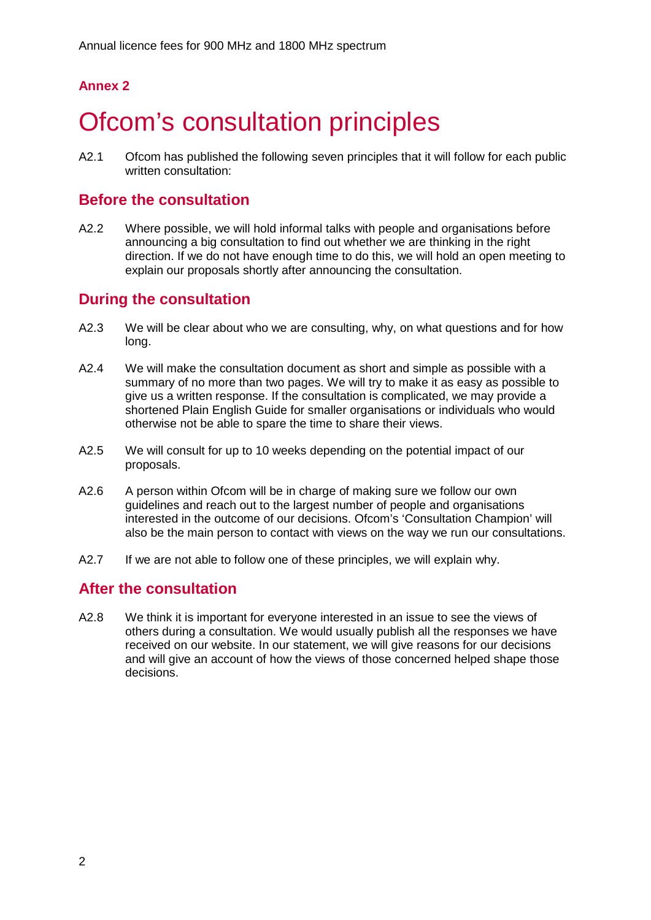# **Annex 2**

# **Ofcom's consultation principles**

A2.1 Ofcom has published the following seven principles that it will follow for each public written consultation:

## **Before the consultation**

A2.2 Where possible, we will hold informal talks with people and organisations before announcing a big consultation to find out whether we are thinking in the right direction. If we do not have enough time to do this, we will hold an open meeting to explain our proposals shortly after announcing the consultation.

# **During the consultation**

- A2.3 We will be clear about who we are consulting, why, on what questions and for how long.
- A2.4 We will make the consultation document as short and simple as possible with a summary of no more than two pages. We will try to make it as easy as possible to give us a written response. If the consultation is complicated, we may provide a shortened Plain English Guide for smaller organisations or individuals who would otherwise not be able to spare the time to share their views.
- A2.5 We will consult for up to 10 weeks depending on the potential impact of our proposals.
- A2.6 A person within Ofcom will be in charge of making sure we follow our own guidelines and reach out to the largest number of people and organisations interested in the outcome of our decisions. Ofcom's 'Consultation Champion' will also be the main person to contact with views on the way we run our consultations.
- A2.7 If we are not able to follow one of these principles, we will explain why.

# **After the consultation**

A2.8 We think it is important for everyone interested in an issue to see the views of others during a consultation. We would usually publish all the responses we have received on our website. In our statement, we will give reasons for our decisions and will give an account of how the views of those concerned helped shape those decisions.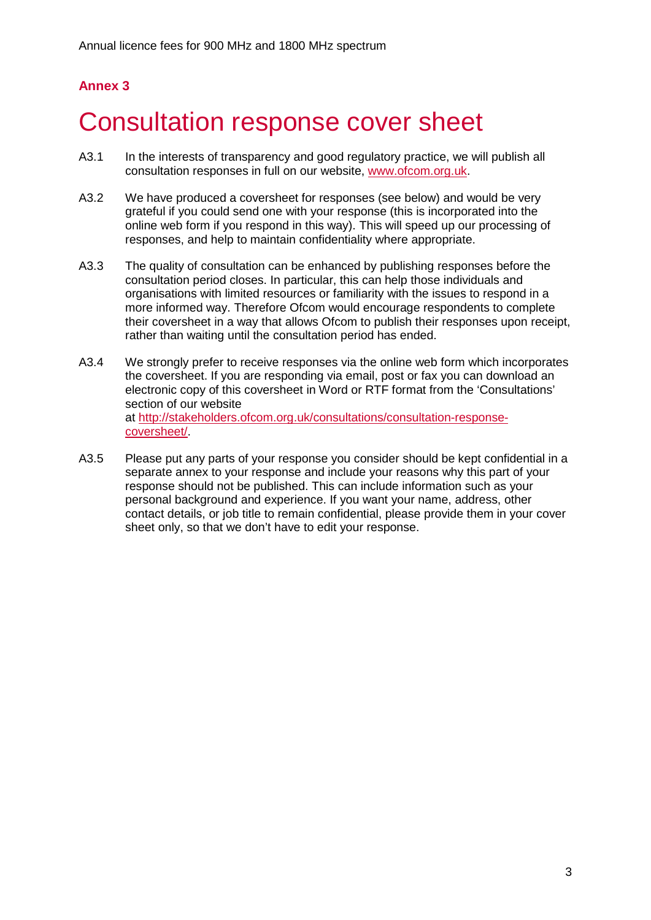# **Annex 3**

# 3 Consultation response cover sheet

- A3.1 In the interests of transparency and good regulatory practice, we will publish all consultation responses in full on our website, [www.ofcom.org.uk.](http://www.ofcom.org.uk/)
- A3.2 We have produced a coversheet for responses (see below) and would be very grateful if you could send one with your response (this is incorporated into the online web form if you respond in this way). This will speed up our processing of responses, and help to maintain confidentiality where appropriate.
- A3.3 The quality of consultation can be enhanced by publishing responses before the consultation period closes. In particular, this can help those individuals and organisations with limited resources or familiarity with the issues to respond in a more informed way. Therefore Ofcom would encourage respondents to complete their coversheet in a way that allows Ofcom to publish their responses upon receipt, rather than waiting until the consultation period has ended.
- A3.4 We strongly prefer to receive responses via the online web form which incorporates the coversheet. If you are responding via email, post or fax you can download an electronic copy of this coversheet in Word or RTF format from the 'Consultations' section of our website at [http://stakeholders.ofcom.org.uk/consultations/consultation-response](http://stakeholders.ofcom.org.uk/consultations/consultation-response-coversheet/)[coversheet/.](http://stakeholders.ofcom.org.uk/consultations/consultation-response-coversheet/)
- A3.5 Please put any parts of your response you consider should be kept confidential in a separate annex to your response and include your reasons why this part of your response should not be published. This can include information such as your personal background and experience. If you want your name, address, other contact details, or job title to remain confidential, please provide them in your cover sheet only, so that we don't have to edit your response.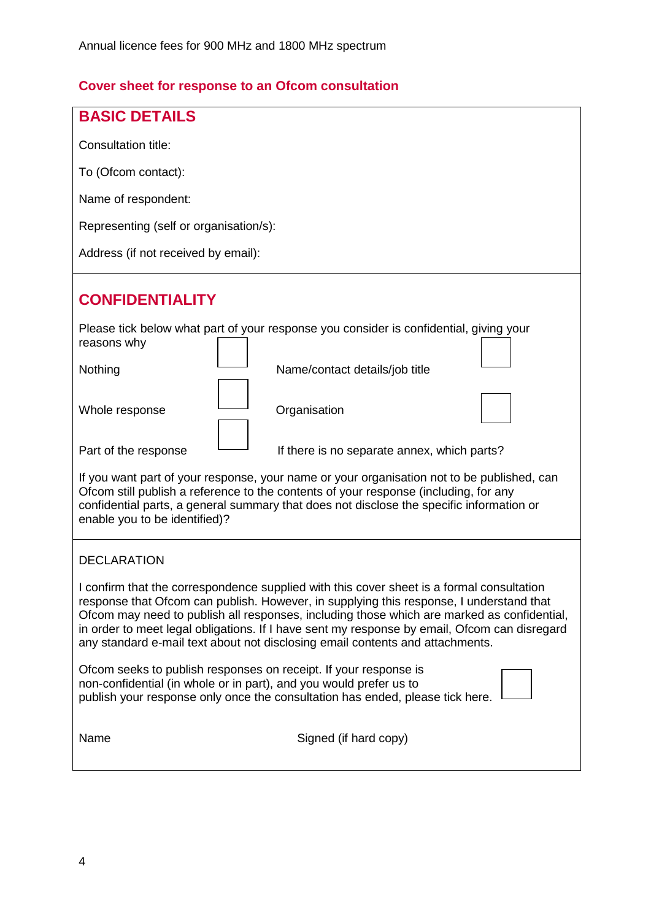# **Cover sheet for response to an Ofcom consultation**

| <b>BASIC DETAILS</b>                                                                                                                                                                                                                                                                                                                                                                                                                                                |  |  |  |  |  |  |  |
|---------------------------------------------------------------------------------------------------------------------------------------------------------------------------------------------------------------------------------------------------------------------------------------------------------------------------------------------------------------------------------------------------------------------------------------------------------------------|--|--|--|--|--|--|--|
| <b>Consultation title:</b>                                                                                                                                                                                                                                                                                                                                                                                                                                          |  |  |  |  |  |  |  |
| To (Ofcom contact):                                                                                                                                                                                                                                                                                                                                                                                                                                                 |  |  |  |  |  |  |  |
| Name of respondent:                                                                                                                                                                                                                                                                                                                                                                                                                                                 |  |  |  |  |  |  |  |
| Representing (self or organisation/s):                                                                                                                                                                                                                                                                                                                                                                                                                              |  |  |  |  |  |  |  |
| Address (if not received by email):                                                                                                                                                                                                                                                                                                                                                                                                                                 |  |  |  |  |  |  |  |
| <b>CONFIDENTIALITY</b>                                                                                                                                                                                                                                                                                                                                                                                                                                              |  |  |  |  |  |  |  |
| Please tick below what part of your response you consider is confidential, giving your<br>reasons why                                                                                                                                                                                                                                                                                                                                                               |  |  |  |  |  |  |  |
| Nothing<br>Name/contact details/job title                                                                                                                                                                                                                                                                                                                                                                                                                           |  |  |  |  |  |  |  |
| Organisation<br>Whole response                                                                                                                                                                                                                                                                                                                                                                                                                                      |  |  |  |  |  |  |  |
| Part of the response<br>If there is no separate annex, which parts?                                                                                                                                                                                                                                                                                                                                                                                                 |  |  |  |  |  |  |  |
| If you want part of your response, your name or your organisation not to be published, can<br>Ofcom still publish a reference to the contents of your response (including, for any<br>confidential parts, a general summary that does not disclose the specific information or<br>enable you to be identified)?                                                                                                                                                     |  |  |  |  |  |  |  |
| <b>DECLARATION</b>                                                                                                                                                                                                                                                                                                                                                                                                                                                  |  |  |  |  |  |  |  |
| I confirm that the correspondence supplied with this cover sheet is a formal consultation<br>response that Ofcom can publish. However, in supplying this response, I understand that<br>Ofcom may need to publish all responses, including those which are marked as confidential,<br>in order to meet legal obligations. If I have sent my response by email, Ofcom can disregard<br>any standard e-mail text about not disclosing email contents and attachments. |  |  |  |  |  |  |  |
| Ofcom seeks to publish responses on receipt. If your response is<br>non-confidential (in whole or in part), and you would prefer us to<br>publish your response only once the consultation has ended, please tick here.                                                                                                                                                                                                                                             |  |  |  |  |  |  |  |
| Name<br>Signed (if hard copy)                                                                                                                                                                                                                                                                                                                                                                                                                                       |  |  |  |  |  |  |  |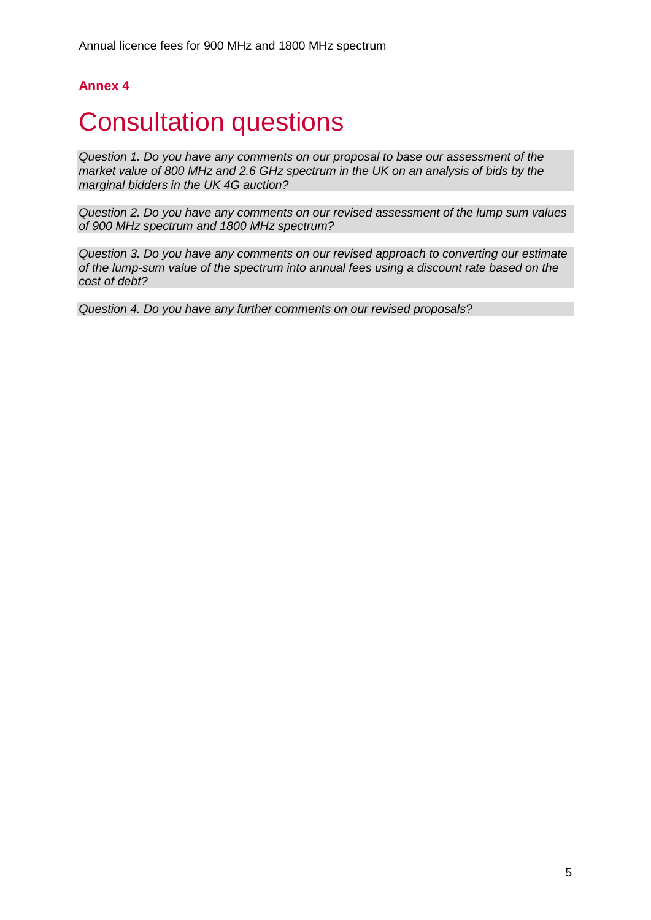# **Annex 4**

# **Consultation questions**

*Question 1. Do you have any comments on our proposal to base our assessment of the market value of 800 MHz and 2.6 GHz spectrum in the UK on an analysis of bids by the marginal bidders in the UK 4G auction?*

*Question 2. Do you have any comments on our revised assessment of the lump sum values of 900 MHz spectrum and 1800 MHz spectrum?*

*Question 3. Do you have any comments on our revised approach to converting our estimate of the lump-sum value of the spectrum into annual fees using a discount rate based on the cost of debt?* 

*Question 4. Do you have any further comments on our revised proposals?*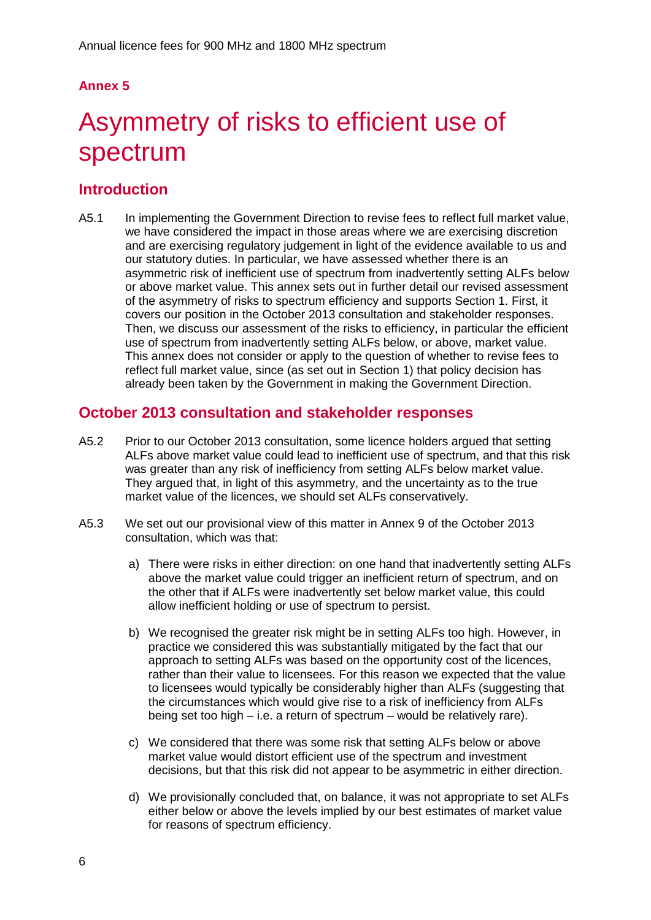# **Annex 5**

# 5 Asymmetry of risks to efficient use of spectrum

# **Introduction**

A5.1 In implementing the Government Direction to revise fees to reflect full market value, we have considered the impact in those areas where we are exercising discretion and are exercising regulatory judgement in light of the evidence available to us and our statutory duties. In particular, we have assessed whether there is an asymmetric risk of inefficient use of spectrum from inadvertently setting ALFs below or above market value. This annex sets out in further detail our revised assessment of the asymmetry of risks to spectrum efficiency and supports Section 1. First, it covers our position in the October 2013 consultation and stakeholder responses. Then, we discuss our assessment of the risks to efficiency, in particular the efficient use of spectrum from inadvertently setting ALFs below, or above, market value. This annex does not consider or apply to the question of whether to revise fees to reflect full market value, since (as set out in Section 1) that policy decision has already been taken by the Government in making the Government Direction.

# **October 2013 consultation and stakeholder responses**

- A5.2 Prior to our October 2013 consultation, some licence holders argued that setting ALFs above market value could lead to inefficient use of spectrum, and that this risk was greater than any risk of inefficiency from setting ALFs below market value. They argued that, in light of this asymmetry, and the uncertainty as to the true market value of the licences, we should set ALFs conservatively.
- A5.3 We set out our provisional view of this matter in Annex 9 of the October 2013 consultation, which was that:
	- a) There were risks in either direction: on one hand that inadvertently setting ALFs above the market value could trigger an inefficient return of spectrum, and on the other that if ALFs were inadvertently set below market value, this could allow inefficient holding or use of spectrum to persist.
	- b) We recognised the greater risk might be in setting ALFs too high. However, in practice we considered this was substantially mitigated by the fact that our approach to setting ALFs was based on the opportunity cost of the licences, rather than their value to licensees. For this reason we expected that the value to licensees would typically be considerably higher than ALFs (suggesting that the circumstances which would give rise to a risk of inefficiency from ALFs being set too high – i.e. a return of spectrum – would be relatively rare).
	- c) We considered that there was some risk that setting ALFs below or above market value would distort efficient use of the spectrum and investment decisions, but that this risk did not appear to be asymmetric in either direction.
	- d) We provisionally concluded that, on balance, it was not appropriate to set ALFs either below or above the levels implied by our best estimates of market value for reasons of spectrum efficiency.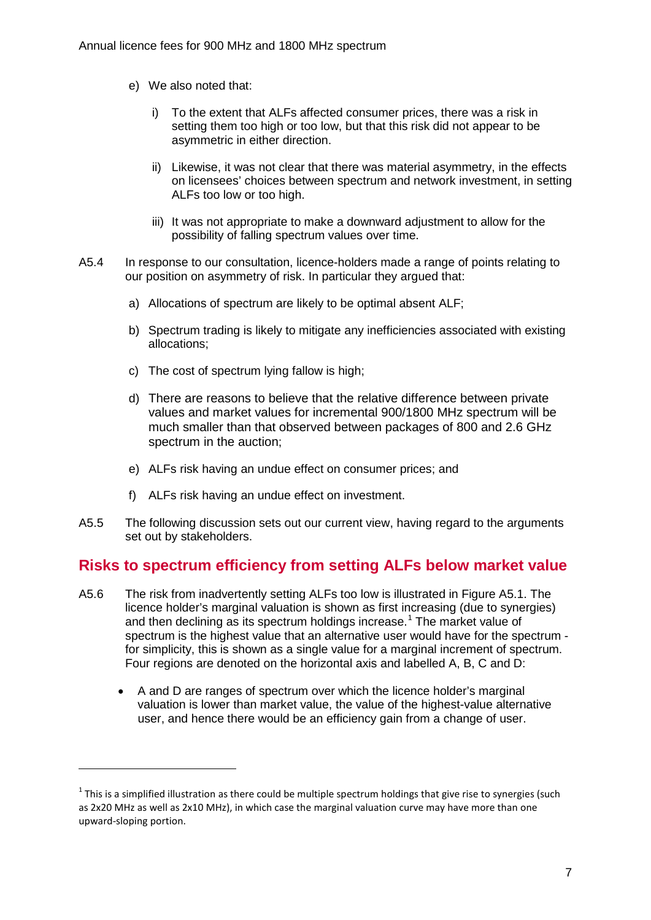- e) We also noted that:
	- i) To the extent that ALFs affected consumer prices, there was a risk in setting them too high or too low, but that this risk did not appear to be asymmetric in either direction.
	- ii) Likewise, it was not clear that there was material asymmetry, in the effects on licensees' choices between spectrum and network investment, in setting ALFs too low or too high.
	- iii) It was not appropriate to make a downward adjustment to allow for the possibility of falling spectrum values over time.
- A5.4 In response to our consultation, licence-holders made a range of points relating to our position on asymmetry of risk. In particular they argued that:
	- a) Allocations of spectrum are likely to be optimal absent ALF;
	- b) Spectrum trading is likely to mitigate any inefficiencies associated with existing allocations;
	- c) The cost of spectrum lying fallow is high;
	- d) There are reasons to believe that the relative difference between private values and market values for incremental 900/1800 MHz spectrum will be much smaller than that observed between packages of 800 and 2.6 GHz spectrum in the auction;
	- e) ALFs risk having an undue effect on consumer prices; and
	- f) ALFs risk having an undue effect on investment.

-

A5.5 The following discussion sets out our current view, having regard to the arguments set out by stakeholders.

# **Risks to spectrum efficiency from setting ALFs below market value**

- A5.6 The risk from inadvertently setting ALFs too low is illustrated in Figure A5.1. The licence holder's marginal valuation is shown as first increasing (due to synergies) and then declining as its spectrum holdings increase.<sup>[1](#page-7-0)</sup> The market value of spectrum is the highest value that an alternative user would have for the spectrum for simplicity, this is shown as a single value for a marginal increment of spectrum. Four regions are denoted on the horizontal axis and labelled A, B, C and D:
	- A and D are ranges of spectrum over which the licence holder's marginal valuation is lower than market value, the value of the highest-value alternative user, and hence there would be an efficiency gain from a change of user.

<span id="page-7-0"></span> $1$  This is a simplified illustration as there could be multiple spectrum holdings that give rise to synergies (such as 2x20 MHz as well as 2x10 MHz), in which case the marginal valuation curve may have more than one upward-sloping portion.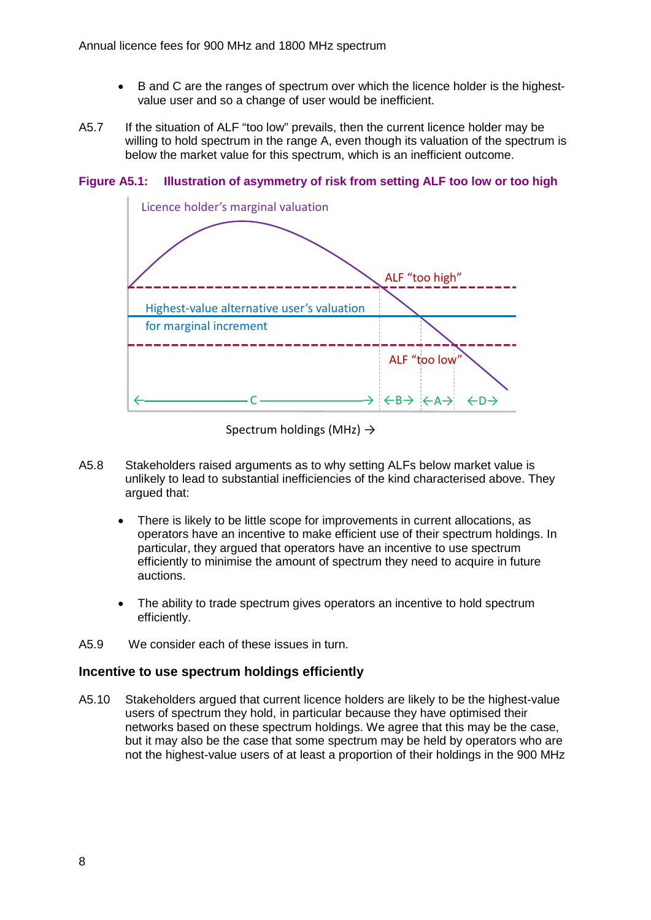- B and C are the ranges of spectrum over which the licence holder is the highestvalue user and so a change of user would be inefficient.
- A5.7 If the situation of ALF "too low" prevails, then the current licence holder may be willing to hold spectrum in the range A, even though its valuation of the spectrum is below the market value for this spectrum, which is an inefficient outcome.



**Figure A5.1: Illustration of asymmetry of risk from setting ALF too low or too high**

Spectrum holdings (MHz)  $\rightarrow$ 

- A5.8 Stakeholders raised arguments as to why setting ALFs below market value is unlikely to lead to substantial inefficiencies of the kind characterised above. They argued that:
	- There is likely to be little scope for improvements in current allocations, as operators have an incentive to make efficient use of their spectrum holdings. In particular, they argued that operators have an incentive to use spectrum efficiently to minimise the amount of spectrum they need to acquire in future auctions.
	- The ability to trade spectrum gives operators an incentive to hold spectrum efficiently.
- A5.9 We consider each of these issues in turn.

## **Incentive to use spectrum holdings efficiently**

A5.10 Stakeholders argued that current licence holders are likely to be the highest-value users of spectrum they hold, in particular because they have optimised their networks based on these spectrum holdings. We agree that this may be the case, but it may also be the case that some spectrum may be held by operators who are not the highest-value users of at least a proportion of their holdings in the 900 MHz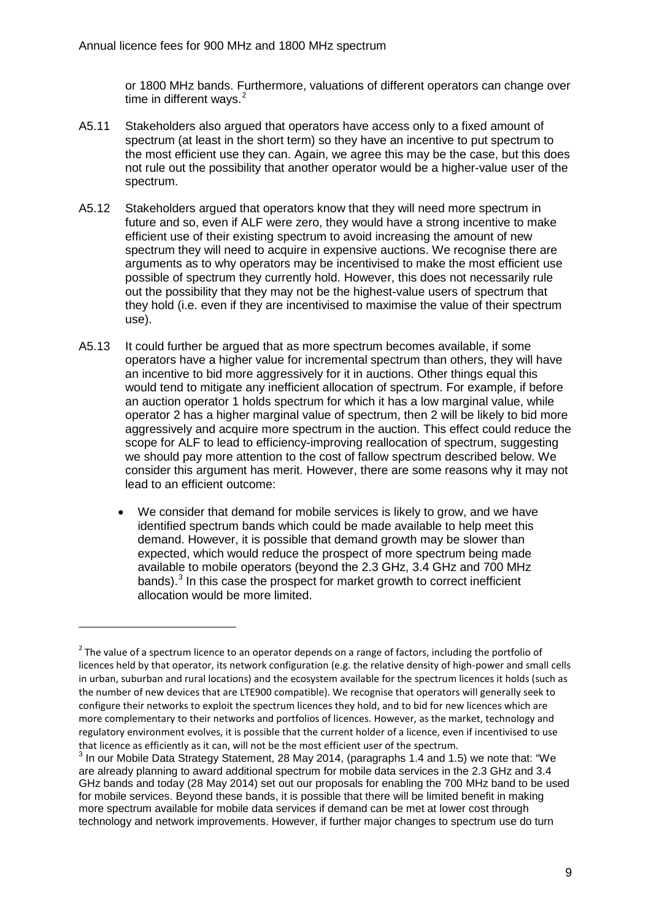or 1800 MHz bands. Furthermore, valuations of different operators can change over time in different ways. $2$ 

- A5.11 Stakeholders also argued that operators have access only to a fixed amount of spectrum (at least in the short term) so they have an incentive to put spectrum to the most efficient use they can. Again, we agree this may be the case, but this does not rule out the possibility that another operator would be a higher-value user of the spectrum.
- A5.12 Stakeholders argued that operators know that they will need more spectrum in future and so, even if ALF were zero, they would have a strong incentive to make efficient use of their existing spectrum to avoid increasing the amount of new spectrum they will need to acquire in expensive auctions. We recognise there are arguments as to why operators may be incentivised to make the most efficient use possible of spectrum they currently hold. However, this does not necessarily rule out the possibility that they may not be the highest-value users of spectrum that they hold (i.e. even if they are incentivised to maximise the value of their spectrum use).
- A5.13 It could further be argued that as more spectrum becomes available, if some operators have a higher value for incremental spectrum than others, they will have an incentive to bid more aggressively for it in auctions. Other things equal this would tend to mitigate any inefficient allocation of spectrum. For example, if before an auction operator 1 holds spectrum for which it has a low marginal value, while operator 2 has a higher marginal value of spectrum, then 2 will be likely to bid more aggressively and acquire more spectrum in the auction. This effect could reduce the scope for ALF to lead to efficiency-improving reallocation of spectrum, suggesting we should pay more attention to the cost of fallow spectrum described below. We consider this argument has merit. However, there are some reasons why it may not lead to an efficient outcome:
	- We consider that demand for mobile services is likely to grow, and we have identified spectrum bands which could be made available to help meet this demand. However, it is possible that demand growth may be slower than expected, which would reduce the prospect of more spectrum being made available to mobile operators (beyond the 2.3 GHz, 3.4 GHz and 700 MHz bands). $3$  In this case the prospect for market growth to correct inefficient allocation would be more limited.

<span id="page-9-0"></span> $2$  The value of a spectrum licence to an operator depends on a range of factors, including the portfolio of licences held by that operator, its network configuration (e.g. the relative density of high-power and small cells in urban, suburban and rural locations) and the ecosystem available for the spectrum licences it holds (such as the number of new devices that are LTE900 compatible). We recognise that operators will generally seek to configure their networks to exploit the spectrum licences they hold, and to bid for new licences which are more complementary to their networks and portfolios of licences. However, as the market, technology and regulatory environment evolves, it is possible that the current holder of a licence, even if incentivised to use that licence as efficiently as it can, will not be the most efficient user of the spectrum.

<span id="page-9-1"></span> $3$  In our Mobile Data Strategy Statement, 28 May 2014, (paragraphs 1.4 and 1.5) we note that: "We are already planning to award additional spectrum for mobile data services in the 2.3 GHz and 3.4 GHz bands and today (28 May 2014) set out our proposals for enabling the 700 MHz band to be used for mobile services. Beyond these bands, it is possible that there will be limited benefit in making more spectrum available for mobile data services if demand can be met at lower cost through technology and network improvements. However, if further major changes to spectrum use do turn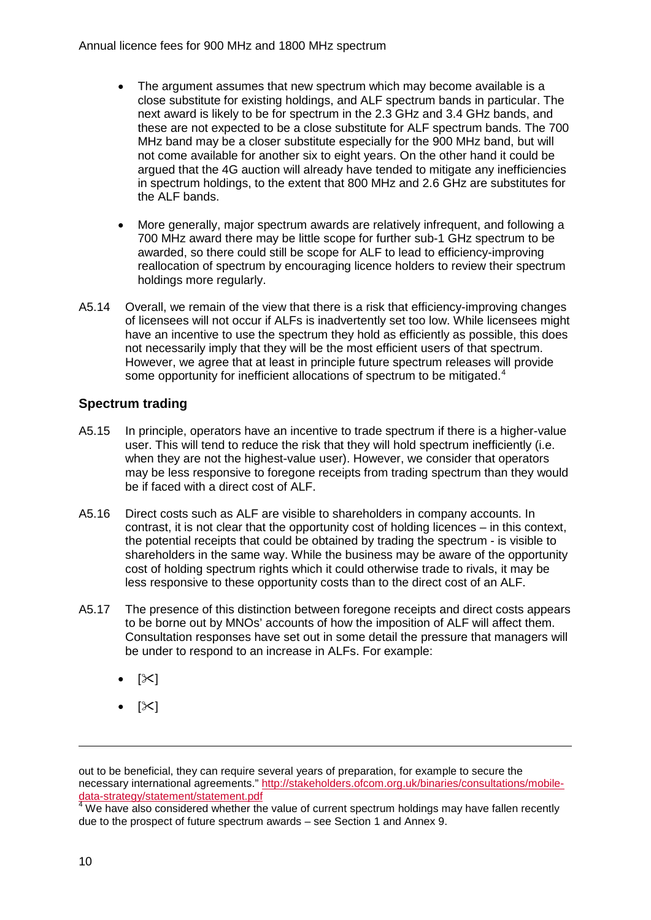- The argument assumes that new spectrum which may become available is a close substitute for existing holdings, and ALF spectrum bands in particular. The next award is likely to be for spectrum in the 2.3 GHz and 3.4 GHz bands, and these are not expected to be a close substitute for ALF spectrum bands. The 700 MHz band may be a closer substitute especially for the 900 MHz band, but will not come available for another six to eight years. On the other hand it could be argued that the 4G auction will already have tended to mitigate any inefficiencies in spectrum holdings, to the extent that 800 MHz and 2.6 GHz are substitutes for the ALF bands.
- More generally, major spectrum awards are relatively infrequent, and following a 700 MHz award there may be little scope for further sub-1 GHz spectrum to be awarded, so there could still be scope for ALF to lead to efficiency-improving reallocation of spectrum by encouraging licence holders to review their spectrum holdings more regularly.
- A5.14 Overall, we remain of the view that there is a risk that efficiency-improving changes of licensees will not occur if ALFs is inadvertently set too low. While licensees might have an incentive to use the spectrum they hold as efficiently as possible, this does not necessarily imply that they will be the most efficient users of that spectrum. However, we agree that at least in principle future spectrum releases will provide some opportunity for inefficient allocations of spectrum to be mitigated.<sup>[4](#page-10-0)</sup>

## **Spectrum trading**

- A5.15 In principle, operators have an incentive to trade spectrum if there is a higher-value user. This will tend to reduce the risk that they will hold spectrum inefficiently (i.e. when they are not the highest-value user). However, we consider that operators may be less responsive to foregone receipts from trading spectrum than they would be if faced with a direct cost of ALF.
- A5.16 Direct costs such as ALF are visible to shareholders in company accounts. In contrast, it is not clear that the opportunity cost of holding licences – in this context, the potential receipts that could be obtained by trading the spectrum - is visible to shareholders in the same way. While the business may be aware of the opportunity cost of holding spectrum rights which it could otherwise trade to rivals, it may be less responsive to these opportunity costs than to the direct cost of an ALF.
- A5.17 The presence of this distinction between foregone receipts and direct costs appears to be borne out by MNOs' accounts of how the imposition of ALF will affect them. Consultation responses have set out in some detail the pressure that managers will be under to respond to an increase in ALFs. For example:
	- $|\mathsf{K}|$
	- $[\mathbb{X}]$

out to be beneficial, they can require several years of preparation, for example to secure the necessary international agreements." http://stakeholders.ofcom.org.uk/binaries/consultations/mobile-<br>data-strategy/statement/statement.pdf

<span id="page-10-0"></span><sup>&</sup>lt;sup>4</sup> We have also considered whether the value of current spectrum holdings may have fallen recently due to the prospect of future spectrum awards – see Section 1 and Annex 9.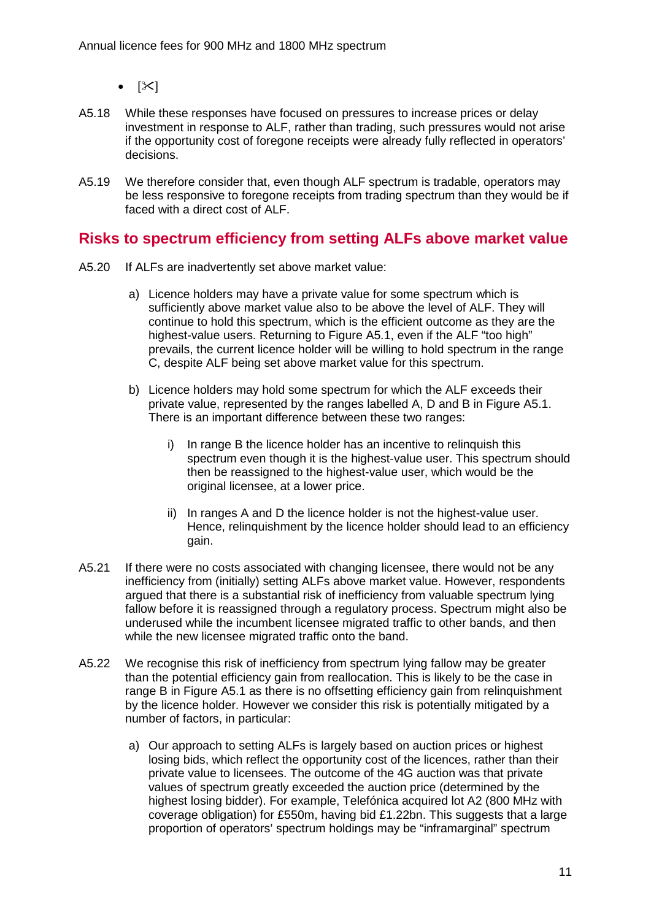- $[\mathbb{X}]$
- A5.18 While these responses have focused on pressures to increase prices or delay investment in response to ALF, rather than trading, such pressures would not arise if the opportunity cost of foregone receipts were already fully reflected in operators' decisions.
- A5.19 We therefore consider that, even though ALF spectrum is tradable, operators may be less responsive to foregone receipts from trading spectrum than they would be if faced with a direct cost of ALF.

## **Risks to spectrum efficiency from setting ALFs above market value**

- A5.20 If ALFs are inadvertently set above market value:
	- a) Licence holders may have a private value for some spectrum which is sufficiently above market value also to be above the level of ALF. They will continue to hold this spectrum, which is the efficient outcome as they are the highest-value users. Returning to Figure A5.1, even if the ALF "too high" prevails, the current licence holder will be willing to hold spectrum in the range C, despite ALF being set above market value for this spectrum.
	- b) Licence holders may hold some spectrum for which the ALF exceeds their private value, represented by the ranges labelled A, D and B in Figure A5.1. There is an important difference between these two ranges:
		- i) In range B the licence holder has an incentive to relinquish this spectrum even though it is the highest-value user. This spectrum should then be reassigned to the highest-value user, which would be the original licensee, at a lower price.
		- ii) In ranges A and D the licence holder is not the highest-value user. Hence, relinquishment by the licence holder should lead to an efficiency gain.
- A5.21 If there were no costs associated with changing licensee, there would not be any inefficiency from (initially) setting ALFs above market value. However, respondents argued that there is a substantial risk of inefficiency from valuable spectrum lying fallow before it is reassigned through a regulatory process. Spectrum might also be underused while the incumbent licensee migrated traffic to other bands, and then while the new licensee migrated traffic onto the band.
- A5.22 We recognise this risk of inefficiency from spectrum lying fallow may be greater than the potential efficiency gain from reallocation. This is likely to be the case in range B in Figure A5.1 as there is no offsetting efficiency gain from relinquishment by the licence holder. However we consider this risk is potentially mitigated by a number of factors, in particular:
	- a) Our approach to setting ALFs is largely based on auction prices or highest losing bids, which reflect the opportunity cost of the licences, rather than their private value to licensees. The outcome of the 4G auction was that private values of spectrum greatly exceeded the auction price (determined by the highest losing bidder). For example, Telefónica acquired lot A2 (800 MHz with coverage obligation) for £550m, having bid £1.22bn. This suggests that a large proportion of operators' spectrum holdings may be "inframarginal" spectrum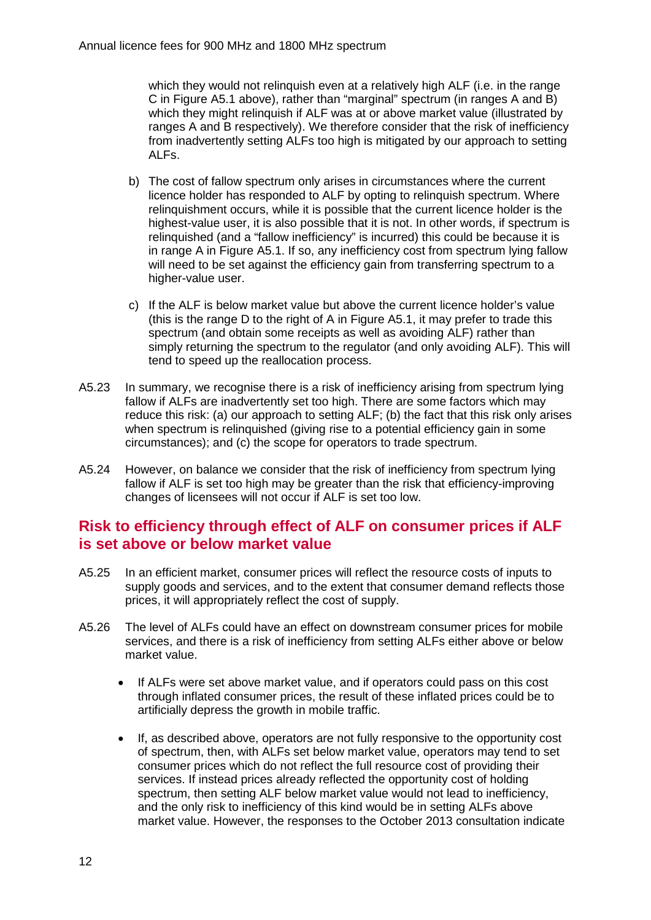which they would not relinguish even at a relatively high ALF (i.e. in the range C in Figure A5.1 above), rather than "marginal" spectrum (in ranges A and B) which they might relinquish if ALF was at or above market value (illustrated by ranges A and B respectively). We therefore consider that the risk of inefficiency from inadvertently setting ALFs too high is mitigated by our approach to setting ALFs.

- b) The cost of fallow spectrum only arises in circumstances where the current licence holder has responded to ALF by opting to relinquish spectrum. Where relinquishment occurs, while it is possible that the current licence holder is the highest-value user, it is also possible that it is not. In other words, if spectrum is relinquished (and a "fallow inefficiency" is incurred) this could be because it is in range A in Figure A5.1. If so, any inefficiency cost from spectrum lying fallow will need to be set against the efficiency gain from transferring spectrum to a higher-value user.
- c) If the ALF is below market value but above the current licence holder's value (this is the range  $D$  to the right of A in Figure A5.1, it may prefer to trade this spectrum (and obtain some receipts as well as avoiding ALF) rather than simply returning the spectrum to the regulator (and only avoiding ALF). This will tend to speed up the reallocation process.
- A5.23 In summary, we recognise there is a risk of inefficiency arising from spectrum lying fallow if ALFs are inadvertently set too high. There are some factors which may reduce this risk: (a) our approach to setting ALF; (b) the fact that this risk only arises when spectrum is relinquished (giving rise to a potential efficiency gain in some circumstances); and (c) the scope for operators to trade spectrum.
- A5.24 However, on balance we consider that the risk of inefficiency from spectrum lying fallow if ALF is set too high may be greater than the risk that efficiency-improving changes of licensees will not occur if ALF is set too low.

# **Risk to efficiency through effect of ALF on consumer prices if ALF is set above or below market value**

- A5.25 In an efficient market, consumer prices will reflect the resource costs of inputs to supply goods and services, and to the extent that consumer demand reflects those prices, it will appropriately reflect the cost of supply.
- A5.26 The level of ALFs could have an effect on downstream consumer prices for mobile services, and there is a risk of inefficiency from setting ALFs either above or below market value.
	- If ALFs were set above market value, and if operators could pass on this cost through inflated consumer prices, the result of these inflated prices could be to artificially depress the growth in mobile traffic.
	- If, as described above, operators are not fully responsive to the opportunity cost of spectrum, then, with ALFs set below market value, operators may tend to set consumer prices which do not reflect the full resource cost of providing their services. If instead prices already reflected the opportunity cost of holding spectrum, then setting ALF below market value would not lead to inefficiency, and the only risk to inefficiency of this kind would be in setting ALFs above market value. However, the responses to the October 2013 consultation indicate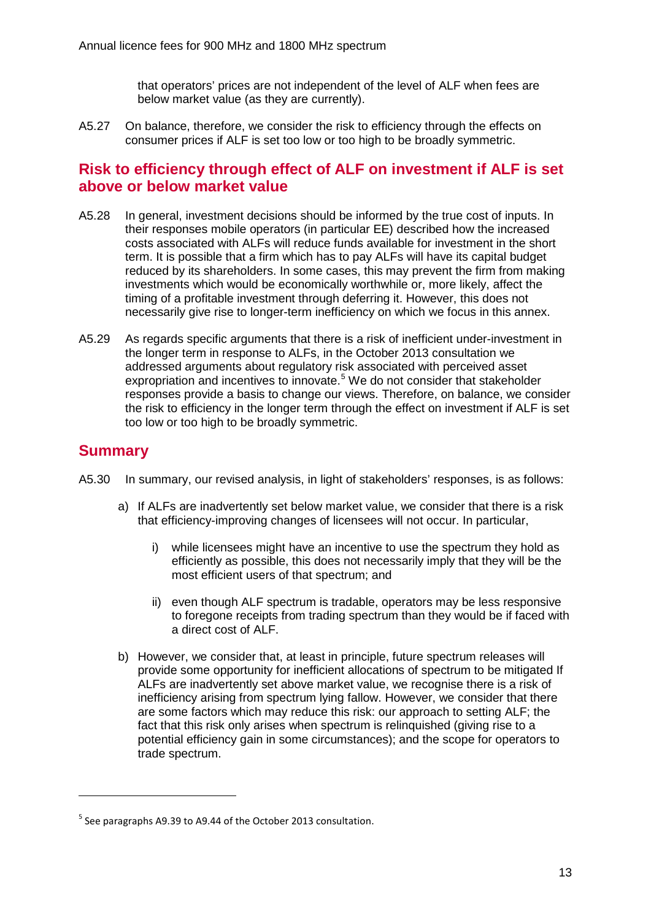that operators' prices are not independent of the level of ALF when fees are below market value (as they are currently).

A5.27 On balance, therefore, we consider the risk to efficiency through the effects on consumer prices if ALF is set too low or too high to be broadly symmetric.

## **Risk to efficiency through effect of ALF on investment if ALF is set above or below market value**

- A5.28 In general, investment decisions should be informed by the true cost of inputs. In their responses mobile operators (in particular EE) described how the increased costs associated with ALFs will reduce funds available for investment in the short term. It is possible that a firm which has to pay ALFs will have its capital budget reduced by its shareholders. In some cases, this may prevent the firm from making investments which would be economically worthwhile or, more likely, affect the timing of a profitable investment through deferring it. However, this does not necessarily give rise to longer-term inefficiency on which we focus in this annex.
- A5.29 As regards specific arguments that there is a risk of inefficient under-investment in the longer term in response to ALFs, in the October 2013 consultation we addressed arguments about regulatory risk associated with perceived asset expropriation and incentives to innovate.<sup>[5](#page-13-0)</sup> We do not consider that stakeholder responses provide a basis to change our views. Therefore, on balance, we consider the risk to efficiency in the longer term through the effect on investment if ALF is set too low or too high to be broadly symmetric.

# **Summary**

- A5.30 In summary, our revised analysis, in light of stakeholders' responses, is as follows:
	- a) If ALFs are inadvertently set below market value, we consider that there is a risk that efficiency-improving changes of licensees will not occur. In particular,
		- i) while licensees might have an incentive to use the spectrum they hold as efficiently as possible, this does not necessarily imply that they will be the most efficient users of that spectrum; and
		- ii) even though ALF spectrum is tradable, operators may be less responsive to foregone receipts from trading spectrum than they would be if faced with a direct cost of ALF.
	- b) However, we consider that, at least in principle, future spectrum releases will provide some opportunity for inefficient allocations of spectrum to be mitigated If ALFs are inadvertently set above market value, we recognise there is a risk of inefficiency arising from spectrum lying fallow. However, we consider that there are some factors which may reduce this risk: our approach to setting ALF; the fact that this risk only arises when spectrum is relinquished (giving rise to a potential efficiency gain in some circumstances); and the scope for operators to trade spectrum.

<span id="page-13-0"></span> $5$  See paragraphs A9.39 to A9.44 of the October 2013 consultation.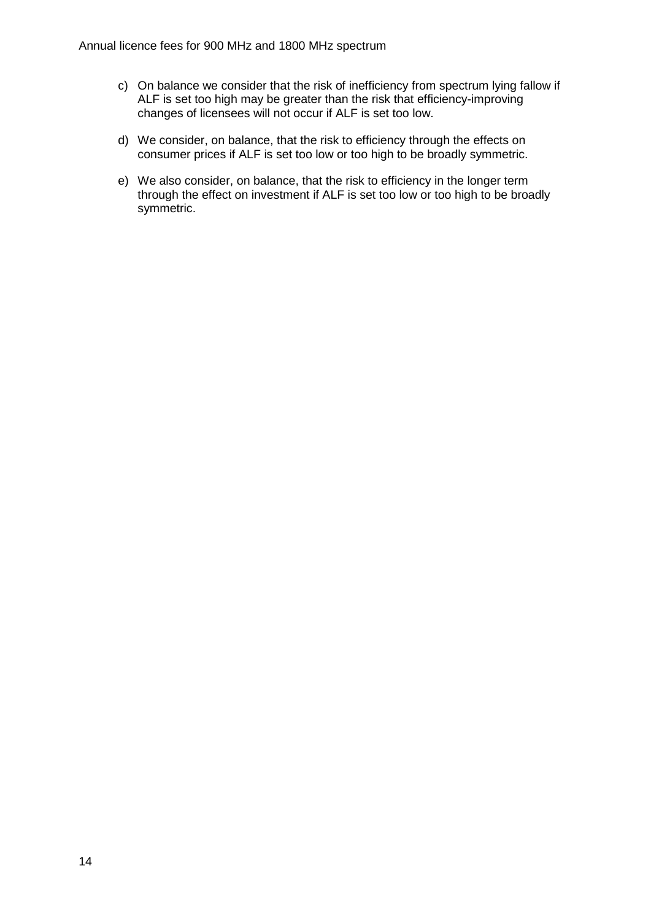- c) On balance we consider that the risk of inefficiency from spectrum lying fallow if ALF is set too high may be greater than the risk that efficiency-improving changes of licensees will not occur if ALF is set too low.
- d) We consider, on balance, that the risk to efficiency through the effects on consumer prices if ALF is set too low or too high to be broadly symmetric.
- e) We also consider, on balance, that the risk to efficiency in the longer term through the effect on investment if ALF is set too low or too high to be broadly symmetric.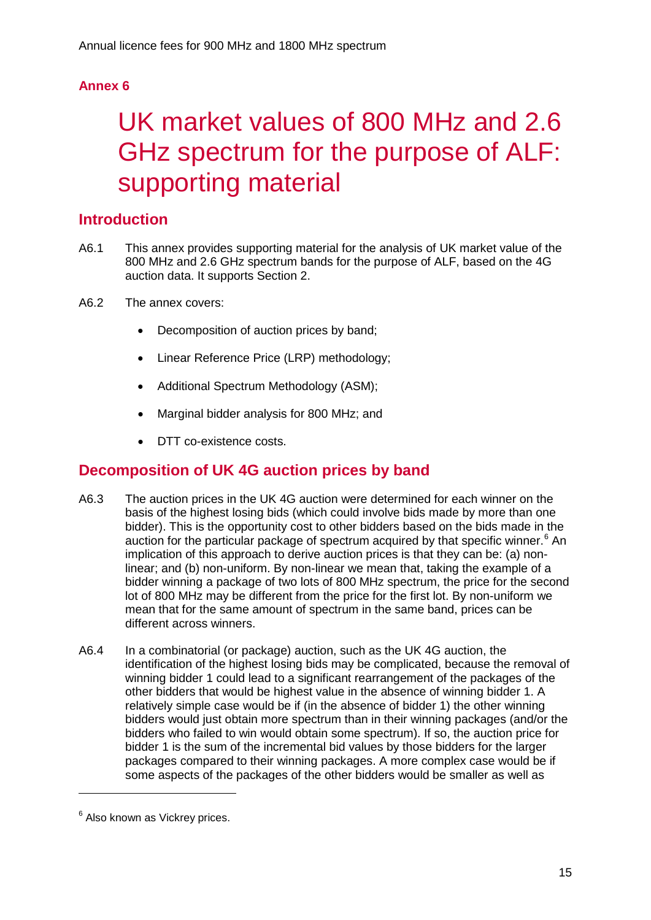# **Annex 6**

# 6 UK market values of 800 MHz and 2.6 GHz spectrum for the purpose of ALF: supporting material

# **Introduction**

- A6.1 This annex provides supporting material for the analysis of UK market value of the 800 MHz and 2.6 GHz spectrum bands for the purpose of ALF, based on the 4G auction data. It supports Section 2.
- A6.2 The annex covers:
	- Decomposition of auction prices by band;
	- Linear Reference Price (LRP) methodology;
	- Additional Spectrum Methodology (ASM);
	- Marginal bidder analysis for 800 MHz; and
	- DTT co-existence costs.

# **Decomposition of UK 4G auction prices by band**

- A6.3 The auction prices in the UK 4G auction were determined for each winner on the basis of the highest losing bids (which could involve bids made by more than one bidder). This is the opportunity cost to other bidders based on the bids made in the auction for the particular package of spectrum acquired by that specific winner.<sup>[6](#page-15-0)</sup> An implication of this approach to derive auction prices is that they can be: (a) nonlinear; and (b) non-uniform. By non-linear we mean that, taking the example of a bidder winning a package of two lots of 800 MHz spectrum, the price for the second lot of 800 MHz may be different from the price for the first lot. By non-uniform we mean that for the same amount of spectrum in the same band, prices can be different across winners.
- A6.4 In a combinatorial (or package) auction, such as the UK 4G auction, the identification of the highest losing bids may be complicated, because the removal of winning bidder 1 could lead to a significant rearrangement of the packages of the other bidders that would be highest value in the absence of winning bidder 1. A relatively simple case would be if (in the absence of bidder 1) the other winning bidders would just obtain more spectrum than in their winning packages (and/or the bidders who failed to win would obtain some spectrum). If so, the auction price for bidder 1 is the sum of the incremental bid values by those bidders for the larger packages compared to their winning packages. A more complex case would be if some aspects of the packages of the other bidders would be smaller as well as

<span id="page-15-0"></span><sup>&</sup>lt;sup>6</sup> Also known as Vickrey prices.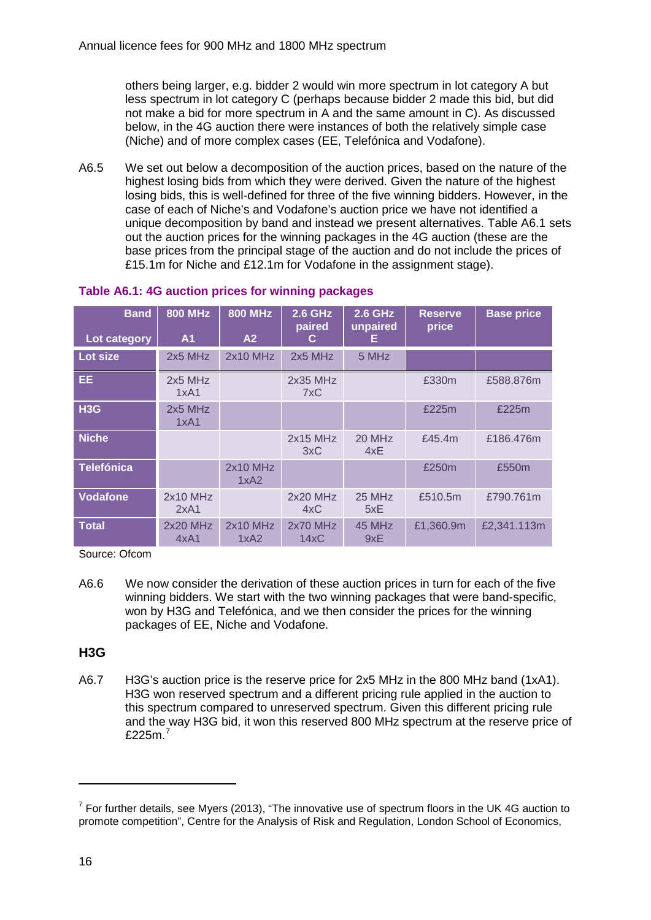others being larger, e.g. bidder 2 would win more spectrum in lot category A but less spectrum in lot category C (perhaps because bidder 2 made this bid, but did not make a bid for more spectrum in A and the same amount in C). As discussed below, in the 4G auction there were instances of both the relatively simple case (Niche) and of more complex cases (EE, Telefónica and Vodafone).

A6.5 We set out below a decomposition of the auction prices, based on the nature of the highest losing bids from which they were derived. Given the nature of the highest losing bids, this is well-defined for three of the five winning bidders. However, in the case of each of Niche's and Vodafone's auction price we have not identified a unique decomposition by band and instead we present alternatives. Table A6.1 sets out the auction prices for the winning packages in the 4G auction (these are the base prices from the principal stage of the auction and do not include the prices of £15.1m for Niche and £12.1m for Vodafone in the assignment stage).

| <b>Band</b>      | <b>800 MHz</b>     | <b>800 MHz</b>     | <b>2.6 GHz</b><br>paired | <b>2.6 GHz</b><br>unpaired | <b>Reserve</b><br>price | <b>Base price</b> |
|------------------|--------------------|--------------------|--------------------------|----------------------------|-------------------------|-------------------|
| Lot category     | A1                 | A2                 | C.                       | E.                         |                         |                   |
| Lot size         | 2x5 MHz            | $2x10$ MHz         | $2x5$ MHz                | 5 MHz                      |                         |                   |
| <b>EE</b>        | $2x5$ MHz<br>1xA1  |                    | 2x35 MHz<br>7xC          |                            | £330m                   | £588.876m         |
| H <sub>3</sub> G | 2x5 MHz<br>1xA1    |                    |                          |                            | £225m                   | £225m             |
| <b>Niche</b>     |                    |                    | $2x15$ MHz<br>3xC        | 20 MHz<br>4xE              | £45.4m                  | £186,476m         |
| Telefónica       |                    | $2x10$ MHz<br>1xA2 |                          |                            | £250m                   | £550m             |
| <b>Vodafone</b>  | $2x10$ MHz<br>2xA1 |                    | $2x20$ MHz<br>4xC        | 25 MHz<br>5xE              | £510.5m                 | £790.761m         |
| <b>Total</b>     | $2x20$ MHz<br>4xA1 | $2x10$ MHz<br>1xA2 | $2x70$ MHz<br>14xC       | 45 MHz<br>9xE              | £1,360.9m               | £2,341.113m       |

## **Table A6.1: 4G auction prices for winning packages**

Source: Ofcom

A6.6 We now consider the derivation of these auction prices in turn for each of the five winning bidders. We start with the two winning packages that were band-specific, won by H3G and Telefónica, and we then consider the prices for the winning packages of EE, Niche and Vodafone.

## **H3G**

A6.7 H3G's auction price is the reserve price for 2x5 MHz in the 800 MHz band (1xA1). H3G won reserved spectrum and a different pricing rule applied in the auction to this spectrum compared to unreserved spectrum. Given this different pricing rule and the way H3G bid, it won this reserved 800 MHz spectrum at the reserve price of £225 $m$ .<sup>[7](#page-16-0)</sup>

<span id="page-16-0"></span> $7$  For further details, see Myers (2013), "The innovative use of spectrum floors in the UK 4G auction to promote competition", Centre for the Analysis of Risk and Regulation, London School of Economics,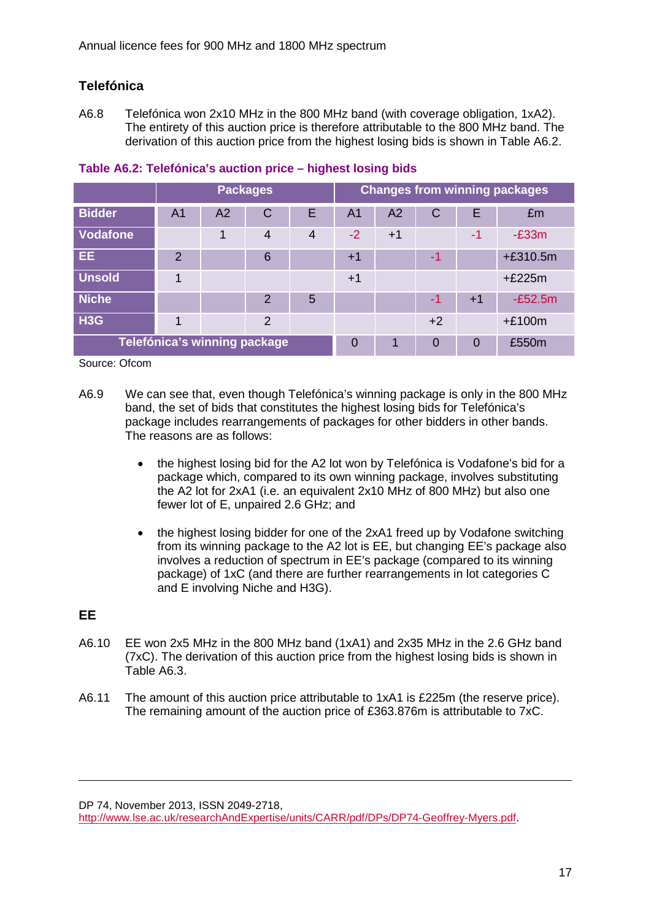# **Telefónica**

A6.8 Telefónica won 2x10 MHz in the 800 MHz band (with coverage obligation, 1xA2). The entirety of this auction price is therefore attributable to the 800 MHz band. The derivation of this auction price from the highest losing bids is shown in Table A6.2.

|                  | <b>Packages</b>              |                |               |                |                | <b>Changes from winning packages</b> |          |          |            |
|------------------|------------------------------|----------------|---------------|----------------|----------------|--------------------------------------|----------|----------|------------|
| <b>Bidder</b>    | A <sub>1</sub>               | A <sub>2</sub> | C             | Е              | A <sub>1</sub> | A <sub>2</sub>                       | C        | F        | £m         |
| <b>Vodafone</b>  |                              | 1              | 4             | $\overline{4}$ | $-2$           | $+1$                                 |          | -1       | $-E33m$    |
| EE.              | $\mathcal{P}$                |                | 6             |                | $+1$           |                                      | -1       |          | $+£310.5m$ |
| <b>Unsold</b>    | 1                            |                |               |                | $+1$           |                                      |          |          | $+£225m$   |
| <b>Niche</b>     |                              |                | $\mathcal{P}$ | 5              |                |                                      | -1       | $+1$     | $-E52.5m$  |
| H <sub>3</sub> G |                              |                | $\mathcal{P}$ |                |                |                                      | $+2$     |          | $+£100m$   |
|                  | Telefónica's winning package |                |               |                |                |                                      | $\Omega$ | $\Omega$ | £550m      |

## **Table A6.2: Telefónica's auction price – highest losing bids**

Source: Ofcom

- A6.9 We can see that, even though Telefónica's winning package is only in the 800 MHz band, the set of bids that constitutes the highest losing bids for Telefónica's package includes rearrangements of packages for other bidders in other bands. The reasons are as follows:
	- the highest losing bid for the A2 lot won by Telefónica is Vodafone's bid for a package which, compared to its own winning package, involves substituting the A2 lot for 2xA1 (i.e. an equivalent 2x10 MHz of 800 MHz) but also one fewer lot of E, unpaired 2.6 GHz; and
	- the highest losing bidder for one of the 2xA1 freed up by Vodafone switching from its winning package to the A2 lot is EE, but changing EE's package also involves a reduction of spectrum in EE's package (compared to its winning package) of 1xC (and there are further rearrangements in lot categories C and E involving Niche and H3G).

## **EE**

-

- A6.10 EE won 2x5 MHz in the 800 MHz band (1xA1) and 2x35 MHz in the 2.6 GHz band (7xC). The derivation of this auction price from the highest losing bids is shown in Table A6.3.
- A6.11 The amount of this auction price attributable to 1xA1 is £225m (the reserve price). The remaining amount of the auction price of £363.876m is attributable to 7xC.

DP 74, November 2013, ISSN 2049-2718,

[http://www.lse.ac.uk/researchAndExpertise/units/CARR/pdf/DPs/DP74-Geoffrey-Myers.pdf.](http://www.lse.ac.uk/researchAndExpertise/units/CARR/pdf/DPs/DP74-Geoffrey-Myers.pdf)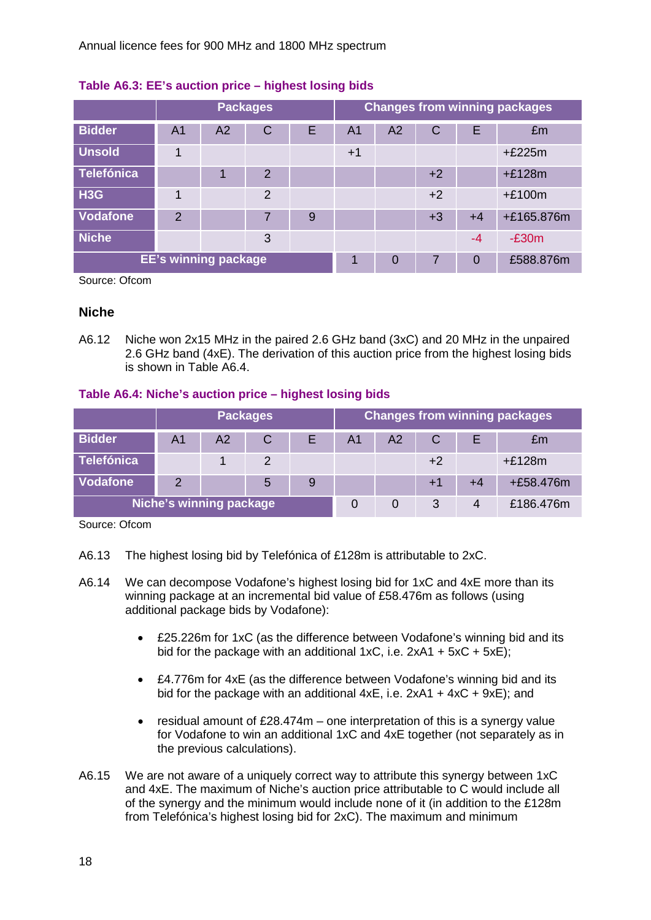|                   | <b>Packages</b>             |                |                |   |      | <b>Changes from winning packages</b> |      |          |            |
|-------------------|-----------------------------|----------------|----------------|---|------|--------------------------------------|------|----------|------------|
| <b>Bidder</b>     | A <sub>1</sub>              | A <sub>2</sub> | $\mathsf C$    | Е | A1   | A <sub>2</sub>                       | C    | Е        | £m         |
| <b>Unsold</b>     | $\blacktriangleleft$        |                |                |   | $+1$ |                                      |      |          | $+£225m$   |
| <b>Telefónica</b> |                             |                | $\overline{2}$ |   |      |                                      | $+2$ |          | $+£128m$   |
| H <sub>3</sub> G  | 1                           |                | $\overline{2}$ |   |      |                                      | $+2$ |          | $+£100m$   |
| <b>Vodafone</b>   | $\mathcal{P}$               |                | 7              | 9 |      |                                      | $+3$ | $+4$     | +£165.876m |
| <b>Niche</b>      |                             |                | 3              |   |      |                                      |      | $-4$     | $-E30m$    |
|                   | <b>EE's winning package</b> |                |                |   |      |                                      |      | $\Omega$ | £588.876m  |

## **Table A6.3: EE's auction price – highest losing bids**

Source: Ofcom

## **Niche**

A6.12 Niche won 2x15 MHz in the paired 2.6 GHz band (3xC) and 20 MHz in the unpaired 2.6 GHz band (4xE). The derivation of this auction price from the highest losing bids is shown in Table A6.4.

## **Table A6.4: Niche's auction price – highest losing bids**

|                   | <b>Packages</b>         |    |   |   |    | <b>Changes from winning packages</b> |      |    |             |  |
|-------------------|-------------------------|----|---|---|----|--------------------------------------|------|----|-------------|--|
| <b>Bidder</b>     | Α1                      | A2 | C |   | Α1 | A2                                   |      | Е  | £m          |  |
| <b>Telefónica</b> |                         |    | 2 |   |    |                                      | $+2$ |    | $+£128m$    |  |
| <b>Vodafone</b>   |                         |    | 5 | 9 |    |                                      | $+1$ | +4 | $+£58.476m$ |  |
|                   | Niche's winning package |    |   |   |    |                                      | 3    | 4  | £186,476m   |  |

Source: Ofcom

- A6.13 The highest losing bid by Telefónica of £128m is attributable to 2xC.
- A6.14 We can decompose Vodafone's highest losing bid for 1xC and 4xE more than its winning package at an incremental bid value of £58.476m as follows (using additional package bids by Vodafone):
	- £25.226m for 1xC (as the difference between Vodafone's winning bid and its bid for the package with an additional 1xC, i.e.  $2xA1 + 5xC + 5xE$ ;
	- £4.776m for 4xE (as the difference between Vodafone's winning bid and its bid for the package with an additional  $4xE$ , i.e.  $2xA1 + 4xC + 9xE$ ); and
	- residual amount of £28.474m one interpretation of this is a synergy value for Vodafone to win an additional 1xC and 4xE together (not separately as in the previous calculations).
- A6.15 We are not aware of a uniquely correct way to attribute this synergy between 1xC and 4xE. The maximum of Niche's auction price attributable to C would include all of the synergy and the minimum would include none of it (in addition to the £128m from Telefónica's highest losing bid for 2xC). The maximum and minimum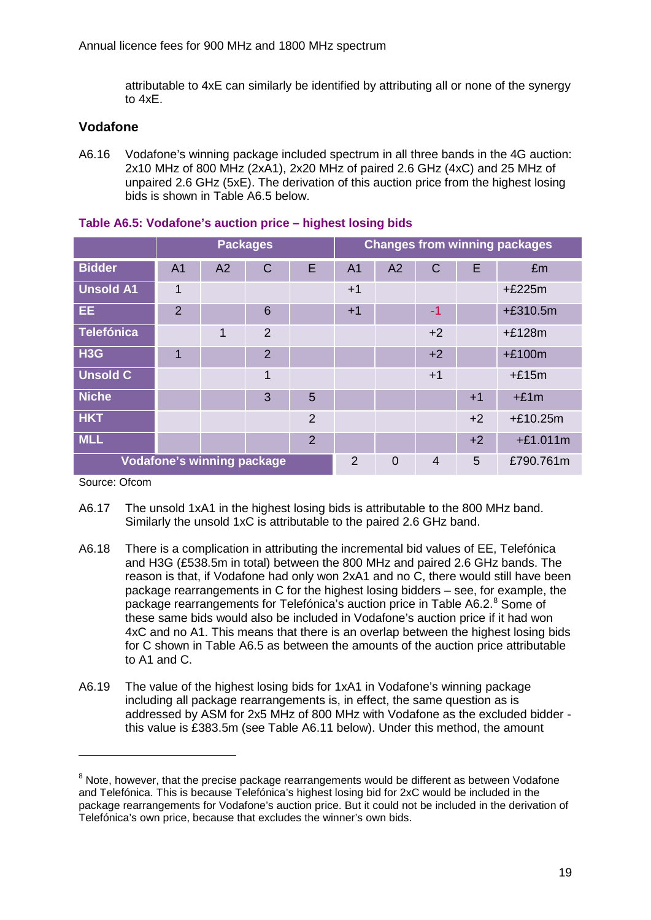attributable to 4xE can similarly be identified by attributing all or none of the synergy to 4xE.

## **Vodafone**

A6.16 Vodafone's winning package included spectrum in all three bands in the 4G auction: 2x10 MHz of 800 MHz (2xA1), 2x20 MHz of paired 2.6 GHz (4xC) and 25 MHz of unpaired 2.6 GHz (5xE). The derivation of this auction price from the highest losing bids is shown in Table A6.5 below.

|                                   | <b>Packages</b> |                |                |                |                | <b>Changes from winning packages</b> |                |      |            |
|-----------------------------------|-----------------|----------------|----------------|----------------|----------------|--------------------------------------|----------------|------|------------|
| <b>Bidder</b>                     | A <sub>1</sub>  | A <sub>2</sub> | $\mathsf C$    | Е              | A <sub>1</sub> | A <sub>2</sub>                       | C              | E    | £m         |
| <b>Unsold A1</b>                  | 1               |                |                |                | $+1$           |                                      |                |      | $+£225m$   |
| EE.                               | $\overline{2}$  |                | 6              |                | $+1$           |                                      | -1             |      | $+£310.5m$ |
| <b>Telefónica</b>                 |                 | 1              | $\overline{2}$ |                |                |                                      | $+2$           |      | $+£128m$   |
| H <sub>3</sub> G                  | 1               |                | $\overline{2}$ |                |                |                                      | $+2$           |      | $+£100m$   |
| <b>Unsold C</b>                   |                 |                | 1              |                |                |                                      | $+1$           |      | $+£15m$    |
| <b>Niche</b>                      |                 |                | 3              | 5              |                |                                      |                | $+1$ | $+£1m$     |
| <b>HKT</b>                        |                 |                |                | $\overline{2}$ |                |                                      |                | $+2$ | $+£10.25m$ |
| <b>MLL</b>                        |                 |                |                | 2              |                |                                      |                | $+2$ | $+£1.011m$ |
| <b>Vodafone's winning package</b> |                 |                |                |                | $\overline{2}$ | $\overline{0}$                       | $\overline{4}$ | 5    | £790.761m  |

### **Table A6.5: Vodafone's auction price – highest losing bids**

Source: Ofcom

- A6.17 The unsold 1xA1 in the highest losing bids is attributable to the 800 MHz band. Similarly the unsold 1xC is attributable to the paired 2.6 GHz band.
- A6.18 There is a complication in attributing the incremental bid values of EE, Telefónica and H3G (£538.5m in total) between the 800 MHz and paired 2.6 GHz bands. The reason is that, if Vodafone had only won 2xA1 and no C, there would still have been package rearrangements in C for the highest losing bidders – see, for example, the package rearrangements for Telefónica's auction price in Table A6.2.<sup>[8](#page-19-0)</sup> Some of these same bids would also be included in Vodafone's auction price if it had won 4xC and no A1. This means that there is an overlap between the highest losing bids for C shown in Table A6.5 as between the amounts of the auction price attributable to A1 and C.
- A6.19 The value of the highest losing bids for 1xA1 in Vodafone's winning package including all package rearrangements is, in effect, the same question as is addressed by ASM for 2x5 MHz of 800 MHz with Vodafone as the excluded bidder this value is £383.5m (see Table A6.11 below). Under this method, the amount

<span id="page-19-0"></span><sup>&</sup>lt;sup>8</sup> Note, however, that the precise package rearrangements would be different as between Vodafone and Telefónica. This is because Telefónica's highest losing bid for 2xC would be included in the package rearrangements for Vodafone's auction price. But it could not be included in the derivation of Telefónica's own price, because that excludes the winner's own bids.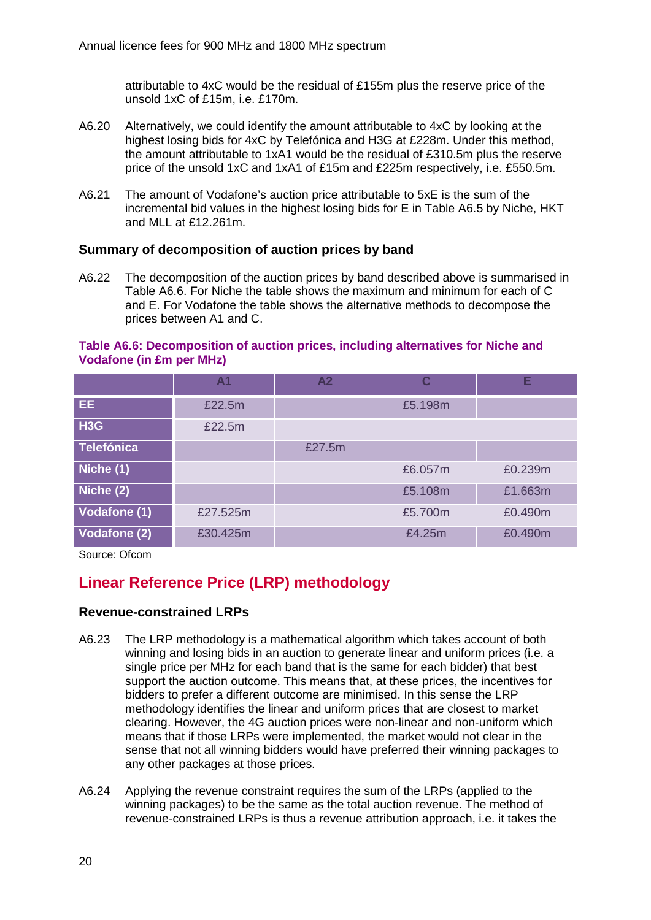attributable to 4xC would be the residual of £155m plus the reserve price of the unsold 1xC of £15m, i.e. £170m.

- A6.20 Alternatively, we could identify the amount attributable to 4xC by looking at the highest losing bids for 4xC by Telefónica and H3G at £228m. Under this method, the amount attributable to 1xA1 would be the residual of £310.5m plus the reserve price of the unsold 1xC and 1xA1 of £15m and £225m respectively, i.e. £550.5m.
- A6.21 The amount of Vodafone's auction price attributable to 5xE is the sum of the incremental bid values in the highest losing bids for E in Table A6.5 by Niche, HKT and MLL at £12.261m.

## **Summary of decomposition of auction prices by band**

A6.22 The decomposition of the auction prices by band described above is summarised in Table A6.6. For Niche the table shows the maximum and minimum for each of C and E. For Vodafone the table shows the alternative methods to decompose the prices between A1 and C.

### **Table A6.6: Decomposition of auction prices, including alternatives for Niche and Vodafone (in £m per MHz)**

|                     | Α1       | A <sub>2</sub> | C       | Ε       |
|---------------------|----------|----------------|---------|---------|
| EE.                 | £22.5m   |                | £5.198m |         |
| H <sub>3</sub> G    | £22.5m   |                |         |         |
| <b>Telefónica</b>   |          | £27.5m         |         |         |
| Niche (1)           |          |                | £6.057m | £0.239m |
| Niche (2)           |          |                | £5.108m | £1.663m |
| <b>Vodafone (1)</b> | £27.525m |                | £5.700m | £0.490m |
| Vodafone (2)        | £30.425m |                | £4.25m  | £0.490m |

Source: Ofcom

# **Linear Reference Price (LRP) methodology**

## **Revenue-constrained LRPs**

- A6.23 The LRP methodology is a mathematical algorithm which takes account of both winning and losing bids in an auction to generate linear and uniform prices (i.e. a single price per MHz for each band that is the same for each bidder) that best support the auction outcome. This means that, at these prices, the incentives for bidders to prefer a different outcome are minimised. In this sense the LRP methodology identifies the linear and uniform prices that are closest to market clearing. However, the 4G auction prices were non-linear and non-uniform which means that if those LRPs were implemented, the market would not clear in the sense that not all winning bidders would have preferred their winning packages to any other packages at those prices.
- A6.24 Applying the revenue constraint requires the sum of the LRPs (applied to the winning packages) to be the same as the total auction revenue. The method of revenue-constrained LRPs is thus a revenue attribution approach, i.e. it takes the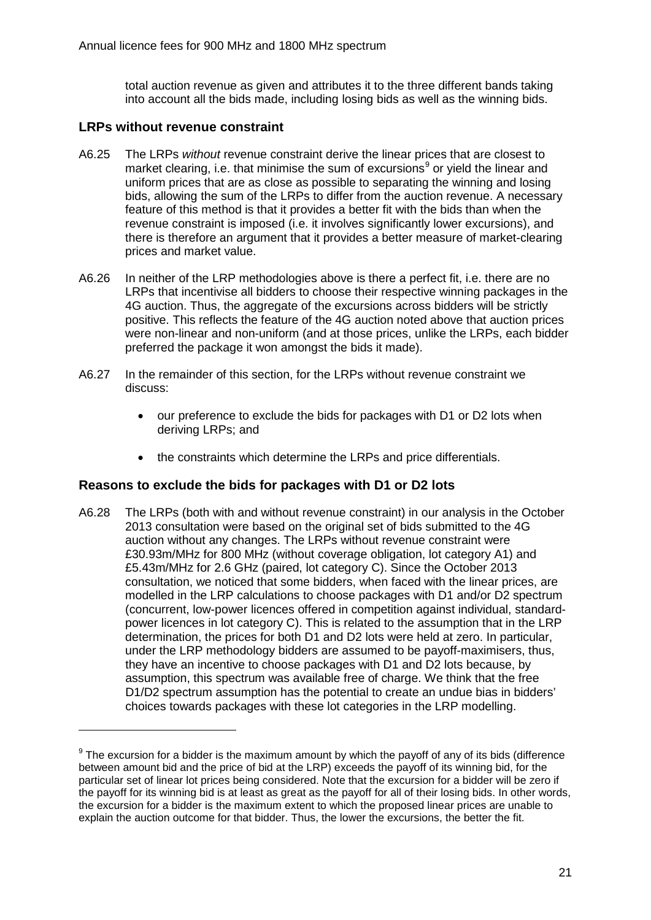total auction revenue as given and attributes it to the three different bands taking into account all the bids made, including losing bids as well as the winning bids.

## **LRPs without revenue constraint**

-

- A6.25 The LRPs *without* revenue constraint derive the linear prices that are closest to market clearing, i.e. that minimise the sum of excursions $9$  or yield the linear and uniform prices that are as close as possible to separating the winning and losing bids, allowing the sum of the LRPs to differ from the auction revenue. A necessary feature of this method is that it provides a better fit with the bids than when the revenue constraint is imposed (i.e. it involves significantly lower excursions), and there is therefore an argument that it provides a better measure of market-clearing prices and market value.
- A6.26 In neither of the LRP methodologies above is there a perfect fit, i.e. there are no LRPs that incentivise all bidders to choose their respective winning packages in the 4G auction. Thus, the aggregate of the excursions across bidders will be strictly positive. This reflects the feature of the 4G auction noted above that auction prices were non-linear and non-uniform (and at those prices, unlike the LRPs, each bidder preferred the package it won amongst the bids it made).
- A6.27 In the remainder of this section, for the LRPs without revenue constraint we discuss:
	- our preference to exclude the bids for packages with D1 or D2 lots when deriving LRPs; and
	- the constraints which determine the LRPs and price differentials.

## **Reasons to exclude the bids for packages with D1 or D2 lots**

A6.28 The LRPs (both with and without revenue constraint) in our analysis in the October 2013 consultation were based on the original set of bids submitted to the 4G auction without any changes. The LRPs without revenue constraint were £30.93m/MHz for 800 MHz (without coverage obligation, lot category A1) and £5.43m/MHz for 2.6 GHz (paired, lot category C). Since the October 2013 consultation, we noticed that some bidders, when faced with the linear prices, are modelled in the LRP calculations to choose packages with D1 and/or D2 spectrum (concurrent, low-power licences offered in competition against individual, standardpower licences in lot category C). This is related to the assumption that in the LRP determination, the prices for both D1 and D2 lots were held at zero. In particular, under the LRP methodology bidders are assumed to be payoff-maximisers, thus, they have an incentive to choose packages with D1 and D2 lots because, by assumption, this spectrum was available free of charge. We think that the free D1/D2 spectrum assumption has the potential to create an undue bias in bidders' choices towards packages with these lot categories in the LRP modelling.

<span id="page-21-0"></span> $9$  The excursion for a bidder is the maximum amount by which the payoff of any of its bids (difference between amount bid and the price of bid at the LRP) exceeds the payoff of its winning bid, for the particular set of linear lot prices being considered. Note that the excursion for a bidder will be zero if the payoff for its winning bid is at least as great as the payoff for all of their losing bids. In other words, the excursion for a bidder is the maximum extent to which the proposed linear prices are unable to explain the auction outcome for that bidder. Thus, the lower the excursions, the better the fit.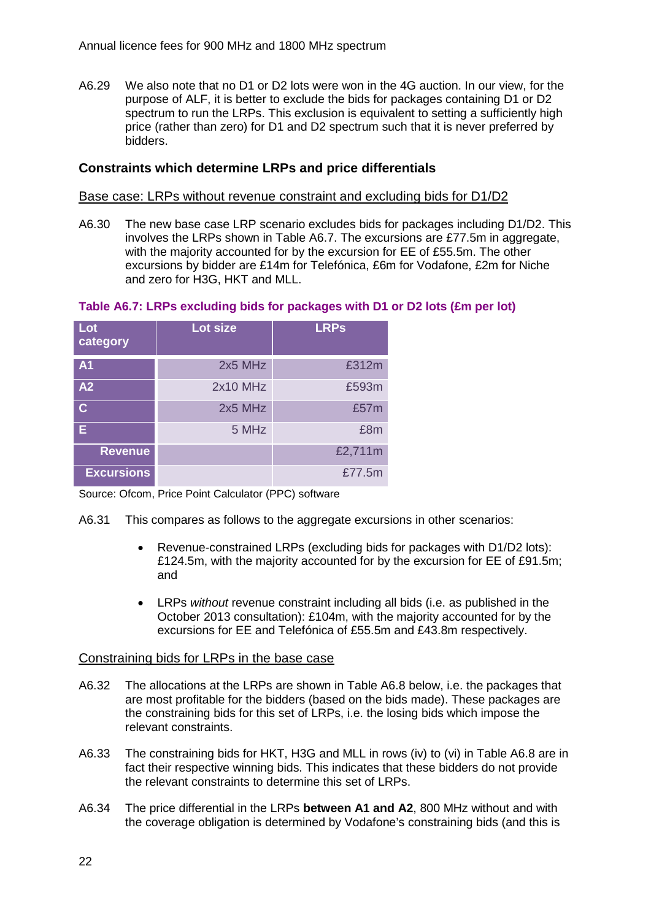A6.29 We also note that no D1 or D2 lots were won in the 4G auction. In our view, for the purpose of ALF, it is better to exclude the bids for packages containing D1 or D2 spectrum to run the LRPs. This exclusion is equivalent to setting a sufficiently high price (rather than zero) for D1 and D2 spectrum such that it is never preferred by bidders.

## **Constraints which determine LRPs and price differentials**

#### Base case: LRPs without revenue constraint and excluding bids for D1/D2

A6.30 The new base case LRP scenario excludes bids for packages including D1/D2. This involves the LRPs shown in Table A6.7. The excursions are £77.5m in aggregate, with the majority accounted for by the excursion for EE of £55.5m. The other excursions by bidder are £14m for Telefónica, £6m for Vodafone, £2m for Niche and zero for H3G, HKT and MLL.

#### **Table A6.7: LRPs excluding bids for packages with D1 or D2 lots (£m per lot)**

| Lot<br>category         | Lot size | <b>LRPs</b> |
|-------------------------|----------|-------------|
| A <sub>1</sub>          | 2x5 MHz  | £312m       |
| A2                      | 2x10 MHz | £593m       |
| $\overline{\mathsf{C}}$ | 2x5 MHz  | £57m        |
| Е                       | 5 MHz    | £8m         |
| <b>Revenue</b>          |          | £2,711m     |
| <b>Excursions</b>       |          | £77.5m      |

Source: Ofcom, Price Point Calculator (PPC) software

- A6.31 This compares as follows to the aggregate excursions in other scenarios:
	- Revenue-constrained LRPs (excluding bids for packages with D1/D2 lots): £124.5m, with the majority accounted for by the excursion for EE of £91.5m; and
	- LRPs *without* revenue constraint including all bids (i.e. as published in the October 2013 consultation): £104m, with the majority accounted for by the excursions for EE and Telefónica of £55.5m and £43.8m respectively.

#### Constraining bids for LRPs in the base case

- A6.32 The allocations at the LRPs are shown in Table A6.8 below, i.e. the packages that are most profitable for the bidders (based on the bids made). These packages are the constraining bids for this set of LRPs, i.e. the losing bids which impose the relevant constraints.
- A6.33 The constraining bids for HKT, H3G and MLL in rows (iv) to (vi) in Table A6.8 are in fact their respective winning bids. This indicates that these bidders do not provide the relevant constraints to determine this set of LRPs.
- A6.34 The price differential in the LRPs **between A1 and A2**, 800 MHz without and with the coverage obligation is determined by Vodafone's constraining bids (and this is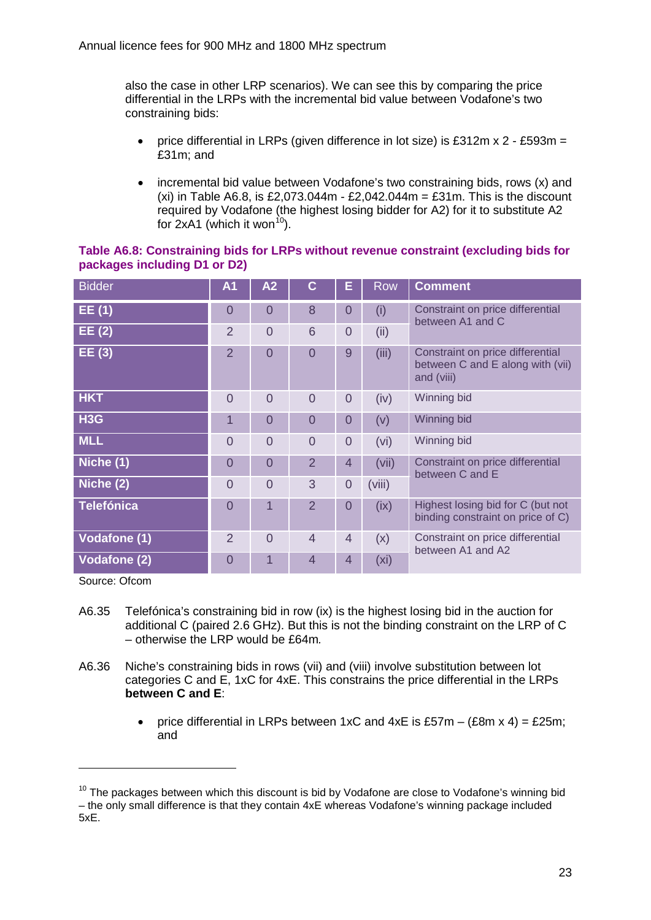also the case in other LRP scenarios). We can see this by comparing the price differential in the LRPs with the incremental bid value between Vodafone's two constraining bids:

- price differential in LRPs (given difference in lot size) is £312m x 2 £593m = £31m; and
- incremental bid value between Vodafone's two constraining bids, rows (x) and (xi) in Table A6.8, is £2,073.044m -  $£2.042.044m = £31m$ . This is the discount required by Vodafone (the highest losing bidder for A2) for it to substitute A2 for  $2xA1$  (which it won<sup>10</sup>).

| <b>Bidder</b>       | A <sub>1</sub> | A2             | С              | Е              | Row               | <b>Comment</b>                                                                     |
|---------------------|----------------|----------------|----------------|----------------|-------------------|------------------------------------------------------------------------------------|
| EE(1)               | 0              | $\overline{0}$ | 8              | 0              | (i)               | Constraint on price differential<br>between A1 and C                               |
| EE(2)               | $\overline{2}$ | $\Omega$       | 6              | $\overline{0}$ | (ii)              |                                                                                    |
| EE(3)               | 2              | $\overline{0}$ | $\overline{0}$ | 9              | (iii)             | Constraint on price differential<br>between C and E along with (vii)<br>and (viii) |
| <b>HKT</b>          | $\overline{0}$ | $\overline{0}$ | $\overline{0}$ | $\overline{0}$ | (iv)              | Winning bid                                                                        |
| H <sub>3</sub> G    | 1              | $\overline{0}$ | $\overline{0}$ | $\bm{0}$       | (v)               | Winning bid                                                                        |
| <b>MLL</b>          | $\overline{0}$ | $\overline{0}$ | $\overline{0}$ | $\overline{0}$ | (vi)              | Winning bid                                                                        |
| Niche (1)           | $\overline{0}$ | $\overline{0}$ | $\overline{2}$ | 4              | (vii)             | Constraint on price differential<br>between C and E                                |
| Niche (2)           | $\overline{0}$ | $\overline{0}$ | 3              | $\mathbf 0$    | (viii)            |                                                                                    |
| <b>Telefónica</b>   | $\overline{0}$ | 1              | $\overline{2}$ | $\overline{0}$ | (ix)              | Highest losing bid for C (but not<br>binding constraint on price of C)             |
| <b>Vodafone (1)</b> | $\overline{2}$ | $\Omega$       | $\overline{4}$ | $\overline{4}$ | (x)               | Constraint on price differential<br>between A1 and A2                              |
| <b>Vodafone (2)</b> | $\overline{0}$ |                | $\overline{4}$ | $\overline{4}$ | (x <sub>i</sub> ) |                                                                                    |

### **Table A6.8: Constraining bids for LRPs without revenue constraint (excluding bids for packages including D1 or D2)**

Source: Ofcom

- A6.35 Telefónica's constraining bid in row (ix) is the highest losing bid in the auction for additional C (paired 2.6 GHz). But this is not the binding constraint on the LRP of C – otherwise the LRP would be £64m*.*
- A6.36 Niche's constraining bids in rows (vii) and (viii) involve substitution between lot categories C and E, 1xC for 4xE. This constrains the price differential in the LRPs **between C and E**:
	- price differential in LRPs between 1xC and  $4xE$  is £57m  $(E8m \times 4) = E25m$ ; and

<span id="page-23-0"></span> $10$  The packages between which this discount is bid by Vodafone are close to Vodafone's winning bid – the only small difference is that they contain 4xE whereas Vodafone's winning package included 5xE.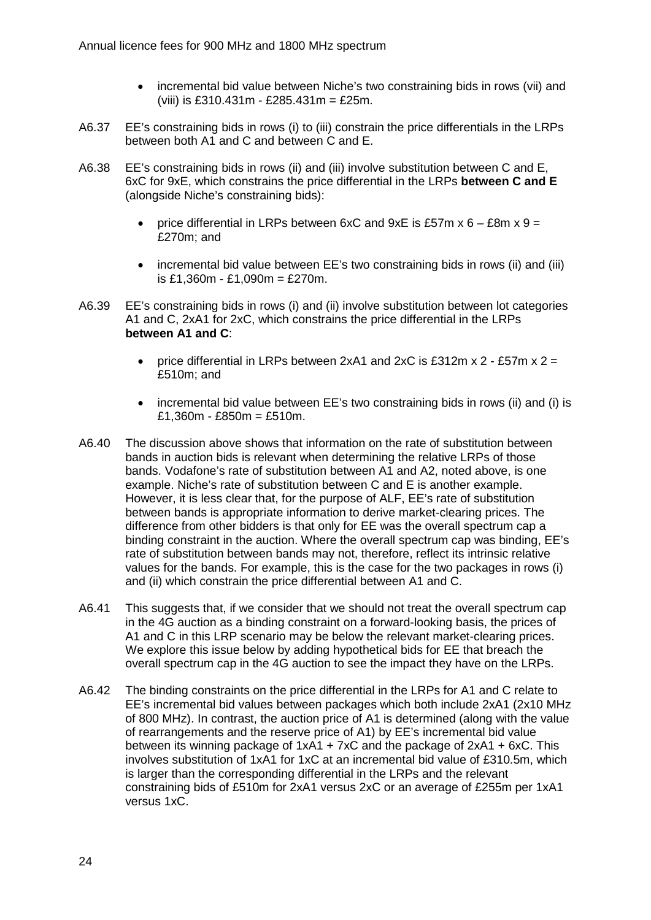- incremental bid value between Niche's two constraining bids in rows (vii) and (viii) is £310.431m - £285.431m = £25m.
- A6.37 EE's constraining bids in rows (i) to (iii) constrain the price differentials in the LRPs between both A1 and C and between C and E.
- A6.38 EE's constraining bids in rows (ii) and (iii) involve substitution between C and E, 6xC for 9xE, which constrains the price differential in the LRPs **between C and E** (alongside Niche's constraining bids):
	- price differential in LRPs between  $6xC$  and  $9xE$  is £57m  $x 6 £8m x 9 =$ £270m; and
	- incremental bid value between EE's two constraining bids in rows (ii) and (iii) is £1,360m - £1,090m = £270m.
- A6.39 EE's constraining bids in rows (i) and (ii) involve substitution between lot categories A1 and C, 2xA1 for 2xC, which constrains the price differential in the LRPs **between A1 and C**:
	- price differential in LRPs between 2xA1 and 2xC is £312m x  $2 £57$ m x  $2 =$ £510m; and
	- incremental bid value between EE's two constraining bids in rows (ii) and (i) is  $£1,360m - £850m = £510m.$
- A6.40 The discussion above shows that information on the rate of substitution between bands in auction bids is relevant when determining the relative LRPs of those bands. Vodafone's rate of substitution between A1 and A2, noted above, is one example. Niche's rate of substitution between C and E is another example. However, it is less clear that, for the purpose of ALF, EE's rate of substitution between bands is appropriate information to derive market-clearing prices. The difference from other bidders is that only for EE was the overall spectrum cap a binding constraint in the auction. Where the overall spectrum cap was binding, EE's rate of substitution between bands may not, therefore, reflect its intrinsic relative values for the bands. For example, this is the case for the two packages in rows (i) and (ii) which constrain the price differential between A1 and C.
- A6.41 This suggests that, if we consider that we should not treat the overall spectrum cap in the 4G auction as a binding constraint on a forward-looking basis, the prices of A1 and C in this LRP scenario may be below the relevant market-clearing prices. We explore this issue below by adding hypothetical bids for EE that breach the overall spectrum cap in the 4G auction to see the impact they have on the LRPs.
- A6.42 The binding constraints on the price differential in the LRPs for A1 and C relate to EE's incremental bid values between packages which both include 2xA1 (2x10 MHz of 800 MHz). In contrast, the auction price of A1 is determined (along with the value of rearrangements and the reserve price of A1) by EE's incremental bid value between its winning package of 1xA1 + 7xC and the package of 2xA1 + 6xC. This involves substitution of 1xA1 for 1xC at an incremental bid value of £310.5m, which is larger than the corresponding differential in the LRPs and the relevant constraining bids of £510m for 2xA1 versus 2xC or an average of £255m per 1xA1 versus 1xC.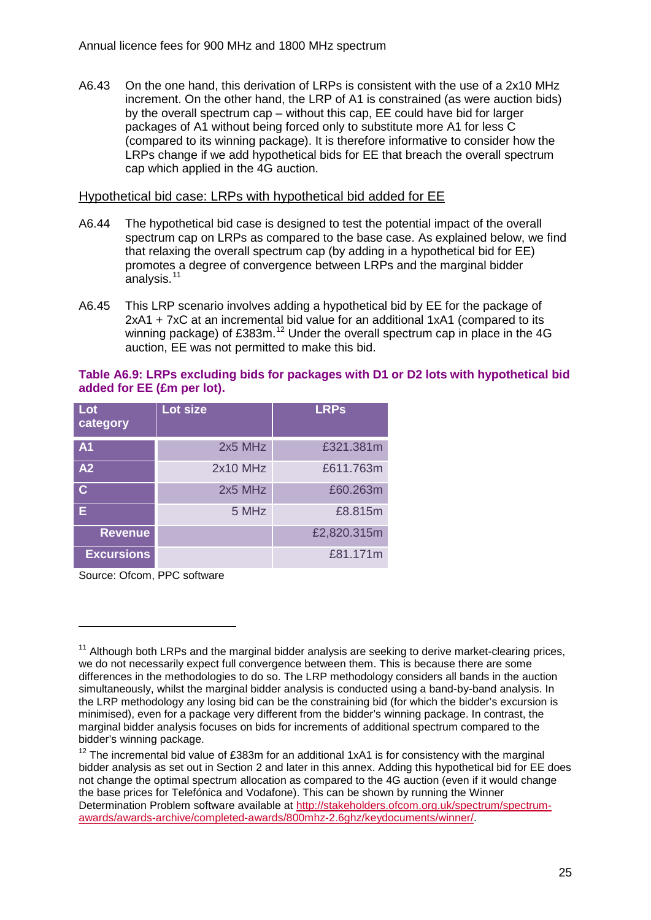A6.43 On the one hand, this derivation of LRPs is consistent with the use of a 2x10 MHz increment. On the other hand, the LRP of A1 is constrained (as were auction bids) by the overall spectrum cap – without this cap, EE could have bid for larger packages of A1 without being forced only to substitute more A1 for less C (compared to its winning package). It is therefore informative to consider how the LRPs change if we add hypothetical bids for EE that breach the overall spectrum cap which applied in the 4G auction.

## Hypothetical bid case: LRPs with hypothetical bid added for EE

- A6.44 The hypothetical bid case is designed to test the potential impact of the overall spectrum cap on LRPs as compared to the base case. As explained below, we find that relaxing the overall spectrum cap (by adding in a hypothetical bid for EE) promotes a degree of convergence between LRPs and the marginal bidder analysis.<sup>[11](#page-25-0)</sup>
- A6.45 This LRP scenario involves adding a hypothetical bid by EE for the package of 2xA1 + 7xC at an incremental bid value for an additional 1xA1 (compared to its winning package) of £383m.<sup>[12](#page-25-1)</sup> Under the overall spectrum cap in place in the 4G auction, EE was not permitted to make this bid.

### **Table A6.9: LRPs excluding bids for packages with D1 or D2 lots with hypothetical bid added for EE (£m per lot).**

| Lot<br>category         | Lot size | <b>LRPs</b> |
|-------------------------|----------|-------------|
| A <sub>1</sub>          | 2x5 MHz  | £321.381m   |
| A2                      | 2x10 MHz | £611.763m   |
| $\overline{\mathsf{C}}$ | 2x5 MHz  | £60.263m    |
| E.                      | 5 MHz    | £8.815m     |
| <b>Revenue</b>          |          | £2,820.315m |
| <b>Excursions</b>       |          | £81.171m    |

Source: Ofcom, PPC software

<span id="page-25-0"></span> $11$  Although both LRPs and the marginal bidder analysis are seeking to derive market-clearing prices, we do not necessarily expect full convergence between them. This is because there are some differences in the methodologies to do so. The LRP methodology considers all bands in the auction simultaneously, whilst the marginal bidder analysis is conducted using a band-by-band analysis. In the LRP methodology any losing bid can be the constraining bid (for which the bidder's excursion is minimised), even for a package very different from the bidder's winning package. In contrast, the marginal bidder analysis focuses on bids for increments of additional spectrum compared to the bidder's winning package.

<span id="page-25-1"></span> $12$  The incremental bid value of £383m for an additional 1xA1 is for consistency with the marginal bidder analysis as set out in Section 2 and later in this annex. Adding this hypothetical bid for EE does not change the optimal spectrum allocation as compared to the 4G auction (even if it would change the base prices for Telefónica and Vodafone). This can be shown by running the Winner Determination Problem software available at [http://stakeholders.ofcom.org.uk/spectrum/spectrum](http://stakeholders.ofcom.org.uk/spectrum/spectrum-awards/awards-archive/completed-awards/800mhz-2.6ghz/keydocuments/winner/)[awards/awards-archive/completed-awards/800mhz-2.6ghz/keydocuments/winner/.](http://stakeholders.ofcom.org.uk/spectrum/spectrum-awards/awards-archive/completed-awards/800mhz-2.6ghz/keydocuments/winner/)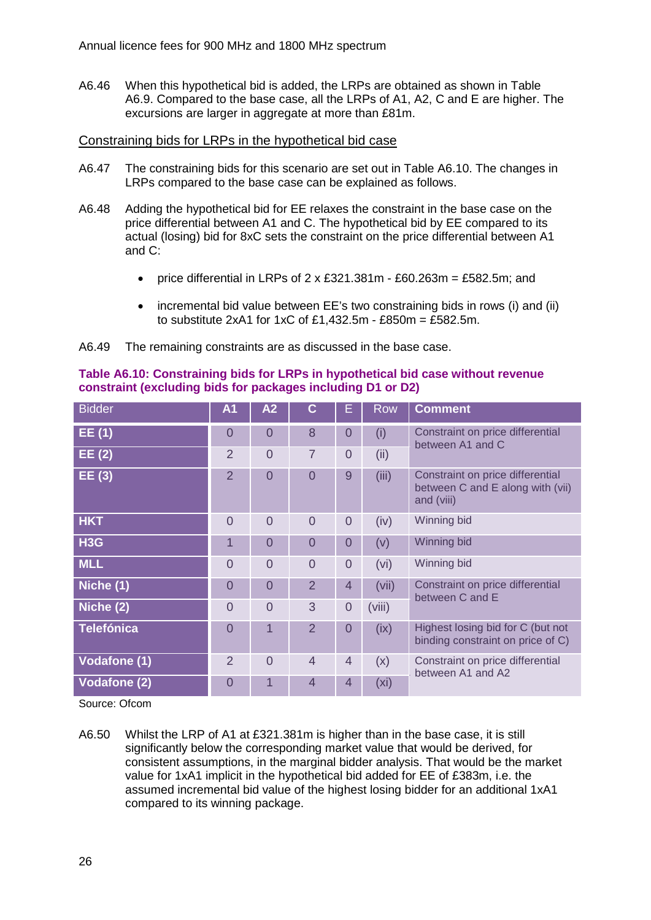A6.46 When this hypothetical bid is added, the LRPs are obtained as shown in Table A6.9. Compared to the base case, all the LRPs of A1, A2, C and E are higher. The excursions are larger in aggregate at more than £81m.

## Constraining bids for LRPs in the hypothetical bid case

- A6.47 The constraining bids for this scenario are set out in Table A6.10. The changes in LRPs compared to the base case can be explained as follows.
- A6.48 Adding the hypothetical bid for EE relaxes the constraint in the base case on the price differential between A1 and C. The hypothetical bid by EE compared to its actual (losing) bid for 8xC sets the constraint on the price differential between A1 and C:
	- price differential in LRPs of  $2 \times £321.381$ m £60.263m = £582.5m; and
	- incremental bid value between EE's two constraining bids in rows (i) and (ii) to substitute 2xA1 for 1xC of £1,432.5m - £850m = £582.5m.

A6.49 The remaining constraints are as discussed in the base case.

| <b>Bidder</b>       | A <sub>1</sub> | A2             | C              | E              | <b>Row</b> | <b>Comment</b>                                                                     |
|---------------------|----------------|----------------|----------------|----------------|------------|------------------------------------------------------------------------------------|
| EE(1)               | $\overline{0}$ | $\Omega$       | 8              | 0              | (i)        | Constraint on price differential<br>between A1 and C                               |
| EE(2)               | $\overline{2}$ | $\overline{0}$ | $\overline{7}$ | $\overline{0}$ | (ii)       |                                                                                    |
| EE(3)               | 2              | $\overline{0}$ | $\Omega$       | 9              | (iii)      | Constraint on price differential<br>between C and E along with (vii)<br>and (viii) |
| <b>HKT</b>          | $\Omega$       | $\Omega$       | $\Omega$       | $\overline{0}$ | (iv)       | Winning bid                                                                        |
| H <sub>3</sub> G    | 1              | $\overline{0}$ | $\overline{0}$ | $\overline{0}$ | (v)        | Winning bid                                                                        |
| <b>MLL</b>          | $\overline{0}$ | $\overline{0}$ | $\overline{0}$ | $\overline{0}$ | (vi)       | Winning bid                                                                        |
| Niche (1)           | $\overline{0}$ | $\overline{0}$ | $\overline{2}$ | $\overline{4}$ | (vii)      | Constraint on price differential<br>between C and E                                |
| Niche (2)           | $\Omega$       | $\Omega$       | 3              | $\overline{0}$ | (viii)     |                                                                                    |
| <b>Telefónica</b>   | $\overline{0}$ | 1              | 2              | $\overline{0}$ | (ix)       | Highest losing bid for C (but not<br>binding constraint on price of C)             |
| <b>Vodafone (1)</b> | 2              | $\Omega$       | $\overline{4}$ | $\overline{4}$ | (x)        | Constraint on price differential<br>between A1 and A2                              |
| <b>Vodafone (2)</b> | $\overline{0}$ |                | 4              | $\overline{4}$ | (xi)       |                                                                                    |

**Table A6.10: Constraining bids for LRPs in hypothetical bid case without revenue constraint (excluding bids for packages including D1 or D2)**

Source: Ofcom

A6.50 Whilst the LRP of A1 at £321.381m is higher than in the base case, it is still significantly below the corresponding market value that would be derived, for consistent assumptions, in the marginal bidder analysis. That would be the market value for 1xA1 implicit in the hypothetical bid added for EE of £383m, i.e. the assumed incremental bid value of the highest losing bidder for an additional 1xA1 compared to its winning package.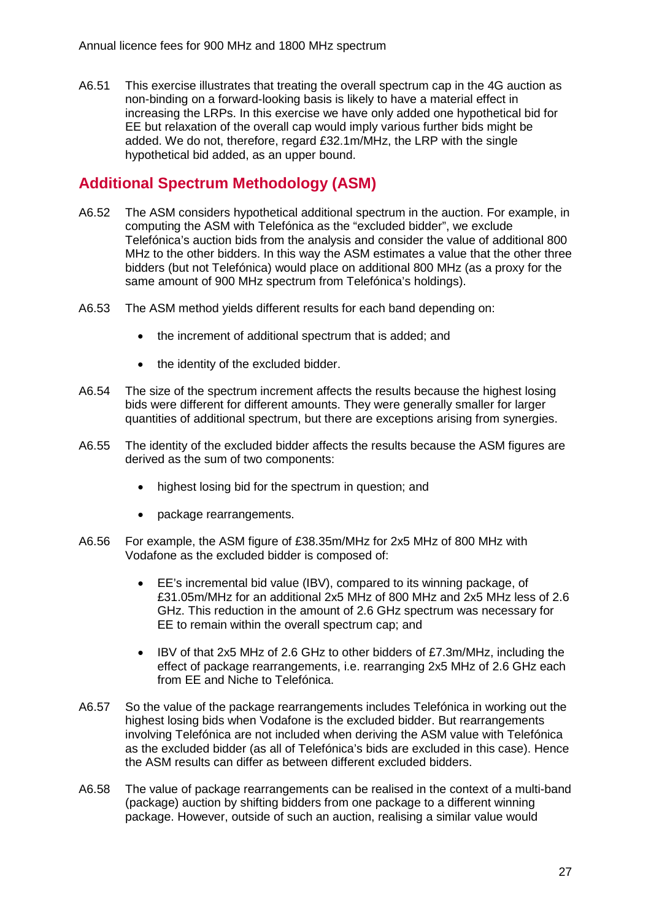A6.51 This exercise illustrates that treating the overall spectrum cap in the 4G auction as non-binding on a forward-looking basis is likely to have a material effect in increasing the LRPs. In this exercise we have only added one hypothetical bid for EE but relaxation of the overall cap would imply various further bids might be added. We do not, therefore, regard £32.1m/MHz, the LRP with the single hypothetical bid added, as an upper bound.

# **Additional Spectrum Methodology (ASM)**

- A6.52 The ASM considers hypothetical additional spectrum in the auction. For example, in computing the ASM with Telefónica as the "excluded bidder", we exclude Telefónica's auction bids from the analysis and consider the value of additional 800 MHz to the other bidders. In this way the ASM estimates a value that the other three bidders (but not Telefónica) would place on additional 800 MHz (as a proxy for the same amount of 900 MHz spectrum from Telefónica's holdings).
- A6.53 The ASM method yields different results for each band depending on:
	- the increment of additional spectrum that is added; and
	- the identity of the excluded bidder.
- A6.54 The size of the spectrum increment affects the results because the highest losing bids were different for different amounts. They were generally smaller for larger quantities of additional spectrum, but there are exceptions arising from synergies.
- A6.55 The identity of the excluded bidder affects the results because the ASM figures are derived as the sum of two components:
	- highest losing bid for the spectrum in question; and
	- package rearrangements.
- A6.56 For example, the ASM figure of £38.35m/MHz for 2x5 MHz of 800 MHz with Vodafone as the excluded bidder is composed of:
	- EE's incremental bid value (IBV), compared to its winning package, of £31.05m/MHz for an additional 2x5 MHz of 800 MHz and 2x5 MHz less of 2.6 GHz. This reduction in the amount of 2.6 GHz spectrum was necessary for EE to remain within the overall spectrum cap; and
	- IBV of that 2x5 MHz of 2.6 GHz to other bidders of £7.3m/MHz, including the effect of package rearrangements, i.e. rearranging 2x5 MHz of 2.6 GHz each from EE and Niche to Telefónica.
- A6.57 So the value of the package rearrangements includes Telefónica in working out the highest losing bids when Vodafone is the excluded bidder. But rearrangements involving Telefónica are not included when deriving the ASM value with Telefónica as the excluded bidder (as all of Telefónica's bids are excluded in this case). Hence the ASM results can differ as between different excluded bidders.
- A6.58 The value of package rearrangements can be realised in the context of a multi-band (package) auction by shifting bidders from one package to a different winning package. However, outside of such an auction, realising a similar value would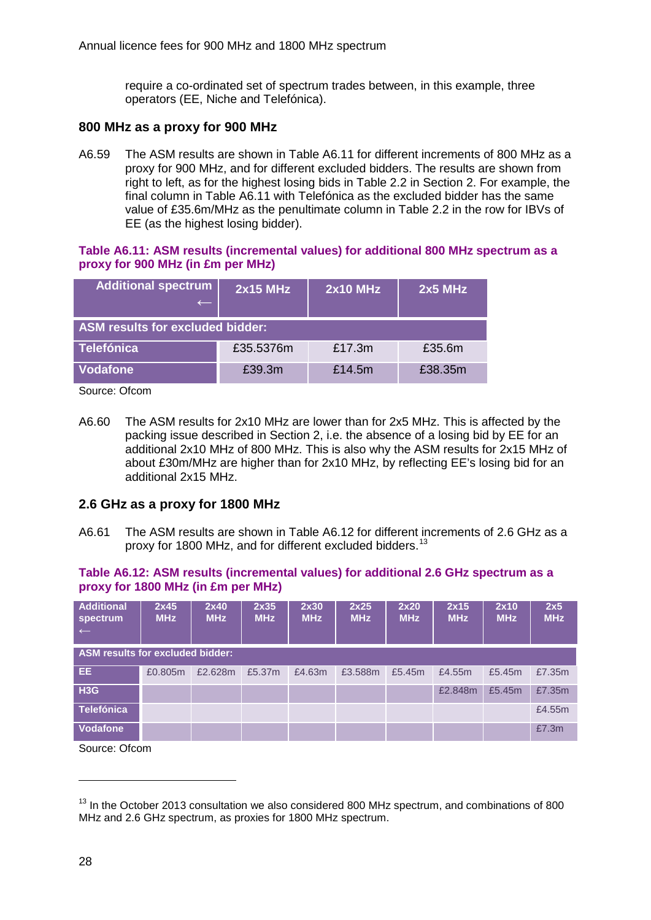require a co-ordinated set of spectrum trades between, in this example, three operators (EE, Niche and Telefónica).

## **800 MHz as a proxy for 900 MHz**

A6.59 The ASM results are shown in Table A6.11 for different increments of 800 MHz as a proxy for 900 MHz, and for different excluded bidders. The results are shown from right to left, as for the highest losing bids in Table 2.2 in Section 2. For example, the final column in Table A6.11 with Telefónica as the excluded bidder has the same value of £35.6m/MHz as the penultimate column in Table 2.2 in the row for IBVs of EE (as the highest losing bidder).

#### **Table A6.11: ASM results (incremental values) for additional 800 MHz spectrum as a proxy for 900 MHz (in £m per MHz)**

| <b>Additional spectrum</b>              | $2x15$ MHz | $2x10$ MHz | $2x5$ MHz |  |  |  |  |  |
|-----------------------------------------|------------|------------|-----------|--|--|--|--|--|
| <b>ASM results for excluded bidder:</b> |            |            |           |  |  |  |  |  |
| <b>Telefónica</b>                       | £35.5376m  | £17.3m     | £35.6m    |  |  |  |  |  |
| <b>Vodafone</b>                         | £39.3m     | £14.5m     | £38.35m   |  |  |  |  |  |

Source: Ofcom

A6.60 The ASM results for 2x10 MHz are lower than for 2x5 MHz. This is affected by the packing issue described in Section 2, i.e. the absence of a losing bid by EE for an additional 2x10 MHz of 800 MHz. This is also why the ASM results for 2x15 MHz of about £30m/MHz are higher than for 2x10 MHz, by reflecting EE's losing bid for an additional 2x15 MHz.

## **2.6 GHz as a proxy for 1800 MHz**

A6.61 The ASM results are shown in Table A6.12 for different increments of 2.6 GHz as a proxy for 1800 MHz, and for different excluded bidders.<sup>[13](#page-28-0)</sup>

## **Table A6.12: ASM results (incremental values) for additional 2.6 GHz spectrum as a proxy for 1800 MHz (in £m per MHz)**

| <b>Additional</b><br>spectrum<br>$\leftarrow$ | 2x45<br><b>MHz</b> | 2x40<br><b>MHz</b> | 2x35<br><b>MHz</b> | 2x30<br><b>MHz</b> | 2x25<br><b>MHz</b> | 2x20<br><b>MHz</b> | 2x15<br><b>MHz</b> | 2x10<br><b>MHz</b> | 2x5<br><b>MHz</b> |
|-----------------------------------------------|--------------------|--------------------|--------------------|--------------------|--------------------|--------------------|--------------------|--------------------|-------------------|
| <b>ASM results for excluded bidder:</b>       |                    |                    |                    |                    |                    |                    |                    |                    |                   |
| EE.                                           | £0.805m            | £2.628m            | £5.37m             | £4.63m             | £3.588m            | £5.45m             | £4.55m             | £5.45m             | £7.35m            |
| H3G                                           |                    |                    |                    |                    |                    |                    | £2.848m            | £5.45m             | £7.35m            |
| <b>Telefónica</b>                             |                    |                    |                    |                    |                    |                    |                    |                    | £4.55m            |
| <b>Vodafone</b>                               |                    |                    |                    |                    |                    |                    |                    |                    | £7.3m             |

Source: Ofcom

<span id="page-28-0"></span> $13$  In the October 2013 consultation we also considered 800 MHz spectrum, and combinations of 800 MHz and 2.6 GHz spectrum, as proxies for 1800 MHz spectrum.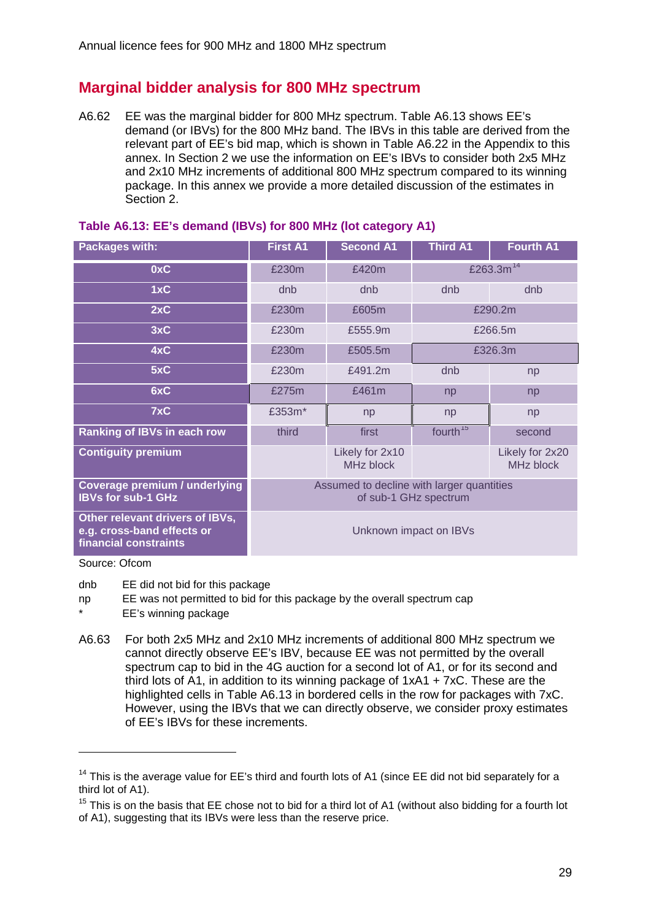# **Marginal bidder analysis for 800 MHz spectrum**

A6.62 EE was the marginal bidder for 800 MHz spectrum. Table A6.13 shows EE's demand (or IBVs) for the 800 MHz band. The IBVs in this table are derived from the relevant part of EE's bid map, which is shown in Table A6.22 in the Appendix to this annex. In Section 2 we use the information on EE's IBVs to consider both 2x5 MHz and 2x10 MHz increments of additional 800 MHz spectrum compared to its winning package. In this annex we provide a more detailed discussion of the estimates in Section 2.

| <b>Packages with:</b>                                                                  | <b>First A1</b>                                                    | <b>Second A1</b>             | <b>Third A1</b>      | <b>Fourth A1</b>             |  |  |
|----------------------------------------------------------------------------------------|--------------------------------------------------------------------|------------------------------|----------------------|------------------------------|--|--|
| 0xC                                                                                    | £230m                                                              | £420m                        | £263.3 $m^{14}$      |                              |  |  |
| 1xC                                                                                    | dnb                                                                | dnb                          | dnb                  | dnb                          |  |  |
| 2xC                                                                                    | £230m                                                              | £605m                        |                      | £290.2m                      |  |  |
| 3xC                                                                                    | £230m                                                              | £555.9m                      |                      | £266.5m                      |  |  |
| 4xC                                                                                    | £230m                                                              | £505.5m                      | £326.3m              |                              |  |  |
| 5xC                                                                                    | £230m                                                              | £491.2m                      | dnb                  | np                           |  |  |
| 6xC                                                                                    | £275m                                                              | £461m                        | np                   | np                           |  |  |
| 7xC                                                                                    | £353m*                                                             | np                           | np                   | np                           |  |  |
| <b>Ranking of IBVs in each row</b>                                                     | third                                                              | first                        | fourth <sup>15</sup> | second                       |  |  |
| <b>Contiguity premium</b>                                                              |                                                                    | Likely for 2x10<br>MHz block |                      | Likely for 2x20<br>MHz block |  |  |
| Coverage premium / underlying<br><b>IBVs for sub-1 GHz</b>                             | Assumed to decline with larger quantities<br>of sub-1 GHz spectrum |                              |                      |                              |  |  |
| Other relevant drivers of IBVs,<br>e.g. cross-band effects or<br>financial constraints | Unknown impact on IBVs                                             |                              |                      |                              |  |  |

#### **Table A6.13: EE's demand (IBVs) for 800 MHz (lot category A1)**

Source: Ofcom

-

dnb EE did not bid for this package

- np EE was not permitted to bid for this package by the overall spectrum cap EE's winning package
- A6.63 For both 2x5 MHz and 2x10 MHz increments of additional 800 MHz spectrum we cannot directly observe EE's IBV, because EE was not permitted by the overall spectrum cap to bid in the 4G auction for a second lot of A1, or for its second and third lots of A1, in addition to its winning package of  $1xA1 + 7xC$ . These are the highlighted cells in Table A6.13 in bordered cells in the row for packages with 7xC. However, using the IBVs that we can directly observe, we consider proxy estimates of EE's IBVs for these increments.

<span id="page-29-0"></span><sup>&</sup>lt;sup>14</sup> This is the average value for EE's third and fourth lots of A1 (since EE did not bid separately for a third lot of A1).

<span id="page-29-1"></span> $15$  This is on the basis that EE chose not to bid for a third lot of A1 (without also bidding for a fourth lot of A1), suggesting that its IBVs were less than the reserve price.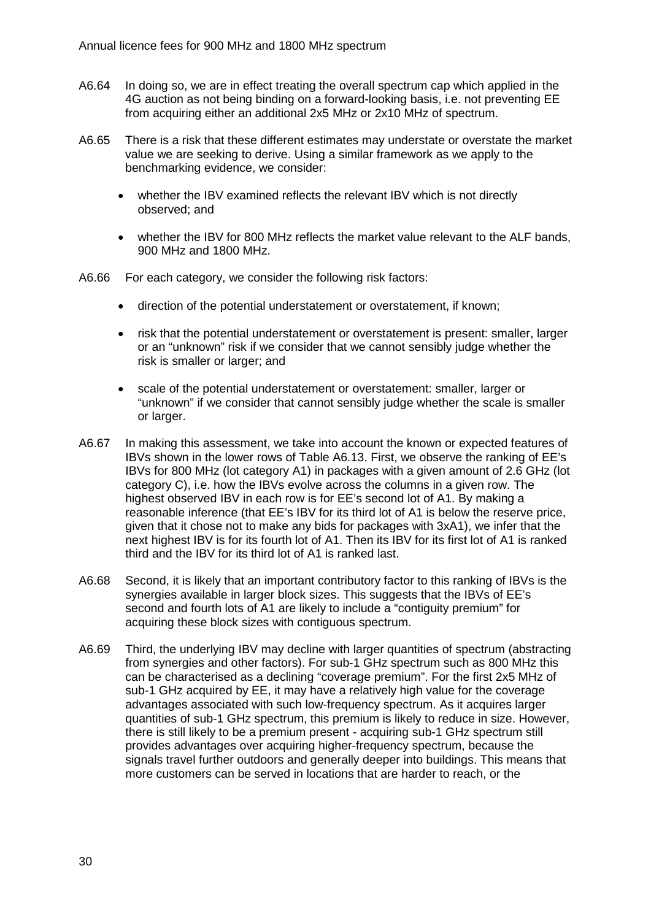- A6.64 In doing so, we are in effect treating the overall spectrum cap which applied in the 4G auction as not being binding on a forward-looking basis, i.e. not preventing EE from acquiring either an additional 2x5 MHz or 2x10 MHz of spectrum.
- A6.65 There is a risk that these different estimates may understate or overstate the market value we are seeking to derive. Using a similar framework as we apply to the benchmarking evidence, we consider:
	- whether the IBV examined reflects the relevant IBV which is not directly observed; and
	- whether the IBV for 800 MHz reflects the market value relevant to the ALF bands, 900 MHz and 1800 MHz.
- A6.66 For each category, we consider the following risk factors:
	- direction of the potential understatement or overstatement, if known;
	- risk that the potential understatement or overstatement is present: smaller, larger or an "unknown" risk if we consider that we cannot sensibly judge whether the risk is smaller or larger; and
	- scale of the potential understatement or overstatement: smaller, larger or "unknown" if we consider that cannot sensibly judge whether the scale is smaller or larger.
- A6.67 In making this assessment, we take into account the known or expected features of IBVs shown in the lower rows of Table A6.13. First, we observe the ranking of EE's IBVs for 800 MHz (lot category A1) in packages with a given amount of 2.6 GHz (lot category C), i.e. how the IBVs evolve across the columns in a given row. The highest observed IBV in each row is for EE's second lot of A1. By making a reasonable inference (that EE's IBV for its third lot of A1 is below the reserve price, given that it chose not to make any bids for packages with 3xA1), we infer that the next highest IBV is for its fourth lot of A1. Then its IBV for its first lot of A1 is ranked third and the IBV for its third lot of A1 is ranked last.
- A6.68 Second, it is likely that an important contributory factor to this ranking of IBVs is the synergies available in larger block sizes. This suggests that the IBVs of EE's second and fourth lots of A1 are likely to include a "contiguity premium" for acquiring these block sizes with contiguous spectrum.
- A6.69 Third, the underlying IBV may decline with larger quantities of spectrum (abstracting from synergies and other factors). For sub-1 GHz spectrum such as 800 MHz this can be characterised as a declining "coverage premium". For the first 2x5 MHz of sub-1 GHz acquired by EE, it may have a relatively high value for the coverage advantages associated with such low-frequency spectrum. As it acquires larger quantities of sub-1 GHz spectrum, this premium is likely to reduce in size. However, there is still likely to be a premium present - acquiring sub-1 GHz spectrum still provides advantages over acquiring higher-frequency spectrum, because the signals travel further outdoors and generally deeper into buildings. This means that more customers can be served in locations that are harder to reach, or the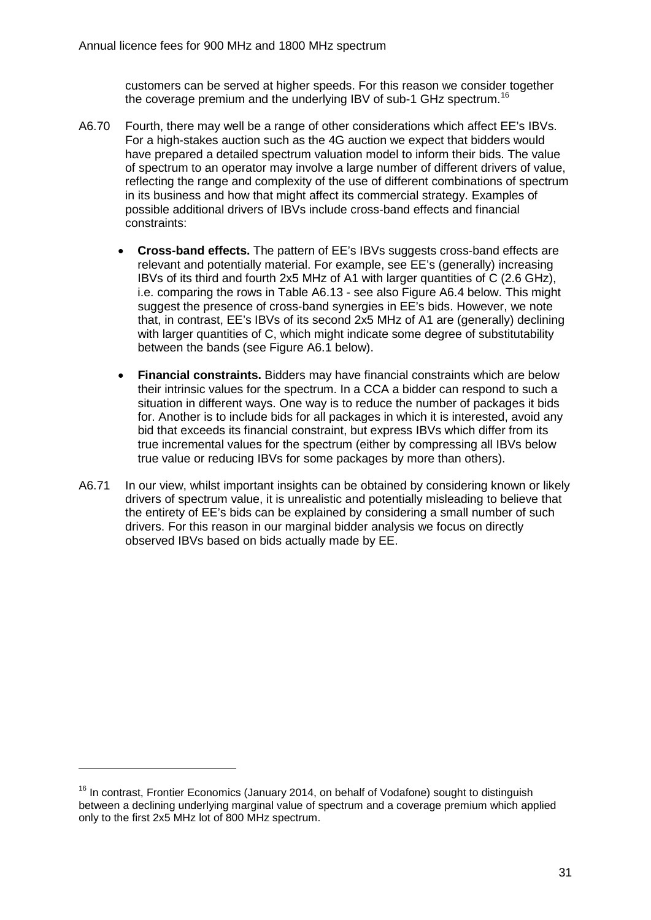customers can be served at higher speeds. For this reason we consider together the coverage premium and the underlying IBV of sub-1 GHz spectrum.<sup>[16](#page-31-0)</sup>

- A6.70 Fourth, there may well be a range of other considerations which affect EE's IBVs. For a high-stakes auction such as the 4G auction we expect that bidders would have prepared a detailed spectrum valuation model to inform their bids. The value of spectrum to an operator may involve a large number of different drivers of value, reflecting the range and complexity of the use of different combinations of spectrum in its business and how that might affect its commercial strategy. Examples of possible additional drivers of IBVs include cross-band effects and financial constraints:
	- **Cross-band effects.** The pattern of EE's IBVs suggests cross-band effects are relevant and potentially material. For example, see EE's (generally) increasing IBVs of its third and fourth 2x5 MHz of A1 with larger quantities of C (2.6 GHz), i.e. comparing the rows in Table A6.13 - see also Figure A6.4 below. This might suggest the presence of cross-band synergies in EE's bids. However, we note that, in contrast, EE's IBVs of its second 2x5 MHz of A1 are (generally) declining with larger quantities of C, which might indicate some degree of substitutability between the bands (see Figure A6.1 below).
	- **Financial constraints.** Bidders may have financial constraints which are below their intrinsic values for the spectrum. In a CCA a bidder can respond to such a situation in different ways. One way is to reduce the number of packages it bids for. Another is to include bids for all packages in which it is interested, avoid any bid that exceeds its financial constraint, but express IBVs which differ from its true incremental values for the spectrum (either by compressing all IBVs below true value or reducing IBVs for some packages by more than others).
- A6.71 In our view, whilst important insights can be obtained by considering known or likely drivers of spectrum value, it is unrealistic and potentially misleading to believe that the entirety of EE's bids can be explained by considering a small number of such drivers. For this reason in our marginal bidder analysis we focus on directly observed IBVs based on bids actually made by EE.

<span id="page-31-0"></span> $16$  In contrast, Frontier Economics (January 2014, on behalf of Vodafone) sought to distinguish between a declining underlying marginal value of spectrum and a coverage premium which applied only to the first 2x5 MHz lot of 800 MHz spectrum.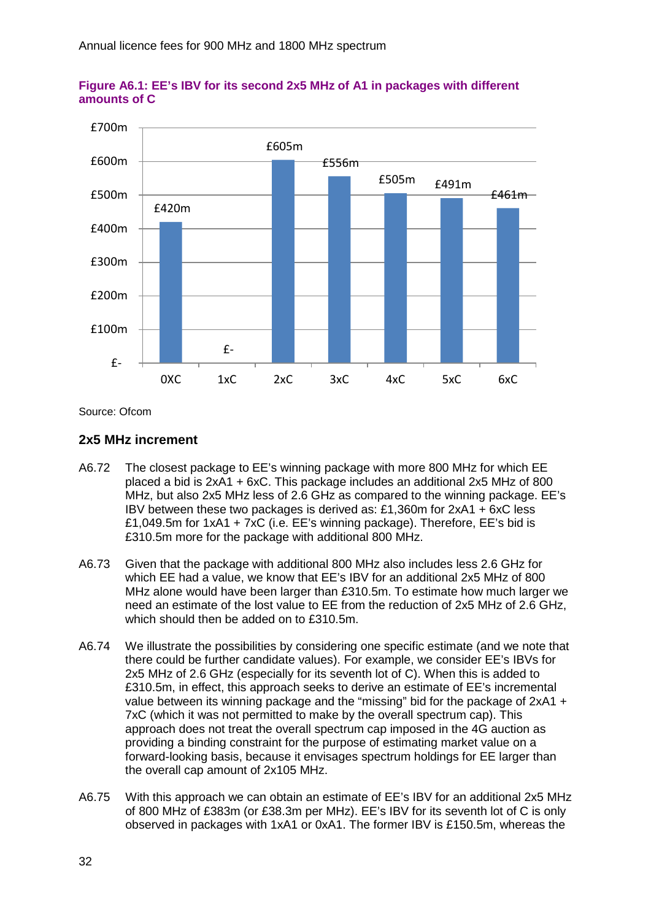



Source: Ofcom

#### **2x5 MHz increment**

- A6.72 The closest package to EE's winning package with more 800 MHz for which EE placed a bid is 2xA1 + 6xC. This package includes an additional 2x5 MHz of 800 MHz, but also 2x5 MHz less of 2.6 GHz as compared to the winning package. EE's IBV between these two packages is derived as: £1,360m for 2xA1 + 6xC less £1,049.5m for 1xA1 + 7xC (i.e. EE's winning package). Therefore, EE's bid is £310.5m more for the package with additional 800 MHz.
- A6.73 Given that the package with additional 800 MHz also includes less 2.6 GHz for which EE had a value, we know that EE's IBV for an additional 2x5 MHz of 800 MHz alone would have been larger than £310.5m. To estimate how much larger we need an estimate of the lost value to EE from the reduction of 2x5 MHz of 2.6 GHz, which should then be added on to £310.5m.
- A6.74 We illustrate the possibilities by considering one specific estimate (and we note that there could be further candidate values). For example, we consider EE's IBVs for 2x5 MHz of 2.6 GHz (especially for its seventh lot of C). When this is added to £310.5m, in effect, this approach seeks to derive an estimate of EE's incremental value between its winning package and the "missing" bid for the package of 2xA1 + 7xC (which it was not permitted to make by the overall spectrum cap). This approach does not treat the overall spectrum cap imposed in the 4G auction as providing a binding constraint for the purpose of estimating market value on a forward-looking basis, because it envisages spectrum holdings for EE larger than the overall cap amount of 2x105 MHz.
- A6.75 With this approach we can obtain an estimate of EE's IBV for an additional 2x5 MHz of 800 MHz of £383m (or £38.3m per MHz). EE's IBV for its seventh lot of C is only observed in packages with 1xA1 or 0xA1. The former IBV is £150.5m, whereas the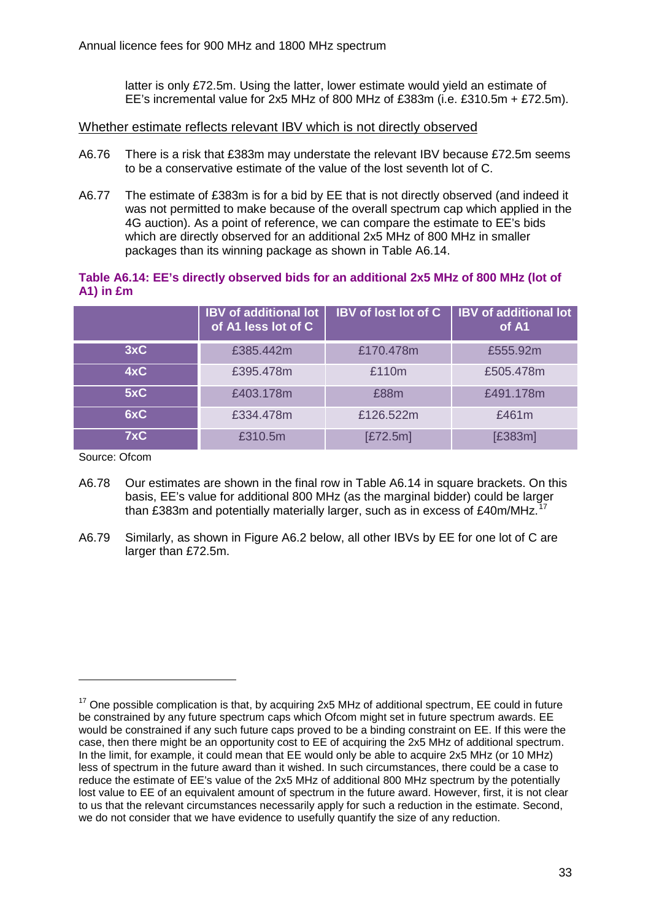latter is only £72.5m. Using the latter, lower estimate would yield an estimate of EE's incremental value for 2x5 MHz of 800 MHz of £383m (i.e. £310.5m + £72.5m).

Whether estimate reflects relevant IBV which is not directly observed

- A6.76 There is a risk that £383m may understate the relevant IBV because £72.5m seems to be a conservative estimate of the value of the lost seventh lot of C.
- A6.77 The estimate of £383m is for a bid by EE that is not directly observed (and indeed it was not permitted to make because of the overall spectrum cap which applied in the 4G auction). As a point of reference, we can compare the estimate to EE's bids which are directly observed for an additional 2x5 MHz of 800 MHz in smaller packages than its winning package as shown in Table A6.14.

## **Table A6.14: EE's directly observed bids for an additional 2x5 MHz of 800 MHz (lot of A1) in £m**

|     | <b>IBV</b> of additional lot<br>of A1 less lot of C | <b>IBV</b> of lost lot of C | <b>IBV</b> of additional lot<br>of A1 |
|-----|-----------------------------------------------------|-----------------------------|---------------------------------------|
| 3xC | £385.442m                                           | £170.478m                   | £555.92m                              |
| 4xC | £395,478m                                           | £110m                       | £505,478m                             |
| 5xC | £403.178m                                           | £88m                        | £491.178m                             |
| 6xC | £334,478m                                           | £126.522m                   | £461 $m$                              |
| 7xC | £310.5m                                             | E72.5m                      | [£383m]                               |

Source: Ofcom

- A6.78 Our estimates are shown in the final row in Table A6.14 in square brackets. On this basis, EE's value for additional 800 MHz (as the marginal bidder) could be larger than £383m and potentially materially larger, such as in excess of £40m/MHz.<sup>[17](#page-33-0)</sup>
- A6.79 Similarly, as shown in Figure A6.2 below, all other IBVs by EE for one lot of C are larger than £72.5m.

<span id="page-33-0"></span> $17$  One possible complication is that, by acquiring 2x5 MHz of additional spectrum, EE could in future be constrained by any future spectrum caps which Ofcom might set in future spectrum awards. EE would be constrained if any such future caps proved to be a binding constraint on EE. If this were the case, then there might be an opportunity cost to EE of acquiring the 2x5 MHz of additional spectrum. In the limit, for example, it could mean that EE would only be able to acquire 2x5 MHz (or 10 MHz) less of spectrum in the future award than it wished. In such circumstances, there could be a case to reduce the estimate of EE's value of the 2x5 MHz of additional 800 MHz spectrum by the potentially lost value to EE of an equivalent amount of spectrum in the future award. However, first, it is not clear to us that the relevant circumstances necessarily apply for such a reduction in the estimate. Second, we do not consider that we have evidence to usefully quantify the size of any reduction.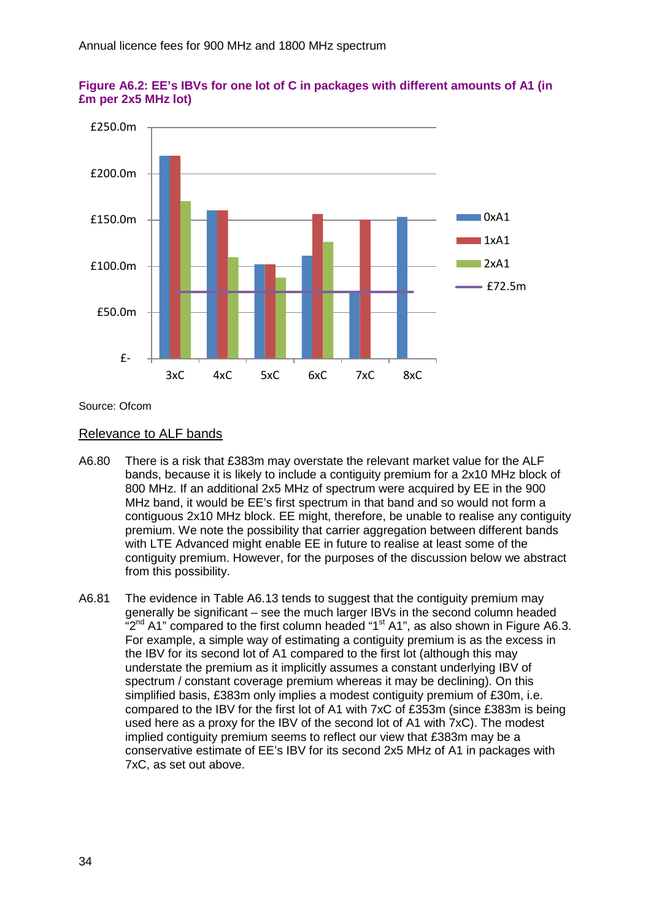



Source: Ofcom

#### Relevance to ALF bands

- A6.80 There is a risk that £383m may overstate the relevant market value for the ALF bands, because it is likely to include a contiguity premium for a 2x10 MHz block of 800 MHz. If an additional 2x5 MHz of spectrum were acquired by EE in the 900 MHz band, it would be EE's first spectrum in that band and so would not form a contiguous 2x10 MHz block. EE might, therefore, be unable to realise any contiguity premium. We note the possibility that carrier aggregation between different bands with LTE Advanced might enable EE in future to realise at least some of the contiguity premium. However, for the purposes of the discussion below we abstract from this possibility.
- A6.81 The evidence in Table A6.13 tends to suggest that the contiguity premium may generally be significant – see the much larger IBVs in the second column headed " $2<sup>nd</sup>$  A1" compared to the first column headed "1<sup>st</sup> A1", as also shown in Figure A6.3. For example, a simple way of estimating a contiguity premium is as the excess in the IBV for its second lot of A1 compared to the first lot (although this may understate the premium as it implicitly assumes a constant underlying IBV of spectrum / constant coverage premium whereas it may be declining). On this simplified basis, £383m only implies a modest contiguity premium of £30m, i.e. compared to the IBV for the first lot of A1 with 7xC of £353m (since £383m is being used here as a proxy for the IBV of the second lot of A1 with 7xC). The modest implied contiguity premium seems to reflect our view that £383m may be a conservative estimate of EE's IBV for its second 2x5 MHz of A1 in packages with 7xC, as set out above.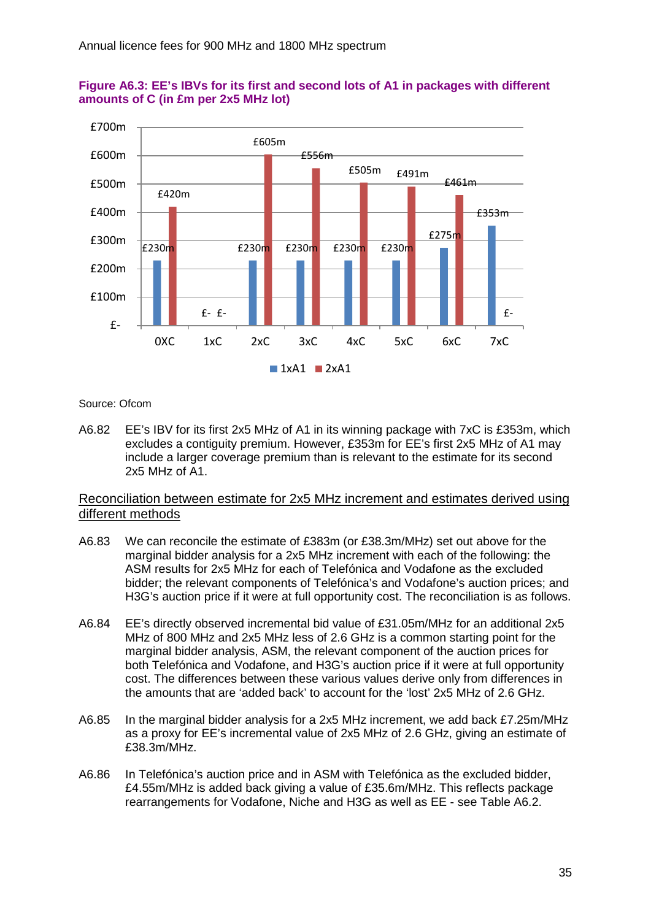



#### Source: Ofcom

A6.82 EE's IBV for its first 2x5 MHz of A1 in its winning package with 7xC is £353m, which excludes a contiguity premium. However, £353m for EE's first 2x5 MHz of A1 may include a larger coverage premium than is relevant to the estimate for its second 2x5 MHz of A1.

## Reconciliation between estimate for 2x5 MHz increment and estimates derived using different methods

- A6.83 We can reconcile the estimate of £383m (or £38.3m/MHz) set out above for the marginal bidder analysis for a 2x5 MHz increment with each of the following: the ASM results for 2x5 MHz for each of Telefónica and Vodafone as the excluded bidder; the relevant components of Telefónica's and Vodafone's auction prices; and H3G's auction price if it were at full opportunity cost. The reconciliation is as follows.
- A6.84 EE's directly observed incremental bid value of £31.05m/MHz for an additional 2x5 MHz of 800 MHz and 2x5 MHz less of 2.6 GHz is a common starting point for the marginal bidder analysis, ASM, the relevant component of the auction prices for both Telefónica and Vodafone, and H3G's auction price if it were at full opportunity cost. The differences between these various values derive only from differences in the amounts that are 'added back' to account for the 'lost' 2x5 MHz of 2.6 GHz.
- A6.85 In the marginal bidder analysis for a 2x5 MHz increment, we add back £7.25m/MHz as a proxy for EE's incremental value of 2x5 MHz of 2.6 GHz, giving an estimate of £38.3m/MHz.
- A6.86 In Telefónica's auction price and in ASM with Telefónica as the excluded bidder, £4.55m/MHz is added back giving a value of £35.6m/MHz. This reflects package rearrangements for Vodafone, Niche and H3G as well as EE - see Table A6.2.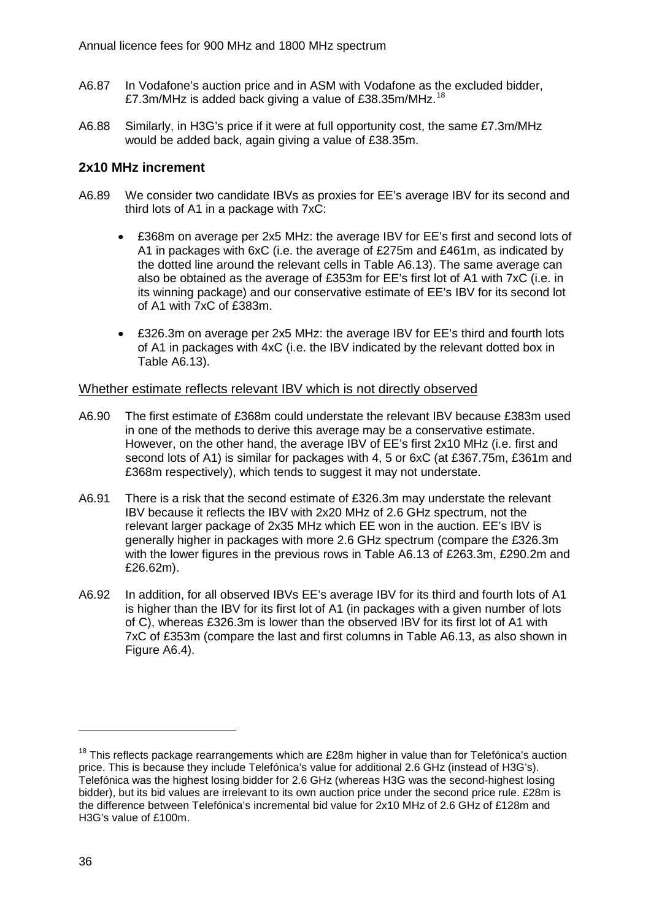- A6.87 In Vodafone's auction price and in ASM with Vodafone as the excluded bidder, £7.3m/MHz is added back giving a value of £38.35m/MHz.<sup>[18](#page-36-0)</sup>
- A6.88 Similarly, in H3G's price if it were at full opportunity cost, the same £7.3m/MHz would be added back, again giving a value of £38.35m.

## **2x10 MHz increment**

- A6.89 We consider two candidate IBVs as proxies for EE's average IBV for its second and third lots of A1 in a package with 7xC:
	- £368m on average per 2x5 MHz: the average IBV for EE's first and second lots of A1 in packages with 6xC (i.e. the average of £275m and £461m, as indicated by the dotted line around the relevant cells in Table A6.13). The same average can also be obtained as the average of £353m for EE's first lot of A1 with 7xC (i.e. in its winning package) and our conservative estimate of EE's IBV for its second lot of A1 with 7xC of £383m.
	- £326.3m on average per 2x5 MHz: the average IBV for EE's third and fourth lots of A1 in packages with 4xC (i.e. the IBV indicated by the relevant dotted box in Table A6.13).

#### Whether estimate reflects relevant IBV which is not directly observed

- A6.90 The first estimate of £368m could understate the relevant IBV because £383m used in one of the methods to derive this average may be a conservative estimate. However, on the other hand, the average IBV of EE's first 2x10 MHz (i.e. first and second lots of A1) is similar for packages with 4, 5 or 6xC (at £367.75m, £361m and £368m respectively), which tends to suggest it may not understate.
- A6.91 There is a risk that the second estimate of £326.3m may understate the relevant IBV because it reflects the IBV with 2x20 MHz of 2.6 GHz spectrum, not the relevant larger package of 2x35 MHz which EE won in the auction. EE's IBV is generally higher in packages with more 2.6 GHz spectrum (compare the £326.3m with the lower figures in the previous rows in Table A6.13 of £263.3m, £290.2m and £26.62m).
- A6.92 In addition, for all observed IBVs EE's average IBV for its third and fourth lots of A1 is higher than the IBV for its first lot of A1 (in packages with a given number of lots of C), whereas £326.3m is lower than the observed IBV for its first lot of A1 with 7xC of £353m (compare the last and first columns in Table A6.13, as also shown in Figure A6.4).

<span id="page-36-0"></span> $18$  This reflects package rearrangements which are £28m higher in value than for Telefónica's auction price. This is because they include Telefónica's value for additional 2.6 GHz (instead of H3G's). Telefónica was the highest losing bidder for 2.6 GHz (whereas H3G was the second-highest losing bidder), but its bid values are irrelevant to its own auction price under the second price rule. £28m is the difference between Telefónica's incremental bid value for 2x10 MHz of 2.6 GHz of £128m and H3G's value of £100m.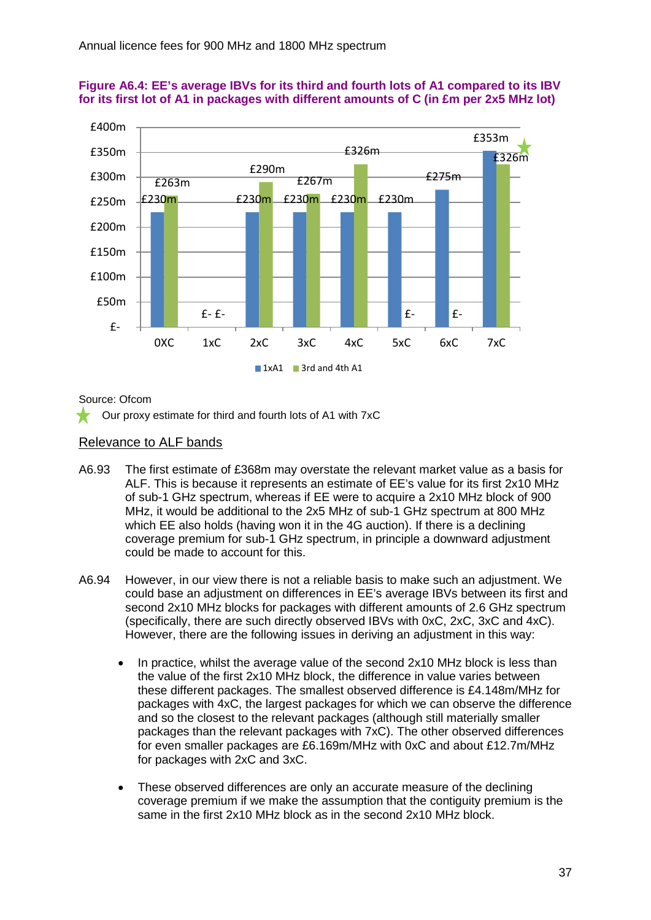



Source: Ofcom

Our proxy estimate for third and fourth lots of A1 with 7xC

#### Relevance to ALF bands

- A6.93 The first estimate of £368m may overstate the relevant market value as a basis for ALF. This is because it represents an estimate of EE's value for its first 2x10 MHz of sub-1 GHz spectrum, whereas if EE were to acquire a 2x10 MHz block of 900 MHz, it would be additional to the 2x5 MHz of sub-1 GHz spectrum at 800 MHz which EE also holds (having won it in the 4G auction). If there is a declining coverage premium for sub-1 GHz spectrum, in principle a downward adjustment could be made to account for this.
- A6.94 However, in our view there is not a reliable basis to make such an adjustment. We could base an adjustment on differences in EE's average IBVs between its first and second 2x10 MHz blocks for packages with different amounts of 2.6 GHz spectrum (specifically, there are such directly observed IBVs with 0xC, 2xC, 3xC and 4xC). However, there are the following issues in deriving an adjustment in this way:
	- In practice, whilst the average value of the second 2x10 MHz block is less than the value of the first 2x10 MHz block, the difference in value varies between these different packages. The smallest observed difference is £4.148m/MHz for packages with 4xC, the largest packages for which we can observe the difference and so the closest to the relevant packages (although still materially smaller packages than the relevant packages with 7xC). The other observed differences for even smaller packages are £6.169m/MHz with 0xC and about £12.7m/MHz for packages with 2xC and 3xC.
	- These observed differences are only an accurate measure of the declining coverage premium if we make the assumption that the contiguity premium is the same in the first 2x10 MHz block as in the second 2x10 MHz block.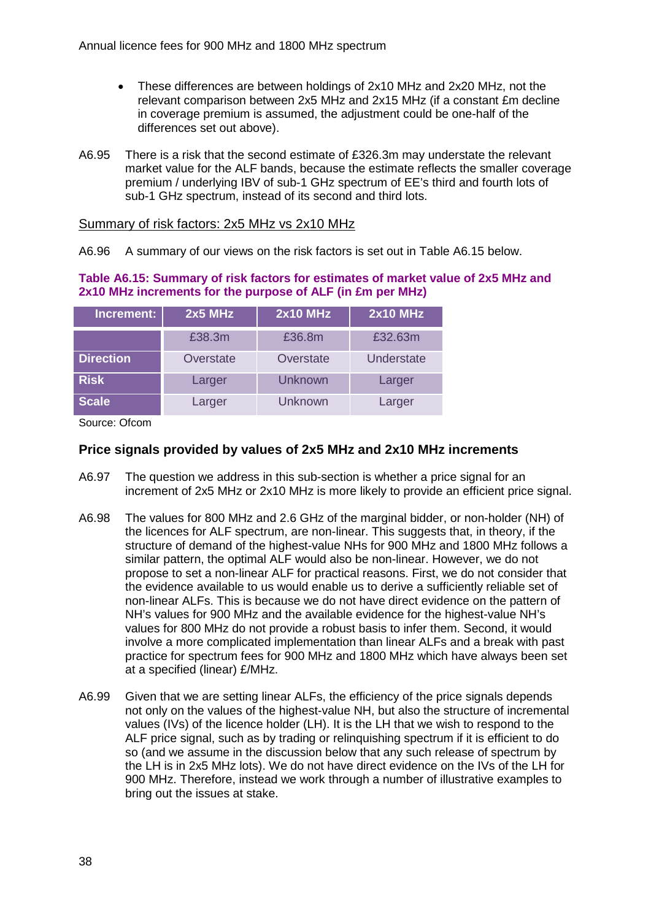- These differences are between holdings of 2x10 MHz and 2x20 MHz, not the relevant comparison between 2x5 MHz and 2x15 MHz (if a constant £m decline in coverage premium is assumed, the adjustment could be one-half of the differences set out above).
- A6.95 There is a risk that the second estimate of £326.3m may understate the relevant market value for the ALF bands, because the estimate reflects the smaller coverage premium / underlying IBV of sub-1 GHz spectrum of EE's third and fourth lots of sub-1 GHz spectrum, instead of its second and third lots.

#### Summary of risk factors: 2x5 MHz vs 2x10 MHz

A6.96 A summary of our views on the risk factors is set out in Table A6.15 below.

## **Table A6.15: Summary of risk factors for estimates of market value of 2x5 MHz and 2x10 MHz increments for the purpose of ALF (in £m per MHz)**

| Increment:       | $2x5$ MHz | <b>2x10 MHz</b> | <b>2x10 MHz</b> |
|------------------|-----------|-----------------|-----------------|
|                  | £38.3m    | £36.8m          | £32.63m         |
| <b>Direction</b> | Overstate | Overstate       | Understate      |
| <b>Risk</b>      | Larger    | Unknown         | Larger          |
| <b>Scale</b>     | Larger    | Unknown         | Larger          |

Source: Ofcom

## **Price signals provided by values of 2x5 MHz and 2x10 MHz increments**

- A6.97 The question we address in this sub-section is whether a price signal for an increment of 2x5 MHz or 2x10 MHz is more likely to provide an efficient price signal.
- A6.98 The values for 800 MHz and 2.6 GHz of the marginal bidder, or non-holder (NH) of the licences for ALF spectrum, are non-linear. This suggests that, in theory, if the structure of demand of the highest-value NHs for 900 MHz and 1800 MHz follows a similar pattern, the optimal ALF would also be non-linear. However, we do not propose to set a non-linear ALF for practical reasons. First, we do not consider that the evidence available to us would enable us to derive a sufficiently reliable set of non-linear ALFs. This is because we do not have direct evidence on the pattern of NH's values for 900 MHz and the available evidence for the highest-value NH's values for 800 MHz do not provide a robust basis to infer them. Second, it would involve a more complicated implementation than linear ALFs and a break with past practice for spectrum fees for 900 MHz and 1800 MHz which have always been set at a specified (linear) £/MHz.
- A6.99 Given that we are setting linear ALFs, the efficiency of the price signals depends not only on the values of the highest-value NH, but also the structure of incremental values (IVs) of the licence holder (LH). It is the LH that we wish to respond to the ALF price signal, such as by trading or relinquishing spectrum if it is efficient to do so (and we assume in the discussion below that any such release of spectrum by the LH is in 2x5 MHz lots). We do not have direct evidence on the IVs of the LH for 900 MHz. Therefore, instead we work through a number of illustrative examples to bring out the issues at stake.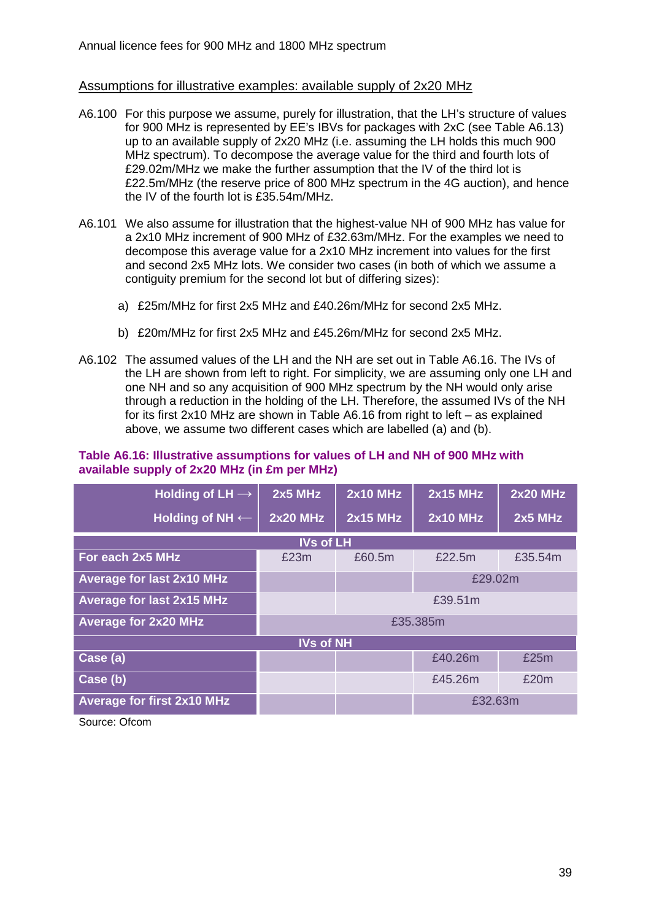#### Assumptions for illustrative examples: available supply of 2x20 MHz

- A6.100 For this purpose we assume, purely for illustration, that the LH's structure of values for 900 MHz is represented by EE's IBVs for packages with 2xC (see Table A6.13) up to an available supply of 2x20 MHz (i.e. assuming the LH holds this much 900 MHz spectrum). To decompose the average value for the third and fourth lots of £29.02m/MHz we make the further assumption that the IV of the third lot is £22.5m/MHz (the reserve price of 800 MHz spectrum in the 4G auction), and hence the IV of the fourth lot is £35.54m/MHz.
- A6.101 We also assume for illustration that the highest-value NH of 900 MHz has value for a 2x10 MHz increment of 900 MHz of £32.63m/MHz. For the examples we need to decompose this average value for a 2x10 MHz increment into values for the first and second 2x5 MHz lots. We consider two cases (in both of which we assume a contiguity premium for the second lot but of differing sizes):
	- a) £25m/MHz for first 2x5 MHz and £40.26m/MHz for second 2x5 MHz.
	- b) £20m/MHz for first 2x5 MHz and £45.26m/MHz for second 2x5 MHz.
- A6.102 The assumed values of the LH and the NH are set out in Table A6.16. The IVs of the LH are shown from left to right. For simplicity, we are assuming only one LH and one NH and so any acquisition of 900 MHz spectrum by the NH would only arise through a reduction in the holding of the LH. Therefore, the assumed IVs of the NH for its first 2x10 MHz are shown in Table A6.16 from right to left – as explained above, we assume two different cases which are labelled (a) and (b).

#### **Table A6.16: Illustrative assumptions for values of LH and NH of 900 MHz with available supply of 2x20 MHz (in £m per MHz)**

| Holding of LH $\rightarrow$       | $2x5$ MHz        | <b>2x10 MHz</b> | <b>2x15 MHz</b> | <b>2x20 MHz</b> |  |
|-----------------------------------|------------------|-----------------|-----------------|-----------------|--|
| Holding of NH $\leftarrow$        | <b>2x20 MHz</b>  | <b>2x15 MHz</b> | <b>2x10 MHz</b> | $2x5$ MHz       |  |
|                                   | <b>IVs of LH</b> |                 |                 |                 |  |
| For each 2x5 MHz                  | £23m             | £60.5m          | £22.5m          | £35.54m         |  |
| Average for last 2x10 MHz         |                  |                 | £29.02m         |                 |  |
| <b>Average for last 2x15 MHz</b>  |                  |                 | £39.51m         |                 |  |
| <b>Average for 2x20 MHz</b>       |                  |                 | £35.385m        |                 |  |
|                                   | <b>IVs of NH</b> |                 |                 |                 |  |
| Case (a)                          |                  |                 | £40.26m         | £25m            |  |
| Case (b)                          |                  |                 | £45.26m         | £20m            |  |
| <b>Average for first 2x10 MHz</b> | £32.63m          |                 |                 |                 |  |
|                                   |                  |                 |                 |                 |  |

Source: Ofcom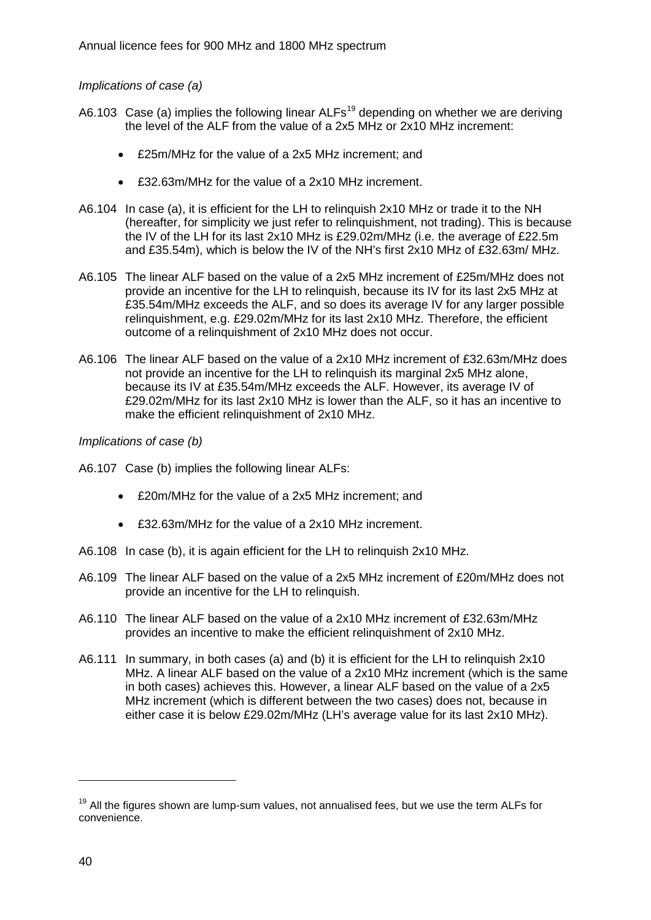#### *Implications of case (a)*

- A6.103 Case (a) implies the following linear  $ALFs^{19}$  $ALFs^{19}$  $ALFs^{19}$  depending on whether we are deriving the level of the ALF from the value of a 2x5 MHz or 2x10 MHz increment:
	- £25m/MHz for the value of a 2x5 MHz increment; and
	- £32.63m/MHz for the value of a 2x10 MHz increment.
- A6.104 In case (a), it is efficient for the LH to relinquish 2x10 MHz or trade it to the NH (hereafter, for simplicity we just refer to relinquishment, not trading). This is because the IV of the LH for its last 2x10 MHz is £29.02m/MHz (i.e. the average of £22.5m and £35.54m), which is below the IV of the NH's first 2x10 MHz of £32.63m/ MHz.
- A6.105 The linear ALF based on the value of a 2x5 MHz increment of £25m/MHz does not provide an incentive for the LH to relinquish, because its IV for its last 2x5 MHz at £35.54m/MHz exceeds the ALF, and so does its average IV for any larger possible relinquishment, e.g. £29.02m/MHz for its last 2x10 MHz. Therefore, the efficient outcome of a relinquishment of 2x10 MHz does not occur.
- A6.106 The linear ALF based on the value of a 2x10 MHz increment of £32.63m/MHz does not provide an incentive for the LH to relinquish its marginal 2x5 MHz alone, because its IV at £35.54m/MHz exceeds the ALF. However, its average IV of £29.02m/MHz for its last 2x10 MHz is lower than the ALF, so it has an incentive to make the efficient relinquishment of 2x10 MHz.

#### *Implications of case (b)*

- A6.107 Case (b) implies the following linear ALFs:
	- £20m/MHz for the value of a 2x5 MHz increment; and
	- £32.63m/MHz for the value of a 2x10 MHz increment.
- A6.108 In case (b), it is again efficient for the LH to relinquish 2x10 MHz.
- A6.109 The linear ALF based on the value of a 2x5 MHz increment of £20m/MHz does not provide an incentive for the LH to relinquish.
- A6.110 The linear ALF based on the value of a 2x10 MHz increment of £32.63m/MHz provides an incentive to make the efficient relinquishment of 2x10 MHz.
- A6.111 In summary, in both cases (a) and (b) it is efficient for the LH to relinquish 2x10 MHz. A linear ALF based on the value of a 2x10 MHz increment (which is the same in both cases) achieves this. However, a linear ALF based on the value of a 2x5 MHz increment (which is different between the two cases) does not, because in either case it is below £29.02m/MHz (LH's average value for its last 2x10 MHz).

<span id="page-40-0"></span><sup>&</sup>lt;sup>19</sup> All the figures shown are lump-sum values, not annualised fees, but we use the term ALFs for convenience.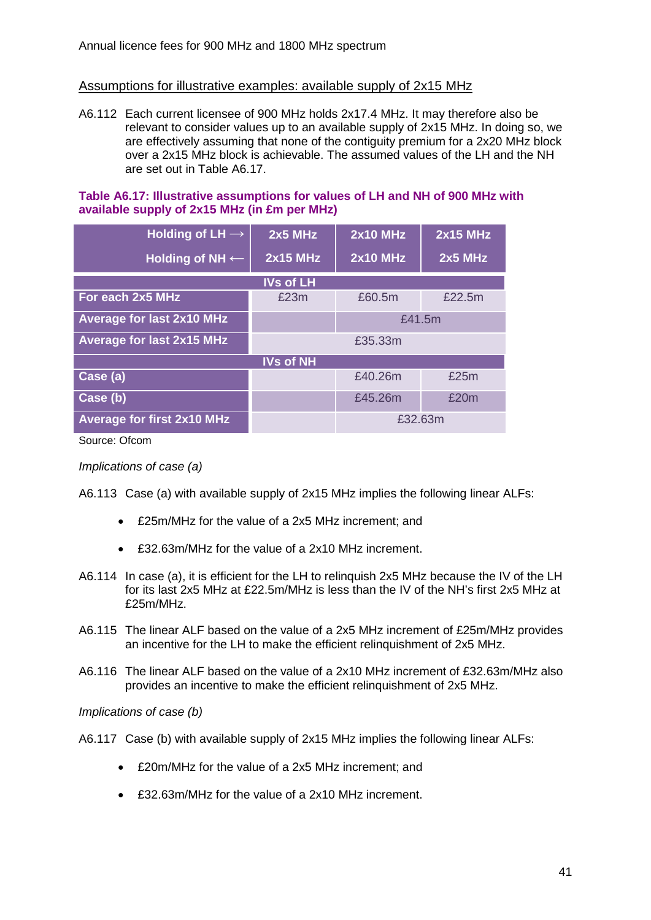## Assumptions for illustrative examples: available supply of 2x15 MHz

A6.112 Each current licensee of 900 MHz holds 2x17.4 MHz. It may therefore also be relevant to consider values up to an available supply of 2x15 MHz. In doing so, we are effectively assuming that none of the contiguity premium for a 2x20 MHz block over a 2x15 MHz block is achievable. The assumed values of the LH and the NH are set out in Table A6.17.

#### **Table A6.17: Illustrative assumptions for values of LH and NH of 900 MHz with available supply of 2x15 MHz (in £m per MHz)**

| Holding of LH $\rightarrow$       | $2x5$ MHz        | <b>2x10 MHz</b> | <b>2x15 MHz</b> |
|-----------------------------------|------------------|-----------------|-----------------|
| Holding of NH $\leftarrow$        | <b>2x15 MHz</b>  | <b>2x10 MHz</b> | 2x5 MHz         |
|                                   | <b>IVs of LH</b> |                 |                 |
| For each 2x5 MHz                  | £23m             | £60.5m          | £22.5m          |
| <b>Average for last 2x10 MHz</b>  |                  | £41.5m          |                 |
| <b>Average for last 2x15 MHz</b>  |                  | £35.33m         |                 |
|                                   | <b>IVs of NH</b> |                 |                 |
| Case (a)                          |                  | £40.26m         | £25m            |
| Case (b)                          |                  | £45.26m         | £20m            |
| <b>Average for first 2x10 MHz</b> |                  | £32.63m         |                 |

Source: Ofcom

*Implications of case (a)*

A6.113 Case (a) with available supply of 2x15 MHz implies the following linear ALFs:

- £25m/MHz for the value of a 2x5 MHz increment; and
- £32.63m/MHz for the value of a 2x10 MHz increment.
- A6.114 In case (a), it is efficient for the LH to relinquish 2x5 MHz because the IV of the LH for its last 2x5 MHz at £22.5m/MHz is less than the IV of the NH's first 2x5 MHz at £25m/MHz.
- A6.115 The linear ALF based on the value of a 2x5 MHz increment of £25m/MHz provides an incentive for the LH to make the efficient relinquishment of 2x5 MHz.
- A6.116 The linear ALF based on the value of a 2x10 MHz increment of £32.63m/MHz also provides an incentive to make the efficient relinquishment of 2x5 MHz.

*Implications of case (b)*

- A6.117 Case (b) with available supply of 2x15 MHz implies the following linear ALFs:
	- £20m/MHz for the value of a 2x5 MHz increment; and
	- £32.63m/MHz for the value of a 2x10 MHz increment.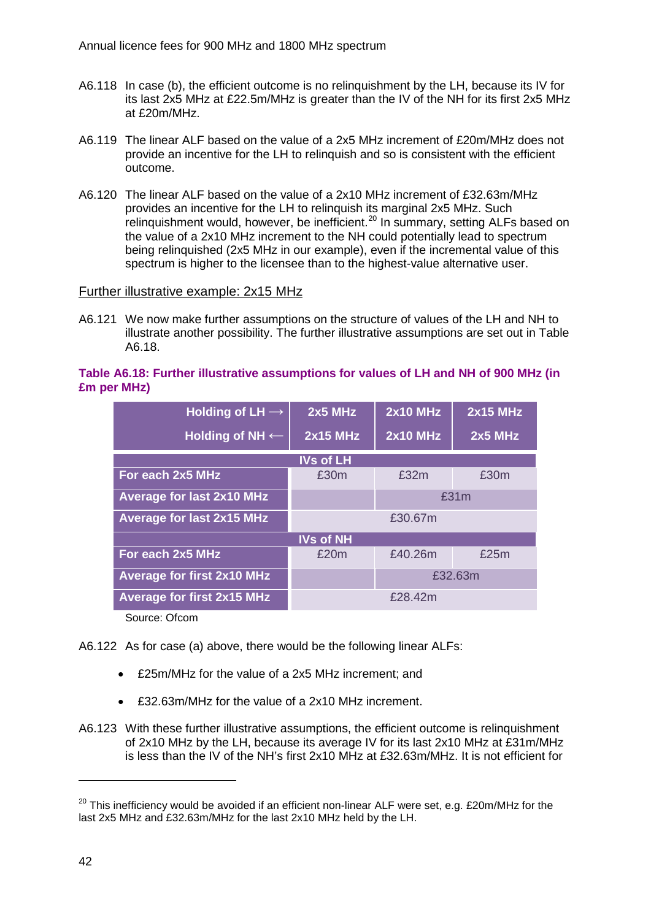- A6.118 In case (b), the efficient outcome is no relinquishment by the LH, because its IV for its last 2x5 MHz at £22.5m/MHz is greater than the IV of the NH for its first 2x5 MHz at £20m/MHz.
- A6.119 The linear ALF based on the value of a 2x5 MHz increment of £20m/MHz does not provide an incentive for the LH to relinquish and so is consistent with the efficient outcome.
- A6.120 The linear ALF based on the value of a 2x10 MHz increment of £32.63m/MHz provides an incentive for the LH to relinquish its marginal 2x5 MHz. Such relinquishment would, however, be inefficient.<sup>[20](#page-42-0)</sup> In summary, setting ALFs based on the value of a 2x10 MHz increment to the NH could potentially lead to spectrum being relinquished (2x5 MHz in our example), even if the incremental value of this spectrum is higher to the licensee than to the highest-value alternative user.

#### Further illustrative example: 2x15 MHz

A6.121 We now make further assumptions on the structure of values of the LH and NH to illustrate another possibility. The further illustrative assumptions are set out in Table A6.18.

#### **Table A6.18: Further illustrative assumptions for values of LH and NH of 900 MHz (in £m per MHz)**

| Holding of $LH \rightarrow$       | $2x5$ MHz        | <b>2x10 MHz</b> | <b>2x15 MHz</b> |
|-----------------------------------|------------------|-----------------|-----------------|
| <b>Holding of NH ←</b>            | <b>2x15 MHz</b>  | <b>2x10 MHz</b> | $2x5$ MHz       |
|                                   | <b>IVs of LH</b> |                 |                 |
| For each 2x5 MHz                  | £30m             | £32m            | £30m            |
| <b>Average for last 2x10 MHz</b>  |                  |                 | £31m            |
| <b>Average for last 2x15 MHz</b>  |                  | £30.67m         |                 |
|                                   | <b>IVs of NH</b> |                 |                 |
| For each 2x5 MHz                  | £20m             | £40.26m         | £25m            |
| <b>Average for first 2x10 MHz</b> |                  |                 | £32.63m         |
| <b>Average for first 2x15 MHz</b> |                  | £28.42m         |                 |
| O <sub>2</sub>                    |                  |                 |                 |

Source: Ofcom

A6.122 As for case (a) above, there would be the following linear ALFs:

- £25m/MHz for the value of a 2x5 MHz increment; and
- £32.63m/MHz for the value of a 2x10 MHz increment.
- A6.123 With these further illustrative assumptions, the efficient outcome is relinquishment of 2x10 MHz by the LH, because its average IV for its last 2x10 MHz at £31m/MHz is less than the IV of the NH's first 2x10 MHz at £32.63m/MHz. It is not efficient for

<span id="page-42-0"></span> $20$  This inefficiency would be avoided if an efficient non-linear ALF were set, e.g. £20m/MHz for the last 2x5 MHz and £32.63m/MHz for the last 2x10 MHz held by the LH.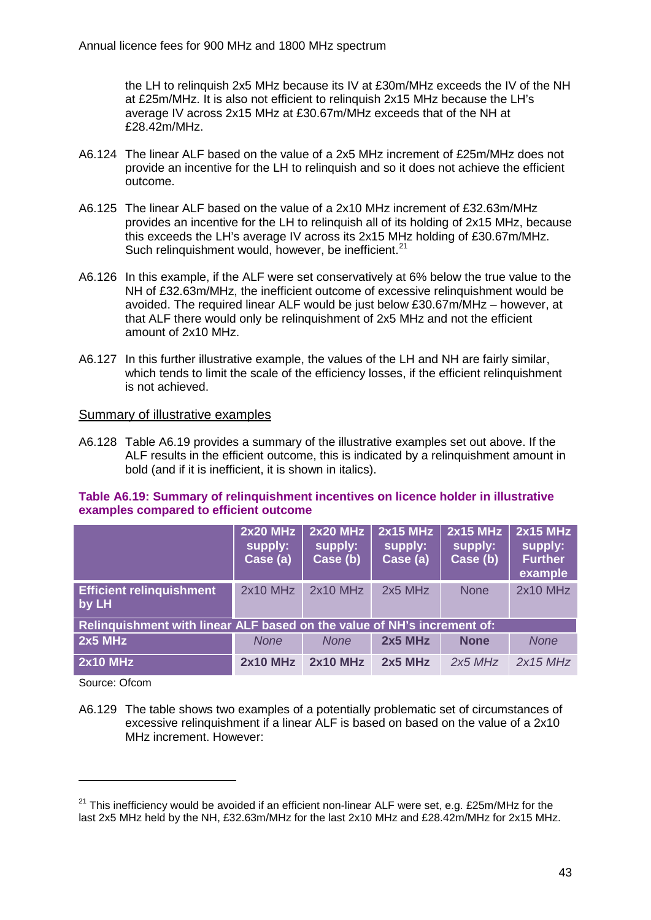the LH to relinquish 2x5 MHz because its IV at £30m/MHz exceeds the IV of the NH at £25m/MHz. It is also not efficient to relinquish 2x15 MHz because the LH's average IV across 2x15 MHz at £30.67m/MHz exceeds that of the NH at £28.42m/MHz.

- A6.124 The linear ALF based on the value of a 2x5 MHz increment of £25m/MHz does not provide an incentive for the LH to relinquish and so it does not achieve the efficient outcome.
- A6.125 The linear ALF based on the value of a 2x10 MHz increment of £32.63m/MHz provides an incentive for the LH to relinquish all of its holding of 2x15 MHz, because this exceeds the LH's average IV across its 2x15 MHz holding of £30.67m/MHz. Such relinquishment would, however, be inefficient.<sup>[21](#page-43-0)</sup>
- A6.126 In this example, if the ALF were set conservatively at 6% below the true value to the NH of £32.63m/MHz, the inefficient outcome of excessive relinquishment would be avoided. The required linear ALF would be just below £30.67m/MHz – however, at that ALF there would only be relinquishment of 2x5 MHz and not the efficient amount of 2x10 MHz.
- A6.127 In this further illustrative example, the values of the LH and NH are fairly similar, which tends to limit the scale of the efficiency losses, if the efficient relinquishment is not achieved.

#### Summary of illustrative examples

A6.128 Table A6.19 provides a summary of the illustrative examples set out above. If the ALF results in the efficient outcome, this is indicated by a relinquishment amount in bold (and if it is inefficient, it is shown in italics).

#### **Table A6.19: Summary of relinquishment incentives on licence holder in illustrative examples compared to efficient outcome**

|                                                                         | $2x20$ MHz<br>supply:<br>Case (a) | <b>2x20 MHz</b><br>supply:<br>Case (b) | <b>2x15 MHz</b><br>supply:<br>Case (a) | <b>2x15 MHz</b><br>supply:<br>Case (b) | $2x15$ MHz<br>supply:<br><b>Further</b><br>example |
|-------------------------------------------------------------------------|-----------------------------------|----------------------------------------|----------------------------------------|----------------------------------------|----------------------------------------------------|
| <b>Efficient relinquishment</b><br>by LH                                | $2x10$ MHz                        | $2x10$ MHz                             | $2x5$ MHz                              | <b>None</b>                            | $2x10$ MHz                                         |
| Relinguishment with linear ALF based on the value of NH's increment of: |                                   |                                        |                                        |                                        |                                                    |
| $2x5$ MHz                                                               | <b>None</b>                       | <b>None</b>                            | $2x5$ MHz                              | <b>None</b>                            | <b>None</b>                                        |
| <b>2x10 MHz</b>                                                         | <b>2x10 MHz</b>                   | <b>2x10 MHz</b>                        | $2x5$ MHz                              | $2x5$ MHz                              | $2x15$ MHz                                         |

Source: Ofcom

-

A6.129 The table shows two examples of a potentially problematic set of circumstances of excessive relinquishment if a linear ALF is based on based on the value of a 2x10 MHz increment. However:

<span id="page-43-0"></span> $21$  This inefficiency would be avoided if an efficient non-linear ALF were set, e.g. £25m/MHz for the last 2x5 MHz held by the NH, £32.63m/MHz for the last 2x10 MHz and £28.42m/MHz for 2x15 MHz.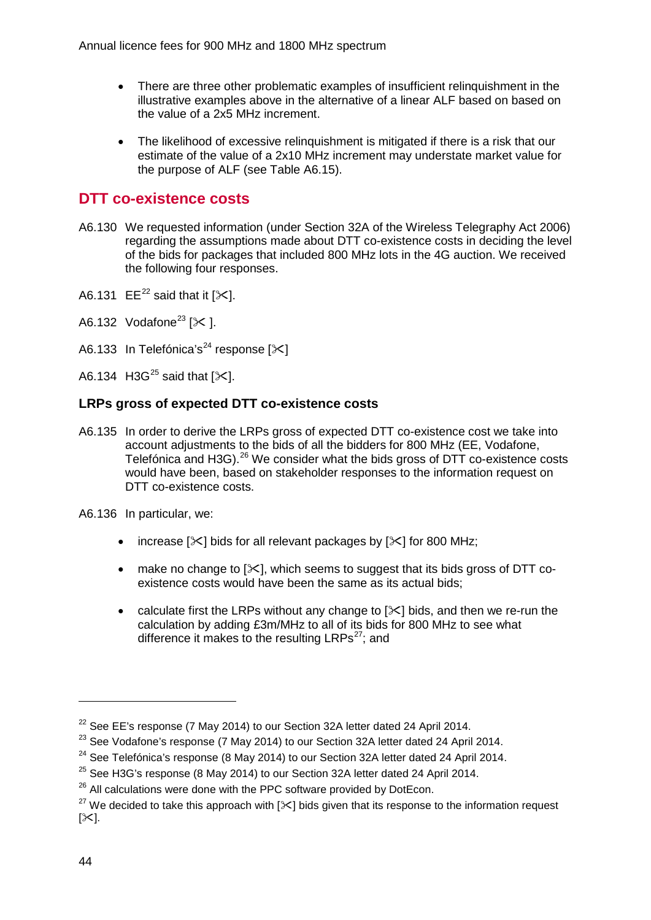- There are three other problematic examples of insufficient relinquishment in the illustrative examples above in the alternative of a linear ALF based on based on the value of a 2x5 MHz increment.
- The likelihood of excessive relinquishment is mitigated if there is a risk that our estimate of the value of a 2x10 MHz increment may understate market value for the purpose of ALF (see Table A6.15).

# **DTT co-existence costs**

- A6.130 We requested information (under Section 32A of the Wireless Telegraphy Act 2006) regarding the assumptions made about DTT co-existence costs in deciding the level of the bids for packages that included 800 MHz lots in the 4G auction. We received the following four responses.
- A6.131 EE<sup>[22](#page-44-0)</sup> said that it  $[\times]$ .
- A6.132 Vodafone<sup>[23](#page-44-1)</sup> [ $\angle$ ].
- A6.133 In Telefónica's<sup>[24](#page-44-2)</sup> response  $[\times]$
- A6.134 H3G<sup>[25](#page-44-3)</sup> said that  $[\times]$ .

# **LRPs gross of expected DTT co-existence costs**

A6.135 In order to derive the LRPs gross of expected DTT co-existence cost we take into account adjustments to the bids of all the bidders for 800 MHz (EE, Vodafone, Telefónica and H3G).<sup>[26](#page-44-4)</sup> We consider what the bids gross of DTT co-existence costs would have been, based on stakeholder responses to the information request on DTT co-existence costs.

A6.136 In particular, we:

- increase  $[\times]$  bids for all relevant packages by  $[\times]$  for 800 MHz;
- make no change to  $[\times]$ , which seems to suggest that its bids gross of DTT coexistence costs would have been the same as its actual bids;
- calculate first the LRPs without any change to  $[\<]$  bids, and then we re-run the calculation by adding £3m/MHz to all of its bids for 800 MHz to see what difference it makes to the resulting  $LRPs^{27}$ ; and

<span id="page-44-0"></span> $22$  See EE's response (7 May 2014) to our Section 32A letter dated 24 April 2014.

<span id="page-44-1"></span> $23$  See Vodafone's response (7 May 2014) to our Section 32A letter dated 24 April 2014.

<span id="page-44-2"></span> $24$  See Telefónica's response (8 May 2014) to our Section 32A letter dated 24 April 2014.

<span id="page-44-3"></span><sup>&</sup>lt;sup>25</sup> See H3G's response (8 May 2014) to our Section 32A letter dated 24 April 2014.

<span id="page-44-4"></span> $26$  All calculations were done with the PPC software provided by DotEcon.

<span id="page-44-5"></span><sup>&</sup>lt;sup>27</sup> We decided to take this approach with  $[\times]$  bids given that its response to the information request  $[\times]$ .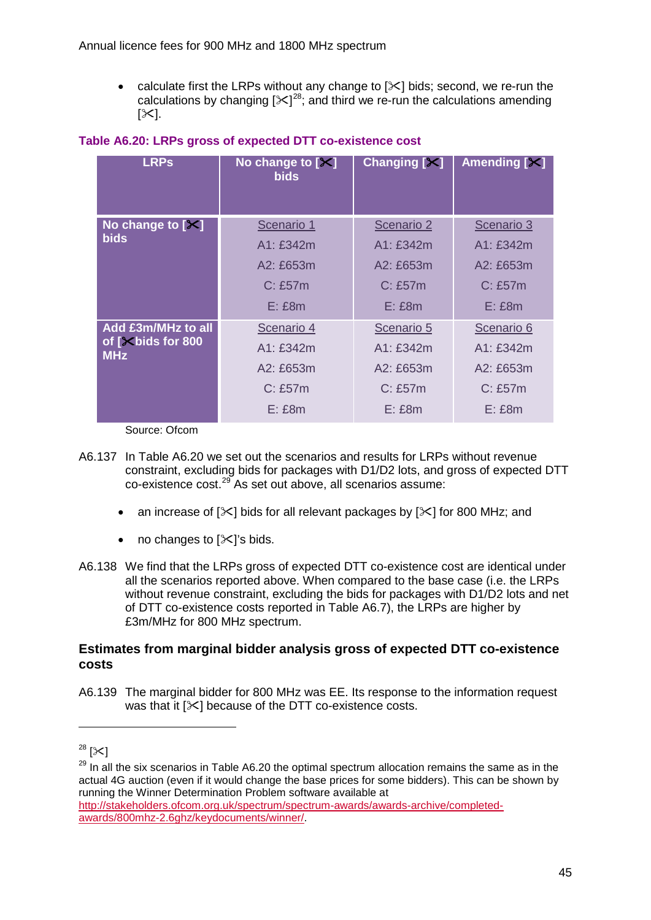calculate first the LRPs without any change to  $[\times]$  bids; second, we re-run the calculations by changing  $[31]^{28}$ ; and third we re-run the calculations amending  $[\times]$ .

| <b>LRPs</b>                                           | No change to $[X]$<br><b>bids</b>                                 | Changing $[\times]$                                                   | Amending [X]                                                       |
|-------------------------------------------------------|-------------------------------------------------------------------|-----------------------------------------------------------------------|--------------------------------------------------------------------|
| No change to $[X]$<br><b>bids</b>                     | Scenario 1<br>A1:£342m<br>$A2:$ £653m<br>$C:$ £57 $m$<br>$E:$ £8m | Scenario 2<br>A1: £342m<br>$A2:$ £653 $m$<br>$C:$ £57 $m$<br>$E:$ £8m | Scenario 3<br>A1: £342m<br>$A2:$ £653m<br>$C:$ £57 $m$<br>$E:$ £8m |
| Add £3m/MHz to all<br>of [Xbids for 800<br><b>MHz</b> | Scenario 4<br>A1: £342m<br>$A2:$ £653m<br>C: E57m<br>$E:$ £8m     | Scenario 5<br>A1: £342m<br>$A2:$ £653m<br>$C:$ £57 $m$<br>$E:$ £8m    | Scenario 6<br>A1:£342m<br>$A2:$ £653m<br>$C:$ £57 $m$<br>$E:$ £8m  |

#### **Table A6.20: LRPs gross of expected DTT co-existence cost**

Source: Ofcom

- A6.137 In Table A6.20 we set out the scenarios and results for LRPs without revenue constraint, excluding bids for packages with D1/D2 lots, and gross of expected DTT co-existence cost.<sup>[29](#page-45-1)</sup> As set out above, all scenarios assume:
	- an increase of  $[\times]$  bids for all relevant packages by  $[\times]$  for 800 MHz; and
	- no changes to  $[\times]$ 's bids.
- A6.138 We find that the LRPs gross of expected DTT co-existence cost are identical under all the scenarios reported above. When compared to the base case (i.e. the LRPs without revenue constraint, excluding the bids for packages with D1/D2 lots and net of DTT co-existence costs reported in Table A6.7), the LRPs are higher by £3m/MHz for 800 MHz spectrum.

#### **Estimates from marginal bidder analysis gross of expected DTT co-existence costs**

A6.139 The marginal bidder for 800 MHz was EE. Its response to the information request was that it  $[\times]$  because of the DTT co-existence costs.

<span id="page-45-0"></span> $28 [3]$ 

<span id="page-45-1"></span> $29$  In all the six scenarios in Table A6.20 the optimal spectrum allocation remains the same as in the actual 4G auction (even if it would change the base prices for some bidders). This can be shown by running the Winner Determination Problem software available at

[http://stakeholders.ofcom.org.uk/spectrum/spectrum-awards/awards-archive/completed](http://stakeholders.ofcom.org.uk/spectrum/spectrum-awards/awards-archive/completed-awards/800mhz-2.6ghz/keydocuments/winner/)[awards/800mhz-2.6ghz/keydocuments/winner/.](http://stakeholders.ofcom.org.uk/spectrum/spectrum-awards/awards-archive/completed-awards/800mhz-2.6ghz/keydocuments/winner/)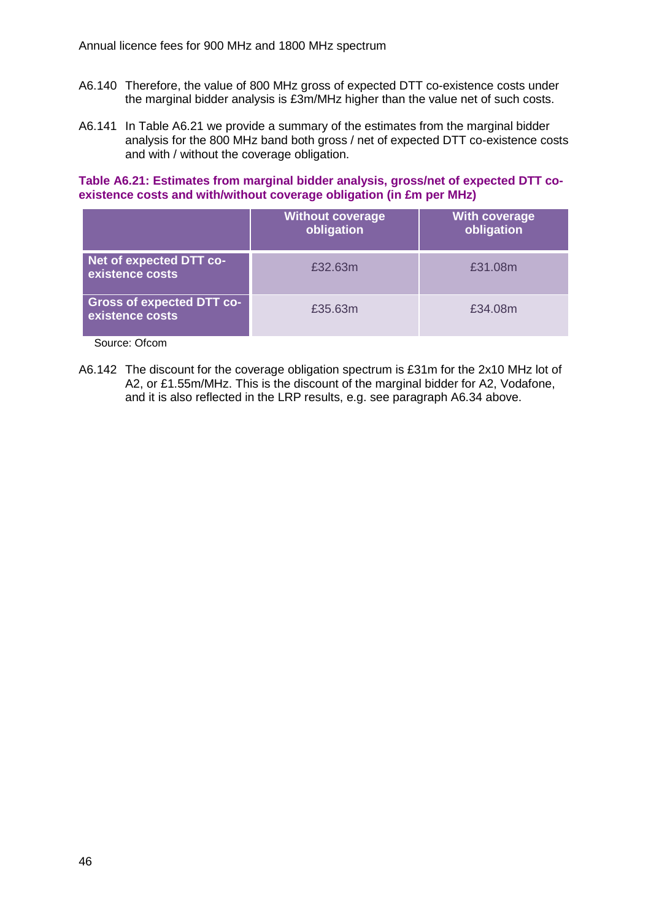- A6.140 Therefore, the value of 800 MHz gross of expected DTT co-existence costs under the marginal bidder analysis is £3m/MHz higher than the value net of such costs.
- A6.141 In Table A6.21 we provide a summary of the estimates from the marginal bidder analysis for the 800 MHz band both gross / net of expected DTT co-existence costs and with / without the coverage obligation.

**Table A6.21: Estimates from marginal bidder analysis, gross/net of expected DTT coexistence costs and with/without coverage obligation (in £m per MHz)**

|                                                     | <b>Without coverage</b><br>obligation | <b>With coverage</b><br>obligation |
|-----------------------------------------------------|---------------------------------------|------------------------------------|
| Net of expected DTT co-<br>existence costs          | £32.63m                               | £31.08m                            |
| <b>Gross of expected DTT co-</b><br>existence costs | £35.63m                               | £34.08m                            |

Source: Ofcom

A6.142 The discount for the coverage obligation spectrum is £31m for the 2x10 MHz lot of A2, or £1.55m/MHz. This is the discount of the marginal bidder for A2, Vodafone, and it is also reflected in the LRP results, e.g. see paragraph [A6.34](#page-22-0) above.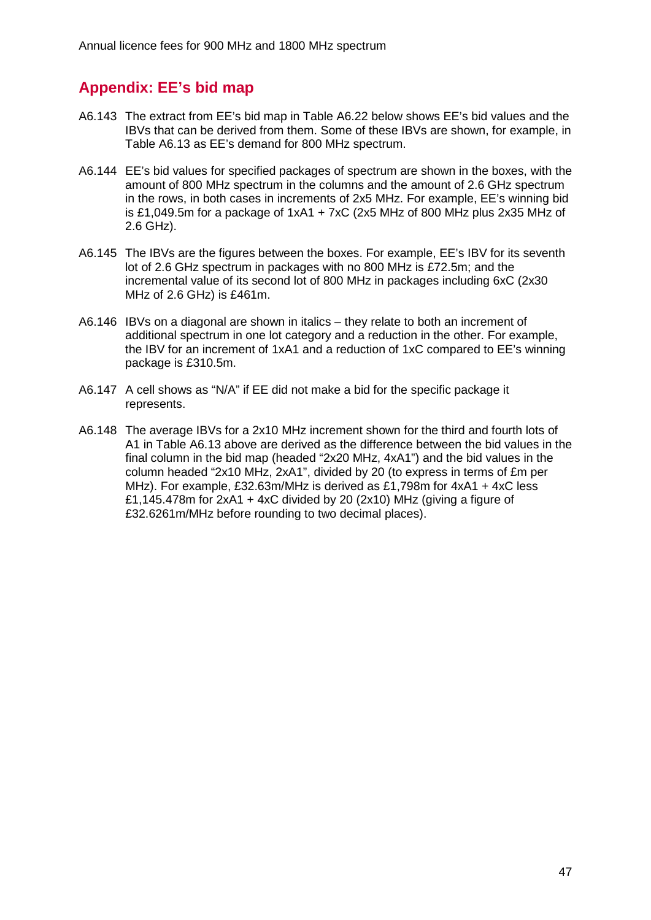# **Appendix: EE's bid map**

- A6.143 The extract from EE's bid map in Table A6.22 below shows EE's bid values and the IBVs that can be derived from them. Some of these IBVs are shown, for example, in Table A6.13 as EE's demand for 800 MHz spectrum.
- A6.144 EE's bid values for specified packages of spectrum are shown in the boxes, with the amount of 800 MHz spectrum in the columns and the amount of 2.6 GHz spectrum in the rows, in both cases in increments of 2x5 MHz. For example, EE's winning bid is £1,049.5m for a package of  $1xA1 + 7xC$  (2x5 MHz of 800 MHz plus 2x35 MHz of 2.6 GHz).
- A6.145 The IBVs are the figures between the boxes. For example, EE's IBV for its seventh lot of 2.6 GHz spectrum in packages with no 800 MHz is £72.5m; and the incremental value of its second lot of 800 MHz in packages including 6xC (2x30 MHz of 2.6 GHz) is £461m.
- A6.146 IBVs on a diagonal are shown in italics they relate to both an increment of additional spectrum in one lot category and a reduction in the other. For example, the IBV for an increment of 1xA1 and a reduction of 1xC compared to EE's winning package is £310.5m.
- A6.147 A cell shows as "N/A" if EE did not make a bid for the specific package it represents.
- A6.148 The average IBVs for a 2x10 MHz increment shown for the third and fourth lots of A1 in Table A6.13 above are derived as the difference between the bid values in the final column in the bid map (headed "2x20 MHz, 4xA1") and the bid values in the column headed "2x10 MHz, 2xA1", divided by 20 (to express in terms of £m per MHz). For example, £32.63m/MHz is derived as £1,798m for 4xA1 + 4xC less £1.145.478m for  $2xA1 + 4xC$  divided by 20 ( $2x10$ ) MHz (giving a figure of £32.6261m/MHz before rounding to two decimal places).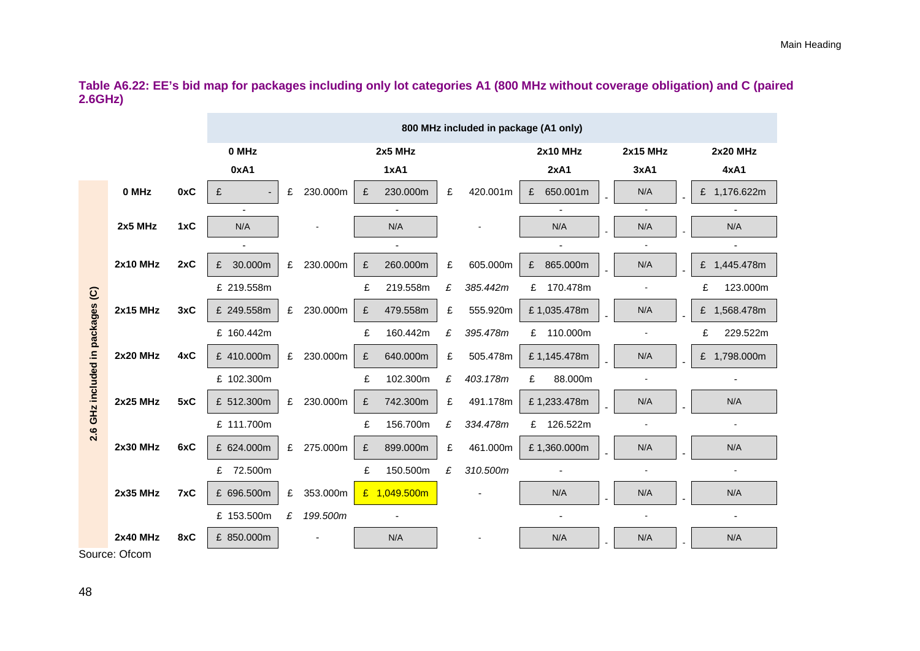**Table A6.22: EE's bid map for packages including only lot categories A1 (800 MHz without coverage obligation) and C (paired 2.6GHz)**

|                                  |                                  |     | 800 MHz included in package (A1 only) |   |          |   |              |   |          |                 |  |                 |  |                 |
|----------------------------------|----------------------------------|-----|---------------------------------------|---|----------|---|--------------|---|----------|-----------------|--|-----------------|--|-----------------|
|                                  |                                  |     | 0 MHz                                 |   |          |   | 2x5 MHz      |   |          | <b>2x10 MHz</b> |  | <b>2x15 MHz</b> |  | <b>2x20 MHz</b> |
|                                  |                                  |     | 0xA1                                  |   |          |   | <b>1xA1</b>  |   |          | 2xA1            |  | 3xA1            |  | 4xA1            |
|                                  | 0 MHz                            | 0xC | £                                     | £ | 230.000m | £ | 230.000m     | £ | 420.001m | 650.001m<br>£   |  | N/A             |  | £ 1,176.622m    |
|                                  |                                  |     |                                       |   |          |   |              |   |          |                 |  |                 |  |                 |
|                                  | 2x5 MHz                          | 1xC | N/A                                   |   |          |   | N/A          |   |          | N/A             |  | N/A             |  | N/A             |
|                                  |                                  |     |                                       |   |          |   |              |   |          |                 |  |                 |  |                 |
|                                  | <b>2x10 MHz</b>                  | 2xC | 30.000m                               | £ | 230.000m | £ | 260.000m     | £ | 605.000m | 865.000m<br>£   |  | N/A             |  | £ 1,445.478m    |
|                                  |                                  |     | £ 219.558m                            |   |          | £ | 219.558m     | £ | 385.442m | £ 170.478m      |  |                 |  | 123.000m<br>£   |
|                                  | <b>2x15 MHz</b>                  | 3xC | £ 249.558m                            | £ | 230.000m | £ | 479.558m     | £ | 555.920m | £1,035.478m     |  | N/A             |  | £ 1,568.478m    |
|                                  |                                  |     | £ 160.442m                            |   |          | £ | 160.442m     | £ | 395.478m | £ 110.000m      |  |                 |  | £<br>229.522m   |
| 2.6 GHz included in packages (C) | <b>2x20 MHz</b>                  | 4xC | £ 410.000m                            | £ | 230.000m | £ | 640.000m     | £ | 505.478m | £1,145.478m     |  | N/A             |  | £ 1,798.000m    |
|                                  |                                  |     | £ 102.300m                            |   |          | £ | 102.300m     | £ | 403.178m | £<br>88.000m    |  |                 |  |                 |
|                                  | <b>2x25 MHz</b>                  | 5xC | £ 512.300m                            | £ | 230.000m | £ | 742.300m     | £ | 491.178m | £1,233.478m     |  | N/A             |  | N/A             |
|                                  |                                  |     | £ 111.700m                            |   |          | £ | 156.700m     | £ | 334.478m | £ 126.522m      |  |                 |  |                 |
|                                  | <b>2x30 MHz</b>                  | 6xC | £ 624.000m                            | £ | 275.000m | £ | 899.000m     | £ | 461.000m | £1,360.000m     |  | N/A             |  | N/A             |
|                                  |                                  |     | £ 72.500m                             |   |          | £ | 150.500m     | £ | 310.500m |                 |  |                 |  |                 |
|                                  | <b>2x35 MHz</b>                  | 7xC | £ 696.500m                            | £ | 353.000m |   | £ 1,049.500m |   |          | N/A             |  | N/A             |  | N/A             |
|                                  |                                  |     | £ 153.500m                            | £ | 199.500m |   |              |   |          |                 |  |                 |  |                 |
|                                  | <b>2x40 MHz</b><br>$\sim$ $\sim$ | 8xC | £ 850.000m                            |   |          |   | N/A          |   |          | N/A             |  | N/A             |  | N/A             |

Source: Ofcom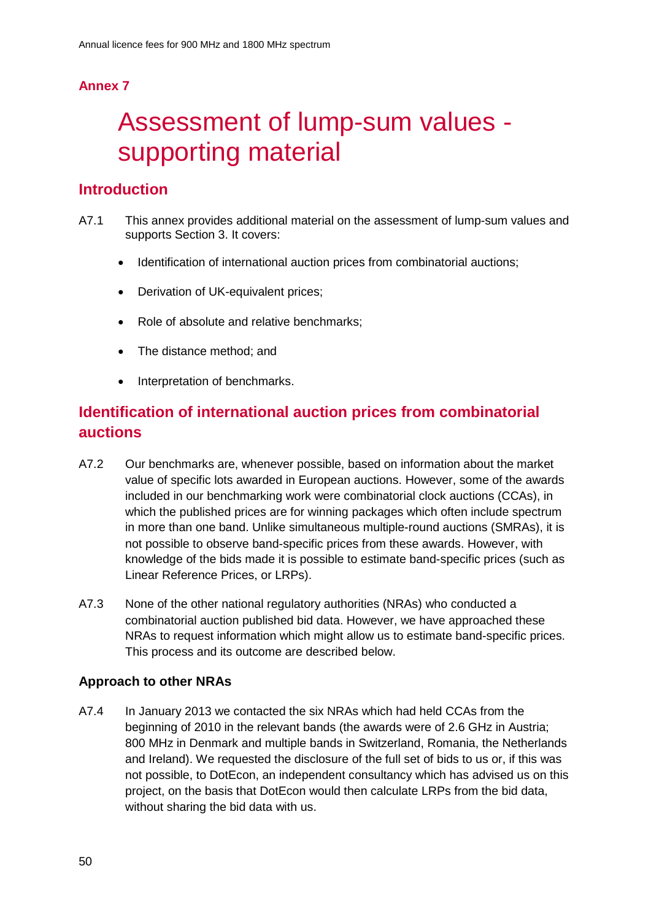# **Annex 7**

# 7 Assessment of lump-sum values supporting material

# **Introduction**

- A7.1 This annex provides additional material on the assessment of lump-sum values and supports Section 3. It covers:
	- Identification of international auction prices from combinatorial auctions;
	- Derivation of UK-equivalent prices;
	- Role of absolute and relative benchmarks:
	- The distance method; and
	- Interpretation of benchmarks.

# **Identification of international auction prices from combinatorial auctions**

- A7.2 Our benchmarks are, whenever possible, based on information about the market value of specific lots awarded in European auctions. However, some of the awards included in our benchmarking work were combinatorial clock auctions (CCAs), in which the published prices are for winning packages which often include spectrum in more than one band. Unlike simultaneous multiple-round auctions (SMRAs), it is not possible to observe band-specific prices from these awards. However, with knowledge of the bids made it is possible to estimate band-specific prices (such as Linear Reference Prices, or LRPs).
- A7.3 None of the other national regulatory authorities (NRAs) who conducted a combinatorial auction published bid data. However, we have approached these NRAs to request information which might allow us to estimate band-specific prices. This process and its outcome are described below.

# **Approach to other NRAs**

A7.4 In January 2013 we contacted the six NRAs which had held CCAs from the beginning of 2010 in the relevant bands (the awards were of 2.6 GHz in Austria; 800 MHz in Denmark and multiple bands in Switzerland, Romania, the Netherlands and Ireland). We requested the disclosure of the full set of bids to us or, if this was not possible, to DotEcon, an independent consultancy which has advised us on this project, on the basis that DotEcon would then calculate LRPs from the bid data, without sharing the bid data with us.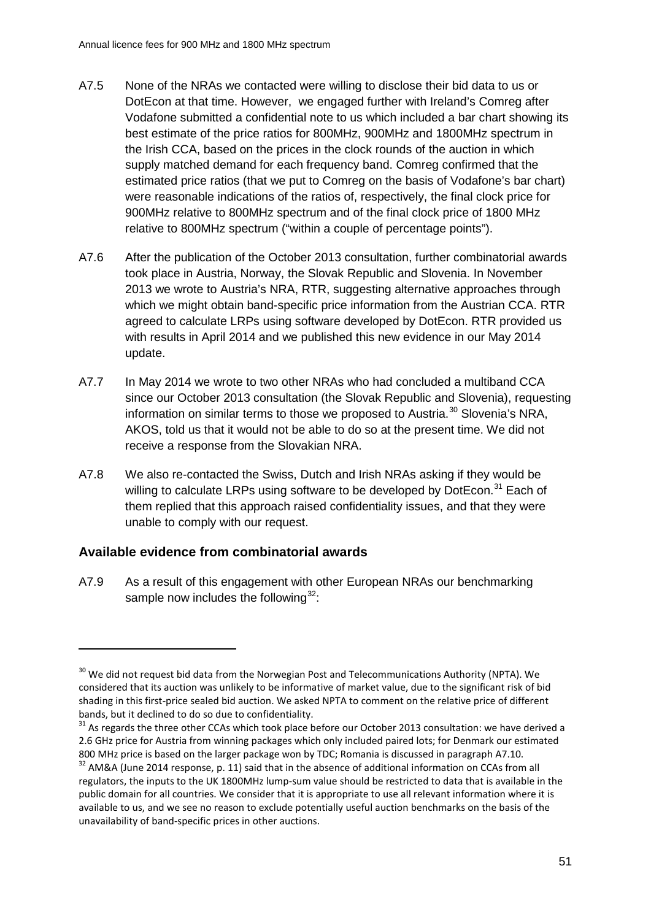- A7.5 None of the NRAs we contacted were willing to disclose their bid data to us or DotEcon at that time. However, we engaged further with Ireland's Comreg after Vodafone submitted a confidential note to us which included a bar chart showing its best estimate of the price ratios for 800MHz, 900MHz and 1800MHz spectrum in the Irish CCA, based on the prices in the clock rounds of the auction in which supply matched demand for each frequency band. Comreg confirmed that the estimated price ratios (that we put to Comreg on the basis of Vodafone's bar chart) were reasonable indications of the ratios of, respectively, the final clock price for 900MHz relative to 800MHz spectrum and of the final clock price of 1800 MHz relative to 800MHz spectrum ("within a couple of percentage points").
- A7.6 After the publication of the October 2013 consultation, further combinatorial awards took place in Austria, Norway, the Slovak Republic and Slovenia. In November 2013 we wrote to Austria's NRA, RTR, suggesting alternative approaches through which we might obtain band-specific price information from the Austrian CCA. RTR agreed to calculate LRPs using software developed by DotEcon. RTR provided us with results in April 2014 and we published this new evidence in our May 2014 update.
- A7.7 In May 2014 we wrote to two other NRAs who had concluded a multiband CCA since our October 2013 consultation (the Slovak Republic and Slovenia), requesting information on similar terms to those we proposed to Austria.<sup>[30](#page-51-0)</sup> Slovenia's NRA, AKOS, told us that it would not be able to do so at the present time. We did not receive a response from the Slovakian NRA.
- A7.8 We also re-contacted the Swiss, Dutch and Irish NRAs asking if they would be willing to calculate LRPs using software to be developed by DotEcon.<sup>[31](#page-51-1)</sup> Each of them replied that this approach raised confidentiality issues, and that they were unable to comply with our request.

# **Available evidence from combinatorial awards**

-

A7.9 As a result of this engagement with other European NRAs our benchmarking sample now includes the following $32$ :

<span id="page-51-0"></span><sup>&</sup>lt;sup>30</sup> We did not request bid data from the Norwegian Post and Telecommunications Authority (NPTA). We considered that its auction was unlikely to be informative of market value, due to the significant risk of bid shading in this first-price sealed bid auction. We asked NPTA to comment on the relative price of different bands, but it declined to do so due to confidentiality.<br><sup>31</sup> As regards the three other CCAs which took place before our October 2013 consultation: we have derived a

<span id="page-51-1"></span><sup>2.6</sup> GHz price for Austria from winning packages which only included paired lots; for Denmark our estimated 800 MHz price is based on the larger package won by TDC; Romania is discussed in paragraph A7.10.

<span id="page-51-2"></span><sup>&</sup>lt;sup>32</sup> AM&A (June 2014 response, p. 11) said that in the absence of additional information on CCAs from all regulators, the inputs to the UK 1800MHz lump-sum value should be restricted to data that is available in the public domain for all countries. We consider that it is appropriate to use all relevant information where it is available to us, and we see no reason to exclude potentially useful auction benchmarks on the basis of the unavailability of band-specific prices in other auctions.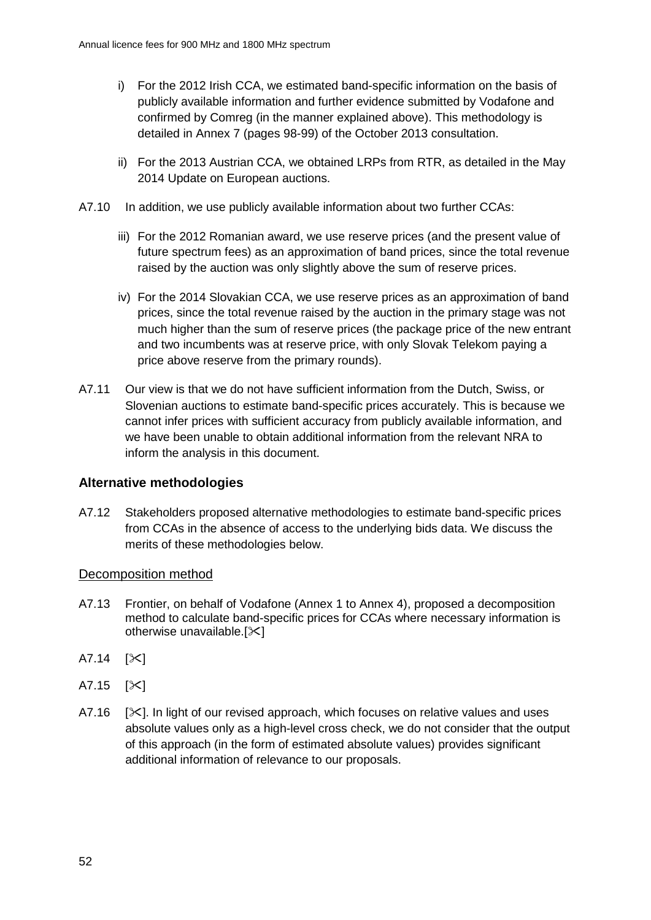- i) For the 2012 Irish CCA, we estimated band-specific information on the basis of publicly available information and further evidence submitted by Vodafone and confirmed by Comreg (in the manner explained above). This methodology is detailed in Annex 7 (pages 98-99) of the October 2013 consultation.
- ii) For the 2013 Austrian CCA, we obtained LRPs from RTR, as detailed in the May 2014 Update on European auctions.
- A7.10 In addition, we use publicly available information about two further CCAs:
	- iii) For the 2012 Romanian award, we use reserve prices (and the present value of future spectrum fees) as an approximation of band prices, since the total revenue raised by the auction was only slightly above the sum of reserve prices.
	- iv) For the 2014 Slovakian CCA, we use reserve prices as an approximation of band prices, since the total revenue raised by the auction in the primary stage was not much higher than the sum of reserve prices (the package price of the new entrant and two incumbents was at reserve price, with only Slovak Telekom paying a price above reserve from the primary rounds).
- A7.11 Our view is that we do not have sufficient information from the Dutch, Swiss, or Slovenian auctions to estimate band-specific prices accurately. This is because we cannot infer prices with sufficient accuracy from publicly available information, and we have been unable to obtain additional information from the relevant NRA to inform the analysis in this document.

# **Alternative methodologies**

A7.12 Stakeholders proposed alternative methodologies to estimate band-specific prices from CCAs in the absence of access to the underlying bids data. We discuss the merits of these methodologies below.

# Decomposition method

- A7.13 Frontier, on behalf of Vodafone (Annex 1 to Annex 4), proposed a decomposition method to calculate band-specific prices for CCAs where necessary information is otherwise unavailable. $[\times]$
- $A7.14$   $[<]$
- $A7.15$   $[35]$
- A7.16  $[\times]$ . In light of our revised approach, which focuses on relative values and uses absolute values only as a high-level cross check, we do not consider that the output of this approach (in the form of estimated absolute values) provides significant additional information of relevance to our proposals.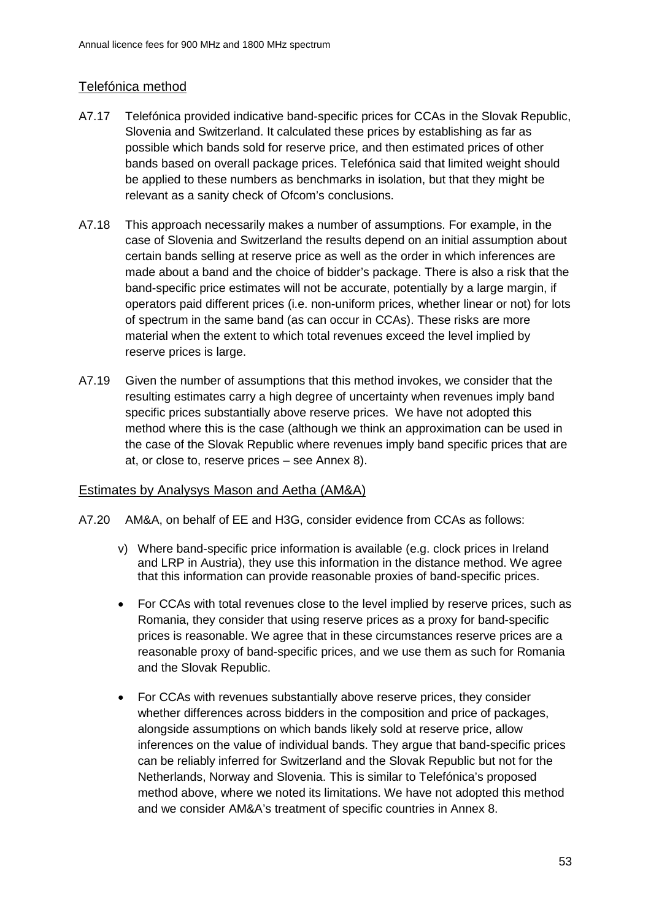# Telefónica method

- A7.17 Telefónica provided indicative band-specific prices for CCAs in the Slovak Republic, Slovenia and Switzerland. It calculated these prices by establishing as far as possible which bands sold for reserve price, and then estimated prices of other bands based on overall package prices. Telefónica said that limited weight should be applied to these numbers as benchmarks in isolation, but that they might be relevant as a sanity check of Ofcom's conclusions.
- A7.18 This approach necessarily makes a number of assumptions. For example, in the case of Slovenia and Switzerland the results depend on an initial assumption about certain bands selling at reserve price as well as the order in which inferences are made about a band and the choice of bidder's package. There is also a risk that the band-specific price estimates will not be accurate, potentially by a large margin, if operators paid different prices (i.e. non-uniform prices, whether linear or not) for lots of spectrum in the same band (as can occur in CCAs). These risks are more material when the extent to which total revenues exceed the level implied by reserve prices is large.
- A7.19 Given the number of assumptions that this method invokes, we consider that the resulting estimates carry a high degree of uncertainty when revenues imply band specific prices substantially above reserve prices. We have not adopted this method where this is the case (although we think an approximation can be used in the case of the Slovak Republic where revenues imply band specific prices that are at, or close to, reserve prices – see Annex 8).

#### Estimates by Analysys Mason and Aetha (AM&A)

- A7.20 AM&A, on behalf of EE and H3G, consider evidence from CCAs as follows:
	- v) Where band-specific price information is available (e.g. clock prices in Ireland and LRP in Austria), they use this information in the distance method. We agree that this information can provide reasonable proxies of band-specific prices.
	- For CCAs with total revenues close to the level implied by reserve prices, such as Romania, they consider that using reserve prices as a proxy for band-specific prices is reasonable. We agree that in these circumstances reserve prices are a reasonable proxy of band-specific prices, and we use them as such for Romania and the Slovak Republic.
	- For CCAs with revenues substantially above reserve prices, they consider whether differences across bidders in the composition and price of packages, alongside assumptions on which bands likely sold at reserve price, allow inferences on the value of individual bands. They argue that band-specific prices can be reliably inferred for Switzerland and the Slovak Republic but not for the Netherlands, Norway and Slovenia. This is similar to Telefónica's proposed method above, where we noted its limitations. We have not adopted this method and we consider AM&A's treatment of specific countries in Annex 8.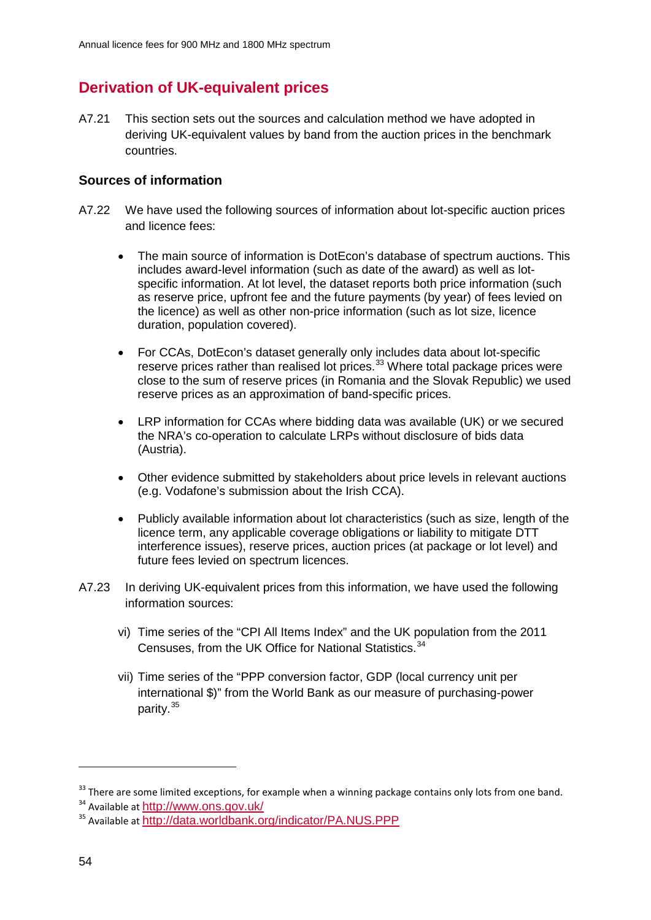# **Derivation of UK-equivalent prices**

A7.21 This section sets out the sources and calculation method we have adopted in deriving UK-equivalent values by band from the auction prices in the benchmark countries.

# **Sources of information**

- A7.22 We have used the following sources of information about lot-specific auction prices and licence fees:
	- The main source of information is DotEcon's database of spectrum auctions. This includes award-level information (such as date of the award) as well as lotspecific information. At lot level, the dataset reports both price information (such as reserve price, upfront fee and the future payments (by year) of fees levied on the licence) as well as other non-price information (such as lot size, licence duration, population covered).
	- For CCAs, DotEcon's dataset generally only includes data about lot-specific reserve prices rather than realised lot prices.<sup>[33](#page-54-0)</sup> Where total package prices were close to the sum of reserve prices (in Romania and the Slovak Republic) we used reserve prices as an approximation of band-specific prices.
	- LRP information for CCAs where bidding data was available (UK) or we secured the NRA's co-operation to calculate LRPs without disclosure of bids data (Austria).
	- Other evidence submitted by stakeholders about price levels in relevant auctions (e.g. Vodafone's submission about the Irish CCA).
	- Publicly available information about lot characteristics (such as size, length of the licence term, any applicable coverage obligations or liability to mitigate DTT interference issues), reserve prices, auction prices (at package or lot level) and future fees levied on spectrum licences.
- A7.23 In deriving UK-equivalent prices from this information, we have used the following information sources:
	- vi) Time series of the "CPI All Items Index" and the UK population from the 2011 Censuses, from the UK Office for National Statistics.<sup>[34](#page-54-1)</sup>
	- vii) Time series of the "PPP conversion factor, GDP (local currency unit per international \$)" from the World Bank as our measure of purchasing-power parity.[35](#page-54-2)

<span id="page-54-0"></span><sup>&</sup>lt;sup>33</sup> There are some limited exceptions, for example when a winning package contains only lots from one band.

<span id="page-54-2"></span><span id="page-54-1"></span><sup>&</sup>lt;sup>34</sup> Available at <http://www.ons.gov.uk/><br><sup>35</sup> Available at <http://data.worldbank.org/indicator/PA.NUS.PPP>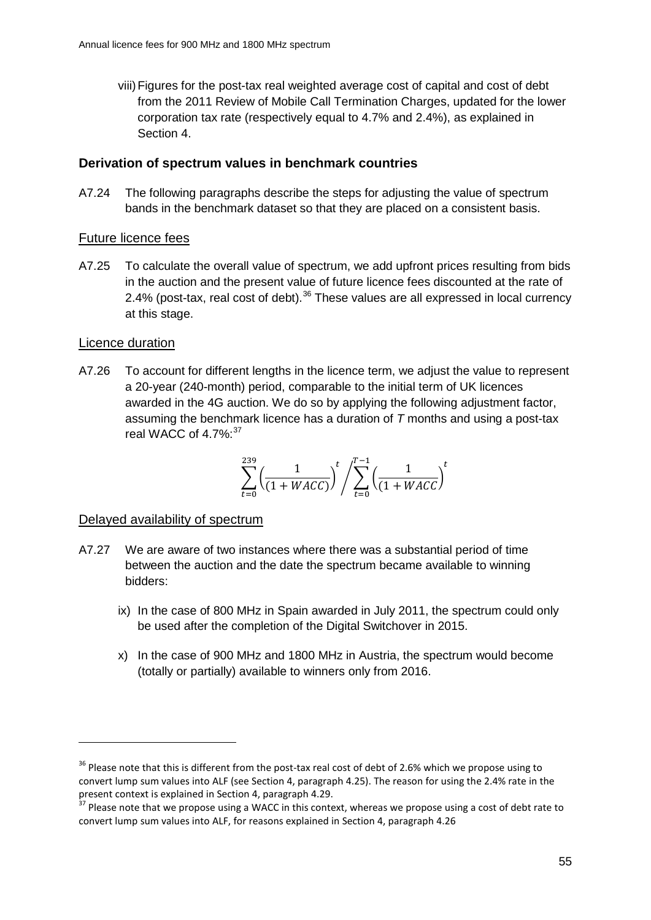viii)Figures for the post-tax real weighted average cost of capital and cost of debt from the 2011 Review of Mobile Call Termination Charges, updated for the lower corporation tax rate (respectively equal to 4.7% and 2.4%), as explained in Section 4.

# **Derivation of spectrum values in benchmark countries**

A7.24 The following paragraphs describe the steps for adjusting the value of spectrum bands in the benchmark dataset so that they are placed on a consistent basis.

# Future licence fees

A7.25 To calculate the overall value of spectrum, we add upfront prices resulting from bids in the auction and the present value of future licence fees discounted at the rate of 2.4% (post-tax, real cost of debt).  $36$  These values are all expressed in local currency at this stage.

## Licence duration

-

A7.26 To account for different lengths in the licence term, we adjust the value to represent a 20-year (240-month) period, comparable to the initial term of UK licences awarded in the 4G auction. We do so by applying the following adjustment factor, assuming the benchmark licence has a duration of *T* months and using a post-tax real WACC of 4.7%:<sup>[37](#page-55-1)</sup>

$$
\sum_{t=0}^{239} \left( \frac{1}{(1 + WACC)} \right)^t / \sum_{t=0}^{T-1} \left( \frac{1}{(1 + WACC)} \right)^t
$$

#### Delayed availability of spectrum

- A7.27 We are aware of two instances where there was a substantial period of time between the auction and the date the spectrum became available to winning bidders:
	- ix) In the case of 800 MHz in Spain awarded in July 2011, the spectrum could only be used after the completion of the Digital Switchover in 2015.
	- x) In the case of 900 MHz and 1800 MHz in Austria, the spectrum would become (totally or partially) available to winners only from 2016.

<span id="page-55-0"></span> $36$  Please note that this is different from the post-tax real cost of debt of 2.6% which we propose using to convert lump sum values into ALF (see Section 4, paragraph 4.25). The reason for using the 2.4% rate in the present context is explained in Section 4, paragraph 4.29.<br><sup>37</sup> Please note that we propose using a WACC in this context, whereas we propose using a cost of debt rate to

<span id="page-55-1"></span>convert lump sum values into ALF, for reasons explained in Section 4, paragraph 4.26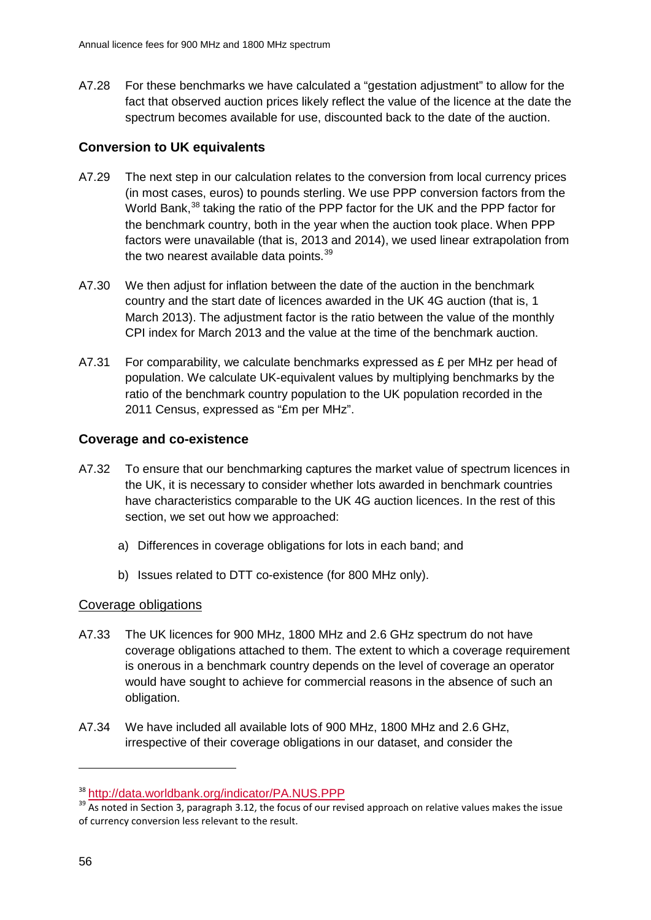A7.28 For these benchmarks we have calculated a "gestation adjustment" to allow for the fact that observed auction prices likely reflect the value of the licence at the date the spectrum becomes available for use, discounted back to the date of the auction.

# **Conversion to UK equivalents**

- A7.29 The next step in our calculation relates to the conversion from local currency prices (in most cases, euros) to pounds sterling. We use PPP conversion factors from the World Bank,<sup>[38](#page-56-0)</sup> taking the ratio of the PPP factor for the UK and the PPP factor for the benchmark country, both in the year when the auction took place. When PPP factors were unavailable (that is, 2013 and 2014), we used linear extrapolation from the two nearest available data points.<sup>[39](#page-56-1)</sup>
- A7.30 We then adjust for inflation between the date of the auction in the benchmark country and the start date of licences awarded in the UK 4G auction (that is, 1 March 2013). The adjustment factor is the ratio between the value of the monthly CPI index for March 2013 and the value at the time of the benchmark auction.
- A7.31 For comparability, we calculate benchmarks expressed as  $E$  per MHz per head of population. We calculate UK-equivalent values by multiplying benchmarks by the ratio of the benchmark country population to the UK population recorded in the 2011 Census, expressed as "£m per MHz".

# **Coverage and co-existence**

- A7.32 To ensure that our benchmarking captures the market value of spectrum licences in the UK, it is necessary to consider whether lots awarded in benchmark countries have characteristics comparable to the UK 4G auction licences. In the rest of this section, we set out how we approached:
	- a) Differences in coverage obligations for lots in each band; and
	- b) Issues related to DTT co-existence (for 800 MHz only).

# Coverage obligations

- A7.33 The UK licences for 900 MHz, 1800 MHz and 2.6 GHz spectrum do not have coverage obligations attached to them. The extent to which a coverage requirement is onerous in a benchmark country depends on the level of coverage an operator would have sought to achieve for commercial reasons in the absence of such an obligation.
- A7.34 We have included all available lots of 900 MHz, 1800 MHz and 2.6 GHz, irrespective of their coverage obligations in our dataset, and consider the

<span id="page-56-1"></span><span id="page-56-0"></span><sup>&</sup>lt;sup>38</sup> <http://data.worldbank.org/indicator/PA.NUS.PPP><br><sup>39</sup> As noted in Section 3, paragraph 3.12, the focus of our revised approach on relative values makes the issue of currency conversion less relevant to the result.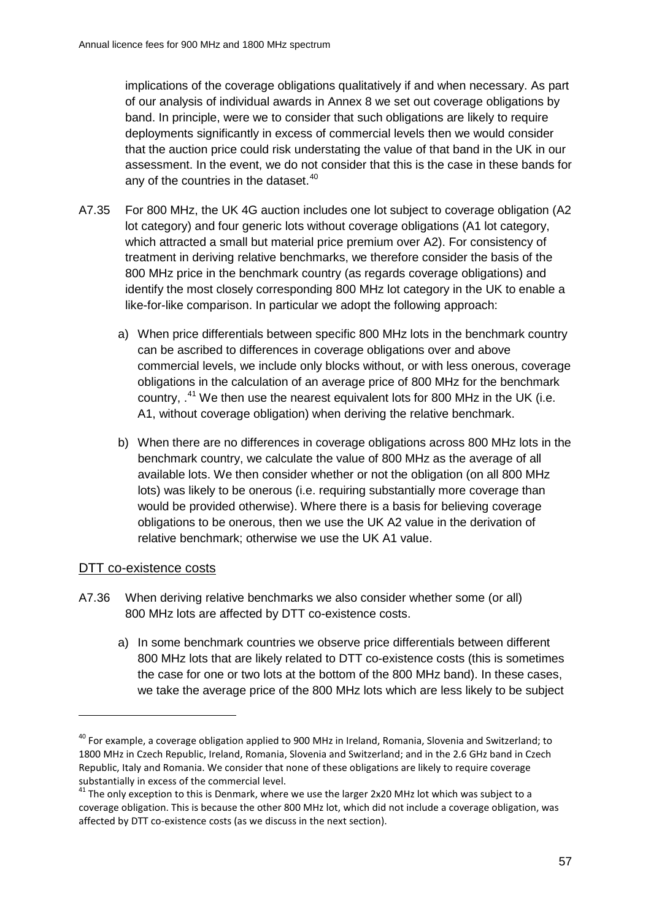implications of the coverage obligations qualitatively if and when necessary. As part of our analysis of individual awards in Annex 8 we set out coverage obligations by band. In principle, were we to consider that such obligations are likely to require deployments significantly in excess of commercial levels then we would consider that the auction price could risk understating the value of that band in the UK in our assessment. In the event, we do not consider that this is the case in these bands for any of the countries in the dataset.<sup>[40](#page-57-0)</sup>

- A7.35 For 800 MHz, the UK 4G auction includes one lot subject to coverage obligation (A2 lot category) and four generic lots without coverage obligations (A1 lot category, which attracted a small but material price premium over A2). For consistency of treatment in deriving relative benchmarks, we therefore consider the basis of the 800 MHz price in the benchmark country (as regards coverage obligations) and identify the most closely corresponding 800 MHz lot category in the UK to enable a like-for-like comparison. In particular we adopt the following approach:
	- a) When price differentials between specific 800 MHz lots in the benchmark country can be ascribed to differences in coverage obligations over and above commercial levels, we include only blocks without, or with less onerous, coverage obligations in the calculation of an average price of 800 MHz for the benchmark country,  $^{41}$  $^{41}$  $^{41}$  We then use the nearest equivalent lots for 800 MHz in the UK (i.e. A1, without coverage obligation) when deriving the relative benchmark.
	- b) When there are no differences in coverage obligations across 800 MHz lots in the benchmark country, we calculate the value of 800 MHz as the average of all available lots. We then consider whether or not the obligation (on all 800 MHz lots) was likely to be onerous (i.e. requiring substantially more coverage than would be provided otherwise). Where there is a basis for believing coverage obligations to be onerous, then we use the UK A2 value in the derivation of relative benchmark; otherwise we use the UK A1 value.

#### DTT co-existence costs

- A7.36 When deriving relative benchmarks we also consider whether some (or all) 800 MHz lots are affected by DTT co-existence costs.
	- a) In some benchmark countries we observe price differentials between different 800 MHz lots that are likely related to DTT co-existence costs (this is sometimes the case for one or two lots at the bottom of the 800 MHz band). In these cases, we take the average price of the 800 MHz lots which are less likely to be subject

<span id="page-57-0"></span><sup>&</sup>lt;sup>40</sup> For example, a coverage obligation applied to 900 MHz in Ireland, Romania, Slovenia and Switzerland; to 1800 MHz in Czech Republic, Ireland, Romania, Slovenia and Switzerland; and in the 2.6 GHz band in Czech Republic, Italy and Romania. We consider that none of these obligations are likely to require coverage substantially in excess of the commercial level.

<span id="page-57-1"></span> $41$  The only exception to this is Denmark, where we use the larger 2x20 MHz lot which was subject to a coverage obligation. This is because the other 800 MHz lot, which did not include a coverage obligation, was affected by DTT co-existence costs (as we discuss in the next section).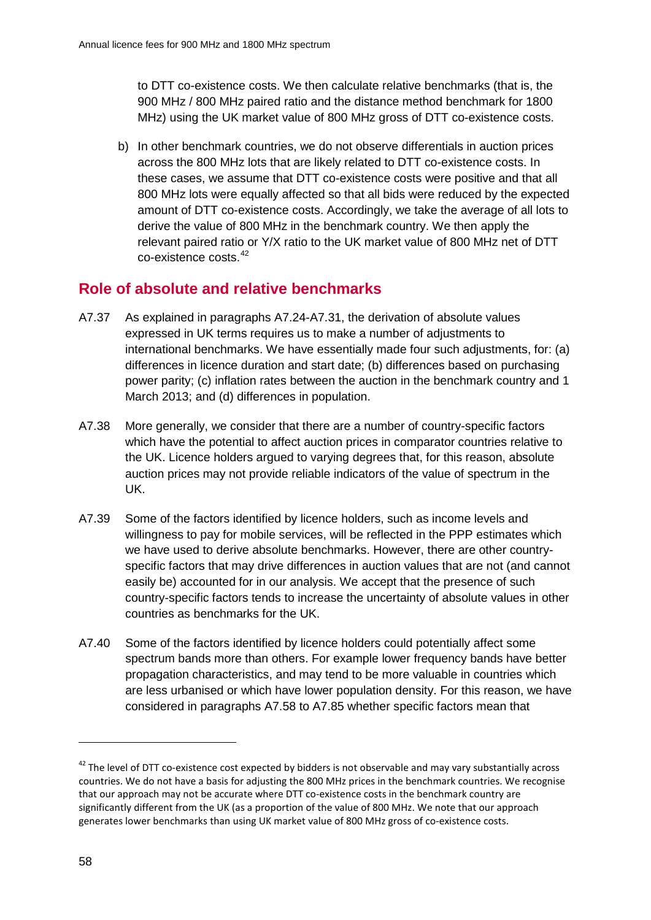to DTT co-existence costs. We then calculate relative benchmarks (that is, the 900 MHz / 800 MHz paired ratio and the distance method benchmark for 1800 MHz) using the UK market value of 800 MHz gross of DTT co-existence costs.

b) In other benchmark countries, we do not observe differentials in auction prices across the 800 MHz lots that are likely related to DTT co-existence costs. In these cases, we assume that DTT co-existence costs were positive and that all 800 MHz lots were equally affected so that all bids were reduced by the expected amount of DTT co-existence costs. Accordingly, we take the average of all lots to derive the value of 800 MHz in the benchmark country. We then apply the relevant paired ratio or Y/X ratio to the UK market value of 800 MHz net of DTT co-existence costs.[42](#page-58-0)

# **Role of absolute and relative benchmarks**

- A7.37 As explained in paragraphs A7.24-A7.31, the derivation of absolute values expressed in UK terms requires us to make a number of adjustments to international benchmarks. We have essentially made four such adjustments, for: (a) differences in licence duration and start date; (b) differences based on purchasing power parity; (c) inflation rates between the auction in the benchmark country and 1 March 2013; and (d) differences in population.
- A7.38 More generally, we consider that there are a number of country-specific factors which have the potential to affect auction prices in comparator countries relative to the UK. Licence holders argued to varying degrees that, for this reason, absolute auction prices may not provide reliable indicators of the value of spectrum in the UK.
- A7.39 Some of the factors identified by licence holders, such as income levels and willingness to pay for mobile services, will be reflected in the PPP estimates which we have used to derive absolute benchmarks. However, there are other countryspecific factors that may drive differences in auction values that are not (and cannot easily be) accounted for in our analysis. We accept that the presence of such country-specific factors tends to increase the uncertainty of absolute values in other countries as benchmarks for the UK.
- A7.40 Some of the factors identified by licence holders could potentially affect some spectrum bands more than others. For example lower frequency bands have better propagation characteristics, and may tend to be more valuable in countries which are less urbanised or which have lower population density. For this reason, we have considered in paragraphs A7.58 to A7.85 whether specific factors mean that

<span id="page-58-0"></span> $42$  The level of DTT co-existence cost expected by bidders is not observable and may vary substantially across countries. We do not have a basis for adjusting the 800 MHz prices in the benchmark countries. We recognise that our approach may not be accurate where DTT co-existence costs in the benchmark country are significantly different from the UK (as a proportion of the value of 800 MHz. We note that our approach generates lower benchmarks than using UK market value of 800 MHz gross of co-existence costs.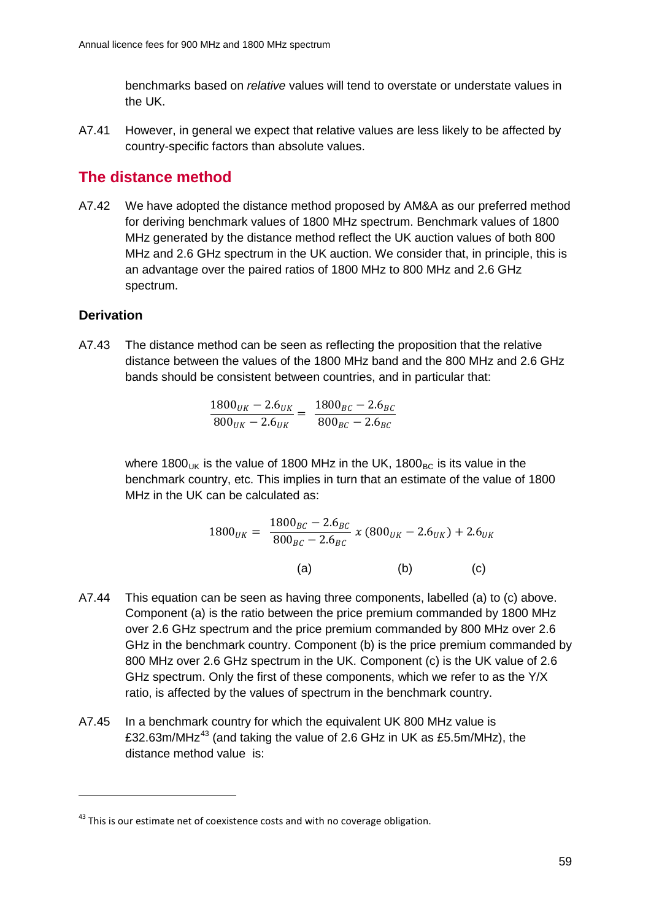benchmarks based on *relative* values will tend to overstate or understate values in the UK.

A7.41 However, in general we expect that relative values are less likely to be affected by country-specific factors than absolute values.

# **The distance method**

A7.42 We have adopted the distance method proposed by AM&A as our preferred method for deriving benchmark values of 1800 MHz spectrum. Benchmark values of 1800 MHz generated by the distance method reflect the UK auction values of both 800 MHz and 2.6 GHz spectrum in the UK auction. We consider that, in principle, this is an advantage over the paired ratios of 1800 MHz to 800 MHz and 2.6 GHz spectrum.

# **Derivation**

-

A7.43 The distance method can be seen as reflecting the proposition that the relative distance between the values of the 1800 MHz band and the 800 MHz and 2.6 GHz bands should be consistent between countries, and in particular that:

$$
\frac{1800_{UK} - 2.6_{UK}}{800_{UK} - 2.6_{UK}} = \frac{1800_{BC} - 2.6_{BC}}{800_{BC} - 2.6_{BC}}
$$

where 1800 $_{UK}$  is the value of 1800 MHz in the UK, 1800 $_{BC}$  is its value in the benchmark country, etc. This implies in turn that an estimate of the value of 1800 MHz in the UK can be calculated as:

$$
1800_{UK} = \frac{1800_{BC} - 2.6_{BC}}{800_{BC} - 2.6_{BC}} \times (800_{UK} - 2.6_{UK}) + 2.6_{UK}
$$
\n(a)\n(b)\n(c)

- A7.44 This equation can be seen as having three components, labelled (a) to (c) above. Component (a) is the ratio between the price premium commanded by 1800 MHz over 2.6 GHz spectrum and the price premium commanded by 800 MHz over 2.6 GHz in the benchmark country. Component (b) is the price premium commanded by 800 MHz over 2.6 GHz spectrum in the UK. Component (c) is the UK value of 2.6 GHz spectrum. Only the first of these components, which we refer to as the Y/X ratio, is affected by the values of spectrum in the benchmark country.
- A7.45 In a benchmark country for which the equivalent UK 800 MHz value is £32.63m/MHz<sup>[43](#page-59-0)</sup> (and taking the value of 2.6 GHz in UK as £5.5m/MHz), the distance method value is:

<span id="page-59-0"></span> $43$  This is our estimate net of coexistence costs and with no coverage obligation.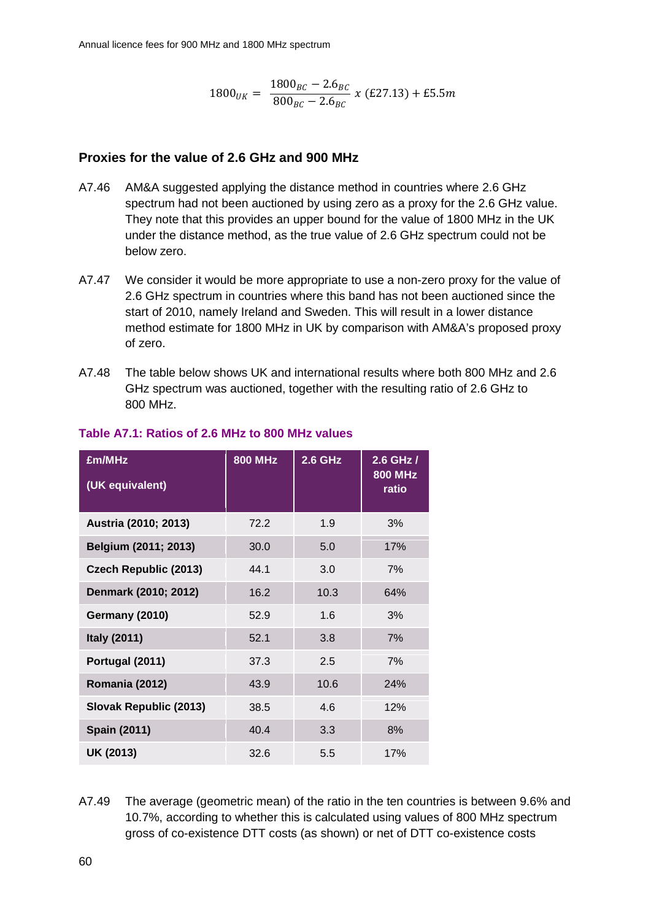$$
1800_{UK} = \frac{1800_{BC} - 2.6_{BC}}{800_{BC} - 2.6_{BC}} \times (E27.13) + E5.5m
$$

# **Proxies for the value of 2.6 GHz and 900 MHz**

- A7.46 AM&A suggested applying the distance method in countries where 2.6 GHz spectrum had not been auctioned by using zero as a proxy for the 2.6 GHz value. They note that this provides an upper bound for the value of 1800 MHz in the UK under the distance method, as the true value of 2.6 GHz spectrum could not be below zero.
- A7.47 We consider it would be more appropriate to use a non-zero proxy for the value of 2.6 GHz spectrum in countries where this band has not been auctioned since the start of 2010, namely Ireland and Sweden. This will result in a lower distance method estimate for 1800 MHz in UK by comparison with AM&A's proposed proxy of zero.
- A7.48 The table below shows UK and international results where both 800 MHz and 2.6 GHz spectrum was auctioned, together with the resulting ratio of 2.6 GHz to 800 MHz.

| £m/MHz<br>(UK equivalent)    | <b>800 MHz</b> | $2.6$ GHz | 2.6 GHz /<br><b>800 MHz</b><br>ratio |
|------------------------------|----------------|-----------|--------------------------------------|
| Austria (2010; 2013)         | 72.2           | 1.9       | 3%                                   |
| Belgium (2011; 2013)         | 30.0           | 5.0       | 17%                                  |
| <b>Czech Republic (2013)</b> | 44.1           | 3.0       | 7%                                   |
| Denmark (2010; 2012)         | 16.2           | 10.3      | 64%                                  |
| <b>Germany (2010)</b>        | 52.9           | 1.6       | 3%                                   |
| <b>Italy (2011)</b>          | 52.1           | 3.8       | 7%                                   |
| Portugal (2011)              | 37.3           | 2.5       | 7%                                   |
| Romania (2012)               | 43.9           | 10.6      | 24%                                  |
| Slovak Republic (2013)       | 38.5           | 4.6       | 12%                                  |
| <b>Spain (2011)</b>          | 40.4           | 3.3       | 8%                                   |
| UK (2013)                    | 32.6           | 5.5       | 17%                                  |

## **Table A7.1: Ratios of 2.6 MHz to 800 MHz values**

A7.49 The average (geometric mean) of the ratio in the ten countries is between 9.6% and 10.7%, according to whether this is calculated using values of 800 MHz spectrum gross of co-existence DTT costs (as shown) or net of DTT co-existence costs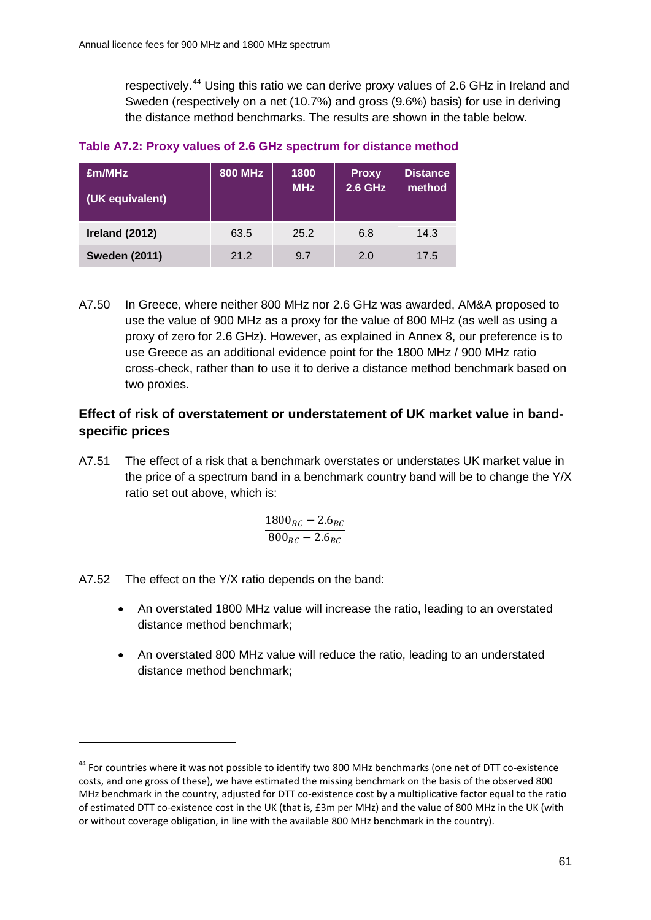respectively.<sup>[44](#page-61-0)</sup> Using this ratio we can derive proxy values of 2.6 GHz in Ireland and Sweden (respectively on a net (10.7%) and gross (9.6%) basis) for use in deriving the distance method benchmarks. The results are shown in the table below.

# **Table A7.2: Proxy values of 2.6 GHz spectrum for distance method**

| £m/MHz<br>(UK equivalent) | <b>800 MHz</b> | 1800<br><b>MHz</b> | <b>Proxy</b><br><b>2.6 GHz</b> | <b>Distance</b><br>method |
|---------------------------|----------------|--------------------|--------------------------------|---------------------------|
| Ireland (2012)            | 63.5           | 25.2               | 6.8                            | 14.3                      |
| <b>Sweden (2011)</b>      | 21.2           | 9.7                | 2.0                            | 17.5                      |

A7.50 In Greece, where neither 800 MHz nor 2.6 GHz was awarded, AM&A proposed to use the value of 900 MHz as a proxy for the value of 800 MHz (as well as using a proxy of zero for 2.6 GHz). However, as explained in Annex 8, our preference is to use Greece as an additional evidence point for the 1800 MHz / 900 MHz ratio cross-check, rather than to use it to derive a distance method benchmark based on two proxies.

# **Effect of risk of overstatement or understatement of UK market value in bandspecific prices**

A7.51 The effect of a risk that a benchmark overstates or understates UK market value in the price of a spectrum band in a benchmark country band will be to change the Y/X ratio set out above, which is:

$$
\frac{1800_{BC} - 2.6_{BC}}{800_{BC} - 2.6_{BC}}
$$

A7.52 The effect on the Y/X ratio depends on the band:

- An overstated 1800 MHz value will increase the ratio, leading to an overstated distance method benchmark;
- An overstated 800 MHz value will reduce the ratio, leading to an understated distance method benchmark;

<span id="page-61-0"></span><sup>&</sup>lt;sup>44</sup> For countries where it was not possible to identify two 800 MHz benchmarks (one net of DTT co-existence costs, and one gross of these), we have estimated the missing benchmark on the basis of the observed 800 MHz benchmark in the country, adjusted for DTT co-existence cost by a multiplicative factor equal to the ratio of estimated DTT co-existence cost in the UK (that is, £3m per MHz) and the value of 800 MHz in the UK (with or without coverage obligation, in line with the available 800 MHz benchmark in the country).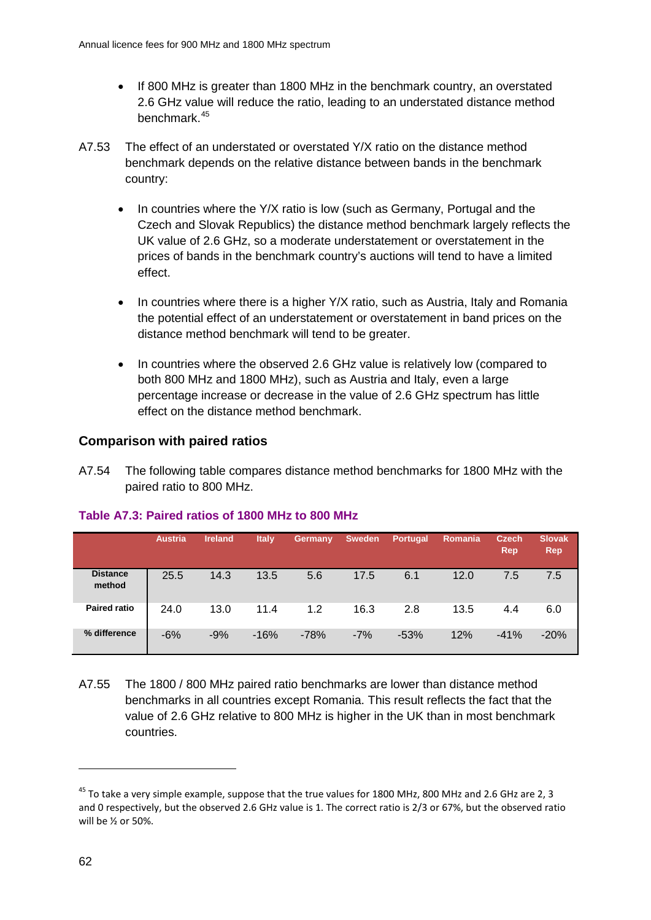- If 800 MHz is greater than 1800 MHz in the benchmark country, an overstated 2.6 GHz value will reduce the ratio, leading to an understated distance method benchmark.[45](#page-62-0)
- A7.53 The effect of an understated or overstated Y/X ratio on the distance method benchmark depends on the relative distance between bands in the benchmark country:
	- In countries where the Y/X ratio is low (such as Germany, Portugal and the Czech and Slovak Republics) the distance method benchmark largely reflects the UK value of 2.6 GHz, so a moderate understatement or overstatement in the prices of bands in the benchmark country's auctions will tend to have a limited effect.
	- In countries where there is a higher Y/X ratio, such as Austria, Italy and Romania the potential effect of an understatement or overstatement in band prices on the distance method benchmark will tend to be greater.
	- In countries where the observed 2.6 GHz value is relatively low (compared to both 800 MHz and 1800 MHz), such as Austria and Italy, even a large percentage increase or decrease in the value of 2.6 GHz spectrum has little effect on the distance method benchmark.

## **Comparison with paired ratios**

A7.54 The following table compares distance method benchmarks for 1800 MHz with the paired ratio to 800 MHz.

|                           | <b>Austria</b> | <b>Ireland</b> | <b>Italy</b> | Germany | <b>Sweden</b> | <b>Portugal</b> | <b>Romania</b> | <b>Czech</b><br><b>Rep</b> | <b>Slovak</b><br>Rep |
|---------------------------|----------------|----------------|--------------|---------|---------------|-----------------|----------------|----------------------------|----------------------|
| <b>Distance</b><br>method | 25.5           | 14.3           | 13.5         | 5.6     | 17.5          | 6.1             | 12.0           | 7.5                        | 7.5                  |
| <b>Paired ratio</b>       | 24.0           | 13.0           | 11.4         | 1.2     | 16.3          | 2.8             | 13.5           | 4.4                        | 6.0                  |
| % difference              | $-6%$          | $-9%$          | $-16%$       | $-78%$  | $-7%$         | $-53%$          | 12%            | $-41%$                     | $-20%$               |

#### **Table A7.3: Paired ratios of 1800 MHz to 800 MHz**

A7.55 The 1800 / 800 MHz paired ratio benchmarks are lower than distance method benchmarks in all countries except Romania. This result reflects the fact that the value of 2.6 GHz relative to 800 MHz is higher in the UK than in most benchmark countries.

<span id="page-62-0"></span> $45$  To take a very simple example, suppose that the true values for 1800 MHz, 800 MHz and 2.6 GHz are 2, 3 and 0 respectively, but the observed 2.6 GHz value is 1. The correct ratio is 2/3 or 67%, but the observed ratio will be ½ or 50%.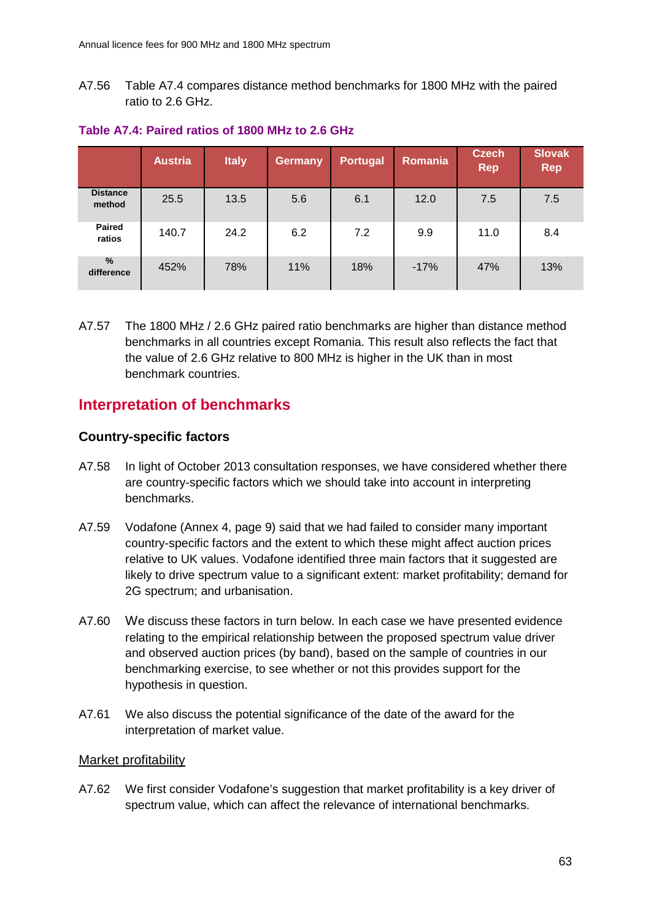A7.56 Table A7.4 compares distance method benchmarks for 1800 MHz with the paired ratio to 2.6 GHz.

|                             | <b>Austria</b> | <b>Italy</b> | <b>Germany</b> | <b>Portugal</b> | Romania | <b>Czech</b><br><b>Rep</b> | <b>Slovak</b><br><b>Rep</b> |
|-----------------------------|----------------|--------------|----------------|-----------------|---------|----------------------------|-----------------------------|
| <b>Distance</b><br>method   | 25.5           | 13.5         | 5.6            | 6.1             | 12.0    | 7.5                        | 7.5                         |
| <b>Paired</b><br>ratios     | 140.7          | 24.2         | 6.2            | 7.2             | 9.9     | 11.0                       | 8.4                         |
| $\frac{9}{6}$<br>difference | 452%           | 78%          | 11%            | 18%             | $-17%$  | 47%                        | 13%                         |

#### **Table A7.4: Paired ratios of 1800 MHz to 2.6 GHz**

A7.57 The 1800 MHz / 2.6 GHz paired ratio benchmarks are higher than distance method benchmarks in all countries except Romania. This result also reflects the fact that the value of 2.6 GHz relative to 800 MHz is higher in the UK than in most benchmark countries.

# **Interpretation of benchmarks**

## **Country-specific factors**

- A7.58 In light of October 2013 consultation responses, we have considered whether there are country-specific factors which we should take into account in interpreting benchmarks.
- A7.59 Vodafone (Annex 4, page 9) said that we had failed to consider many important country-specific factors and the extent to which these might affect auction prices relative to UK values. Vodafone identified three main factors that it suggested are likely to drive spectrum value to a significant extent: market profitability; demand for 2G spectrum; and urbanisation.
- A7.60 We discuss these factors in turn below. In each case we have presented evidence relating to the empirical relationship between the proposed spectrum value driver and observed auction prices (by band), based on the sample of countries in our benchmarking exercise, to see whether or not this provides support for the hypothesis in question.
- A7.61 We also discuss the potential significance of the date of the award for the interpretation of market value.

#### Market profitability

A7.62 We first consider Vodafone's suggestion that market profitability is a key driver of spectrum value, which can affect the relevance of international benchmarks.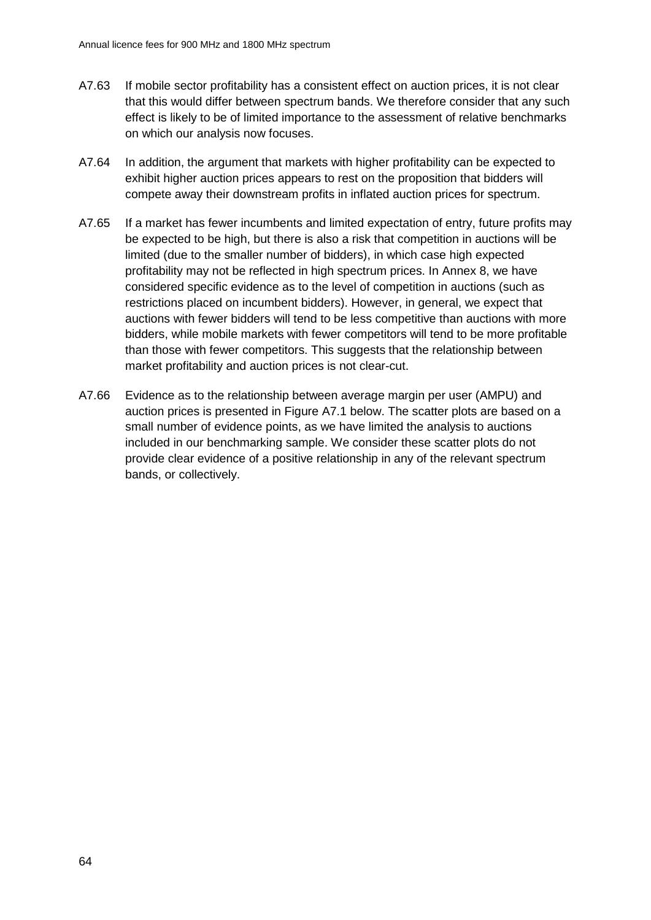- A7.63 If mobile sector profitability has a consistent effect on auction prices, it is not clear that this would differ between spectrum bands. We therefore consider that any such effect is likely to be of limited importance to the assessment of relative benchmarks on which our analysis now focuses.
- A7.64 In addition, the argument that markets with higher profitability can be expected to exhibit higher auction prices appears to rest on the proposition that bidders will compete away their downstream profits in inflated auction prices for spectrum.
- A7.65 If a market has fewer incumbents and limited expectation of entry, future profits may be expected to be high, but there is also a risk that competition in auctions will be limited (due to the smaller number of bidders), in which case high expected profitability may not be reflected in high spectrum prices. In Annex 8, we have considered specific evidence as to the level of competition in auctions (such as restrictions placed on incumbent bidders). However, in general, we expect that auctions with fewer bidders will tend to be less competitive than auctions with more bidders, while mobile markets with fewer competitors will tend to be more profitable than those with fewer competitors. This suggests that the relationship between market profitability and auction prices is not clear-cut.
- A7.66 Evidence as to the relationship between average margin per user (AMPU) and auction prices is presented in Figure A7.1 below. The scatter plots are based on a small number of evidence points, as we have limited the analysis to auctions included in our benchmarking sample. We consider these scatter plots do not provide clear evidence of a positive relationship in any of the relevant spectrum bands, or collectively.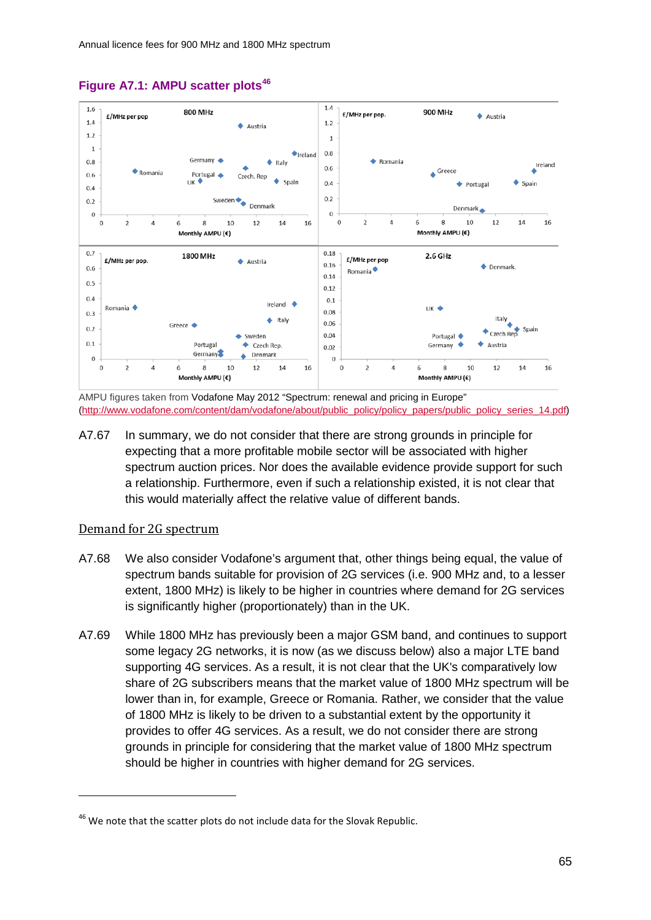

#### **Figure A7.1: AMPU scatter plots[46](#page-65-0)**

AMPU figures taken from Vodafone May 2012 "Spectrum: renewal and pricing in Europe" [\(http://www.vodafone.com/content/dam/vodafone/about/public\\_policy/policy\\_papers/public\\_policy\\_series\\_14.pdf\)](http://www.vodafone.com/content/dam/vodafone/about/public_policy/policy_papers/public_policy_series_14.pdf)

A7.67 In summary, we do not consider that there are strong grounds in principle for expecting that a more profitable mobile sector will be associated with higher spectrum auction prices. Nor does the available evidence provide support for such a relationship. Furthermore, even if such a relationship existed, it is not clear that this would materially affect the relative value of different bands.

#### Demand for 2G spectrum

- A7.68 We also consider Vodafone's argument that, other things being equal, the value of spectrum bands suitable for provision of 2G services (i.e. 900 MHz and, to a lesser extent, 1800 MHz) is likely to be higher in countries where demand for 2G services is significantly higher (proportionately) than in the UK.
- A7.69 While 1800 MHz has previously been a major GSM band, and continues to support some legacy 2G networks, it is now (as we discuss below) also a major LTE band supporting 4G services. As a result, it is not clear that the UK's comparatively low share of 2G subscribers means that the market value of 1800 MHz spectrum will be lower than in, for example, Greece or Romania. Rather, we consider that the value of 1800 MHz is likely to be driven to a substantial extent by the opportunity it provides to offer 4G services. As a result, we do not consider there are strong grounds in principle for considering that the market value of 1800 MHz spectrum should be higher in countries with higher demand for 2G services.

<span id="page-65-0"></span><sup>&</sup>lt;sup>46</sup> We note that the scatter plots do not include data for the Slovak Republic.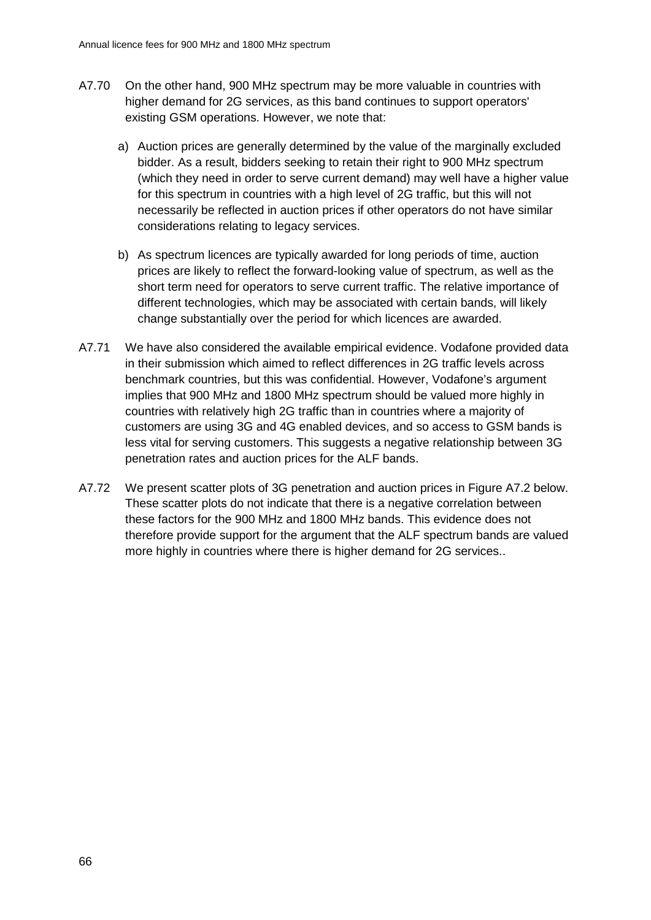- A7.70 On the other hand, 900 MHz spectrum may be more valuable in countries with higher demand for 2G services, as this band continues to support operators' existing GSM operations. However, we note that:
	- a) Auction prices are generally determined by the value of the marginally excluded bidder. As a result, bidders seeking to retain their right to 900 MHz spectrum (which they need in order to serve current demand) may well have a higher value for this spectrum in countries with a high level of 2G traffic, but this will not necessarily be reflected in auction prices if other operators do not have similar considerations relating to legacy services.
	- b) As spectrum licences are typically awarded for long periods of time, auction prices are likely to reflect the forward-looking value of spectrum, as well as the short term need for operators to serve current traffic. The relative importance of different technologies, which may be associated with certain bands, will likely change substantially over the period for which licences are awarded.
- A7.71 We have also considered the available empirical evidence. Vodafone provided data in their submission which aimed to reflect differences in 2G traffic levels across benchmark countries, but this was confidential. However, Vodafone's argument implies that 900 MHz and 1800 MHz spectrum should be valued more highly in countries with relatively high 2G traffic than in countries where a majority of customers are using 3G and 4G enabled devices, and so access to GSM bands is less vital for serving customers. This suggests a negative relationship between 3G penetration rates and auction prices for the ALF bands.
- A7.72 We present scatter plots of 3G penetration and auction prices in Figure A7.2 below. These scatter plots do not indicate that there is a negative correlation between these factors for the 900 MHz and 1800 MHz bands. This evidence does not therefore provide support for the argument that the ALF spectrum bands are valued more highly in countries where there is higher demand for 2G services..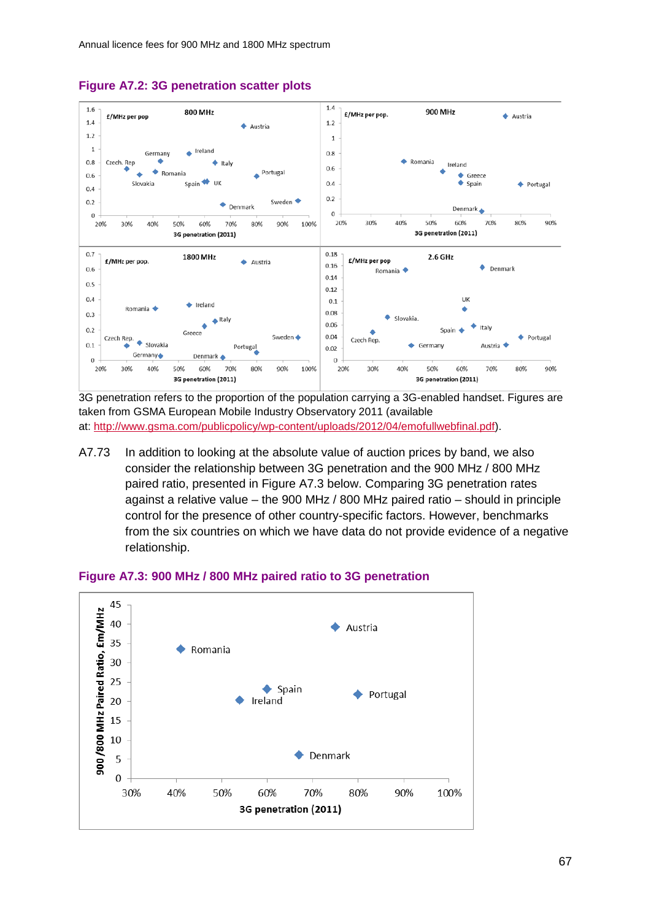

## **Figure A7.2: 3G penetration scatter plots**

3G penetration refers to the proportion of the population carrying a 3G-enabled handset. Figures are taken from GSMA European Mobile Industry Observatory 2011 (available at: [http://www.gsma.com/publicpolicy/wp-content/uploads/2012/04/emofullwebfinal.pdf\)](http://www.gsma.com/publicpolicy/wp-content/uploads/2012/04/emofullwebfinal.pdf).

A7.73 In addition to looking at the absolute value of auction prices by band, we also consider the relationship between 3G penetration and the 900 MHz / 800 MHz paired ratio, presented in Figure A7.3 below. Comparing 3G penetration rates against a relative value – the 900 MHz / 800 MHz paired ratio – should in principle control for the presence of other country-specific factors. However, benchmarks from the six countries on which we have data do not provide evidence of a negative relationship.



#### **Figure A7.3: 900 MHz / 800 MHz paired ratio to 3G penetration**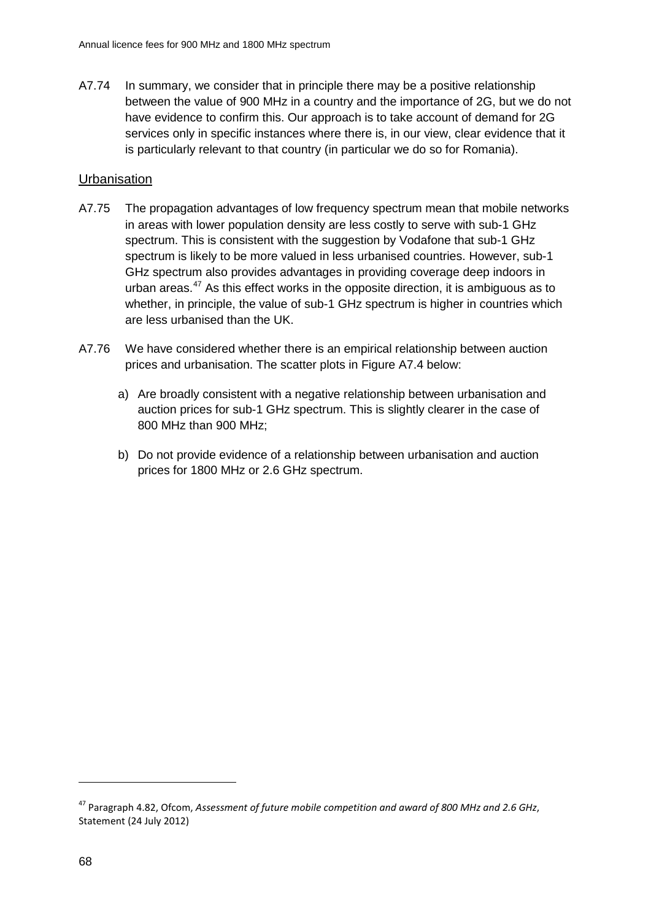A7.74 In summary, we consider that in principle there may be a positive relationship between the value of 900 MHz in a country and the importance of 2G, but we do not have evidence to confirm this. Our approach is to take account of demand for 2G services only in specific instances where there is, in our view, clear evidence that it is particularly relevant to that country (in particular we do so for Romania).

# **Urbanisation**

- A7.75 The propagation advantages of low frequency spectrum mean that mobile networks in areas with lower population density are less costly to serve with sub-1 GHz spectrum. This is consistent with the suggestion by Vodafone that sub-1 GHz spectrum is likely to be more valued in less urbanised countries. However, sub-1 GHz spectrum also provides advantages in providing coverage deep indoors in urban areas. $47$  As this effect works in the opposite direction, it is ambiguous as to whether, in principle, the value of sub-1 GHz spectrum is higher in countries which are less urbanised than the UK.
- A7.76 We have considered whether there is an empirical relationship between auction prices and urbanisation. The scatter plots in Figure A7.4 below:
	- a) Are broadly consistent with a negative relationship between urbanisation and auction prices for sub-1 GHz spectrum. This is slightly clearer in the case of 800 MHz than 900 MHz;
	- b) Do not provide evidence of a relationship between urbanisation and auction prices for 1800 MHz or 2.6 GHz spectrum.

<span id="page-68-0"></span><sup>47</sup> Paragraph 4.82, Ofcom, *Assessment of future mobile competition and award of 800 MHz and 2.6 GHz*, Statement (24 July 2012)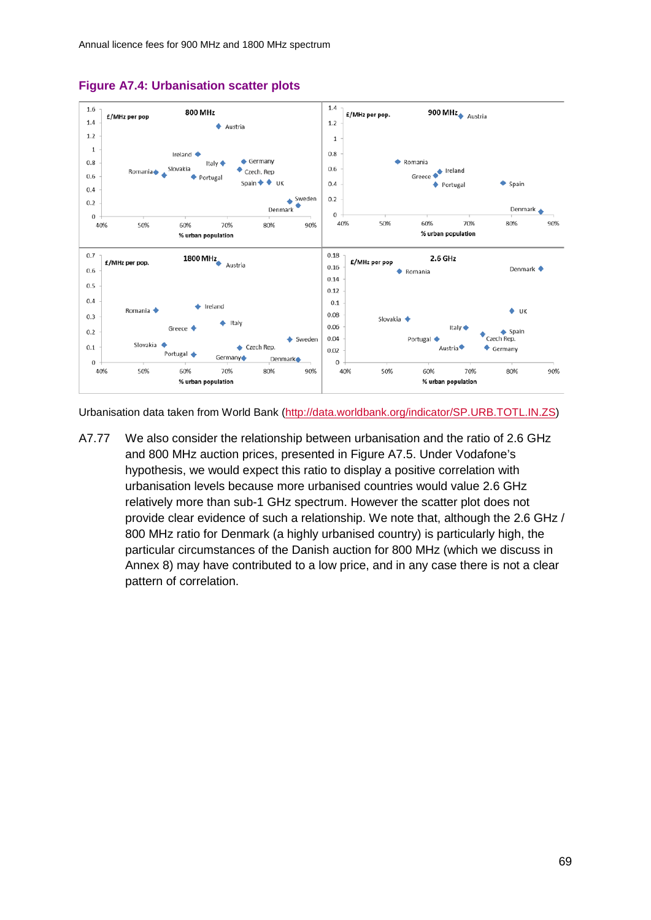

#### **Figure A7.4: Urbanisation scatter plots**

Urbanisation data taken from World Bank [\(http://data.worldbank.org/indicator/SP.URB.TOTL.IN.ZS\)](http://data.worldbank.org/indicator/SP.URB.TOTL.IN.ZS)

A7.77 We also consider the relationship between urbanisation and the ratio of 2.6 GHz and 800 MHz auction prices, presented in Figure A7.5. Under Vodafone's hypothesis, we would expect this ratio to display a positive correlation with urbanisation levels because more urbanised countries would value 2.6 GHz relatively more than sub-1 GHz spectrum. However the scatter plot does not provide clear evidence of such a relationship. We note that, although the 2.6 GHz / 800 MHz ratio for Denmark (a highly urbanised country) is particularly high, the particular circumstances of the Danish auction for 800 MHz (which we discuss in Annex 8) may have contributed to a low price, and in any case there is not a clear pattern of correlation.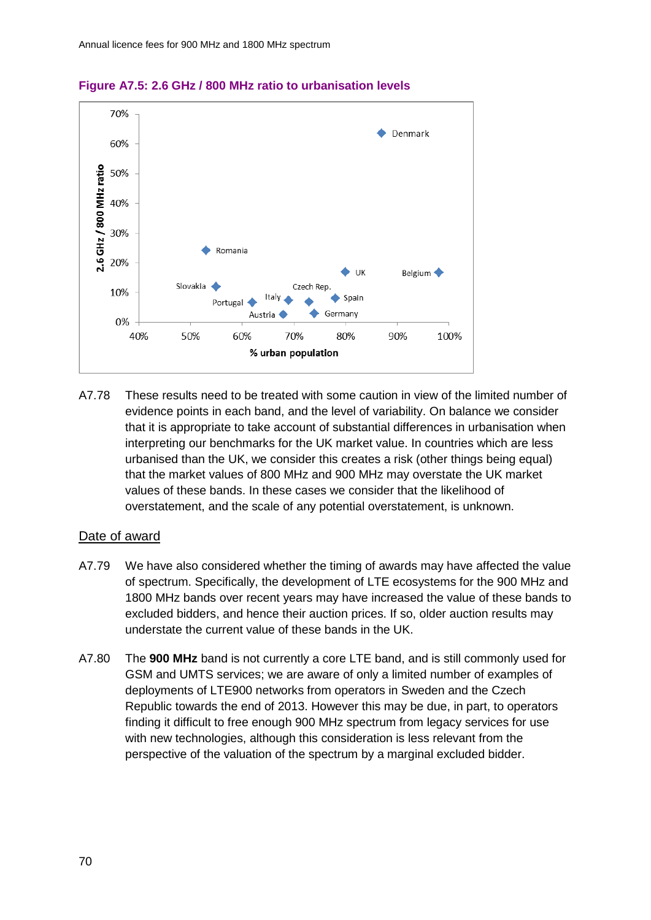

### **Figure A7.5: 2.6 GHz / 800 MHz ratio to urbanisation levels**

A7.78 These results need to be treated with some caution in view of the limited number of evidence points in each band, and the level of variability. On balance we consider that it is appropriate to take account of substantial differences in urbanisation when interpreting our benchmarks for the UK market value. In countries which are less urbanised than the UK, we consider this creates a risk (other things being equal) that the market values of 800 MHz and 900 MHz may overstate the UK market values of these bands. In these cases we consider that the likelihood of overstatement, and the scale of any potential overstatement, is unknown.

#### Date of award

- A7.79 We have also considered whether the timing of awards may have affected the value of spectrum. Specifically, the development of LTE ecosystems for the 900 MHz and 1800 MHz bands over recent years may have increased the value of these bands to excluded bidders, and hence their auction prices. If so, older auction results may understate the current value of these bands in the UK.
- A7.80 The **900 MHz** band is not currently a core LTE band, and is still commonly used for GSM and UMTS services; we are aware of only a limited number of examples of deployments of LTE900 networks from operators in Sweden and the Czech Republic towards the end of 2013. However this may be due, in part, to operators finding it difficult to free enough 900 MHz spectrum from legacy services for use with new technologies, although this consideration is less relevant from the perspective of the valuation of the spectrum by a marginal excluded bidder.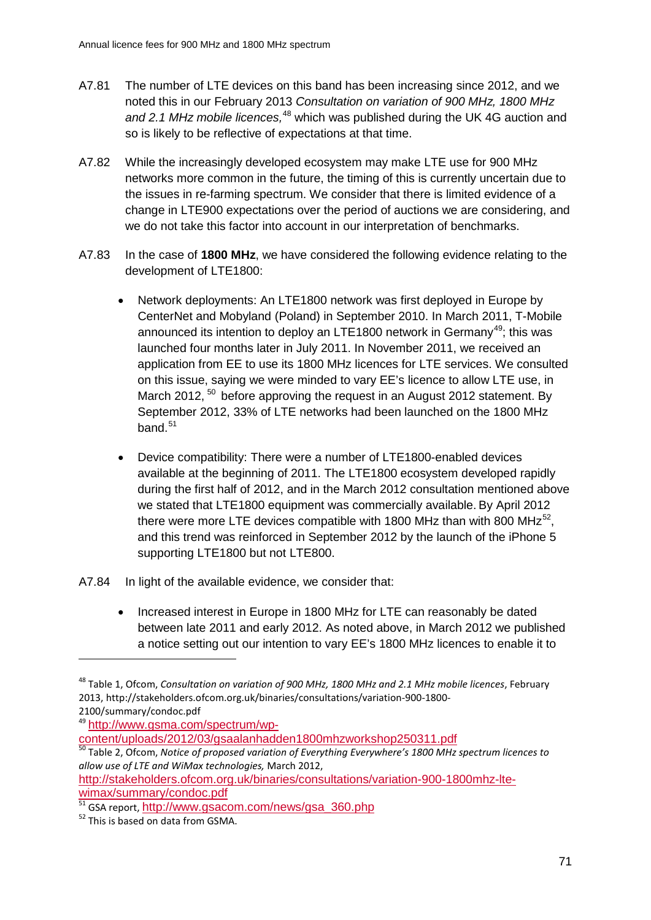- A7.81 The number of LTE devices on this band has been increasing since 2012, and we noted this in our February 2013 *Consultation on variation of 900 MHz, 1800 MHz*  and 2.1 MHz mobile licences,<sup>[48](#page-71-0)</sup> which was published during the UK 4G auction and so is likely to be reflective of expectations at that time.
- A7.82 While the increasingly developed ecosystem may make LTE use for 900 MHz networks more common in the future, the timing of this is currently uncertain due to the issues in re-farming spectrum. We consider that there is limited evidence of a change in LTE900 expectations over the period of auctions we are considering, and we do not take this factor into account in our interpretation of benchmarks.
- A7.83 In the case of **1800 MHz**, we have considered the following evidence relating to the development of LTE1800:
	- Network deployments: An LTE1800 network was first deployed in Europe by CenterNet and Mobyland (Poland) in September 2010. In March 2011, T-Mobile announced its intention to deploy an LTE1800 network in Germany<sup>49</sup>; this was launched four months later in July 2011. In November 2011, we received an application from EE to use its 1800 MHz licences for LTE services. We consulted on this issue, saying we were minded to vary EE's licence to allow LTE use, in March 2012, <sup>[50](#page-71-2)</sup> before approving the request in an August 2012 statement. By September 2012, 33% of LTE networks had been launched on the 1800 MHz band. $51$
	- Device compatibility: There were a number of LTE1800-enabled devices available at the beginning of 2011. The LTE1800 ecosystem developed rapidly during the first half of 2012, and in the March 2012 consultation mentioned above we stated that LTE1800 equipment was commercially available. By April 2012 there were more LTE devices compatible with 1800 MHz than with 800 MHz<sup>[52](#page-71-4)</sup>. and this trend was reinforced in September 2012 by the launch of the iPhone 5 supporting LTE1800 but not LTE800.
- A7.84 In light of the available evidence, we consider that:
	- Increased interest in Europe in 1800 MHz for LTE can reasonably be dated between late 2011 and early 2012. As noted above, in March 2012 we published a notice setting out our intention to vary EE's 1800 MHz licences to enable it to

<span id="page-71-1"></span><sup>49</sup> http://www.gsma.com/spectrum/wp-<br>content/uploads/2012/03/gsaalanhadden1800mhzworkshop250311.pdf

[http://stakeholders.ofcom.org.uk/binaries/consultations/variation-900-1800mhz-lte-](http://stakeholders.ofcom.org.uk/binaries/consultations/variation-900-1800mhz-lte-wimax/summary/condoc.pdf)

<span id="page-71-0"></span><sup>48</sup> Table 1, Ofcom, *Consultation on variation of 900 MHz, 1800 MHz and 2.1 MHz mobile licences*, February 2013, http://stakeholders.ofcom.org.uk/binaries/consultations/variation-900-1800- 2100/summary/condoc.pdf

<span id="page-71-2"></span>[content/uploads/2012/03/gsaalanhadden1800mhzworkshop250311.pdf](http://www.gsma.com/spectrum/wp-content/uploads/2012/03/gsaalanhadden1800mhzworkshop250311.pdf) <sup>50</sup> Table 2, Ofcom, *Notice of proposed variation of Everything Everywhere's 1800 MHz spectrum licences to allow use of LTE and WiMax technologies,* March 2012,

<span id="page-71-3"></span>[wimax/summary/condoc.pdf](http://stakeholders.ofcom.org.uk/binaries/consultations/variation-900-1800mhz-lte-wimax/summary/condoc.pdf)<br><sup>51</sup> GSA report, [http://www.gsacom.com/news/gsa\\_360.php](http://www.gsacom.com/news/gsa_360.php)<br><sup>52</sup> This is based on data from GSMA.

<span id="page-71-4"></span>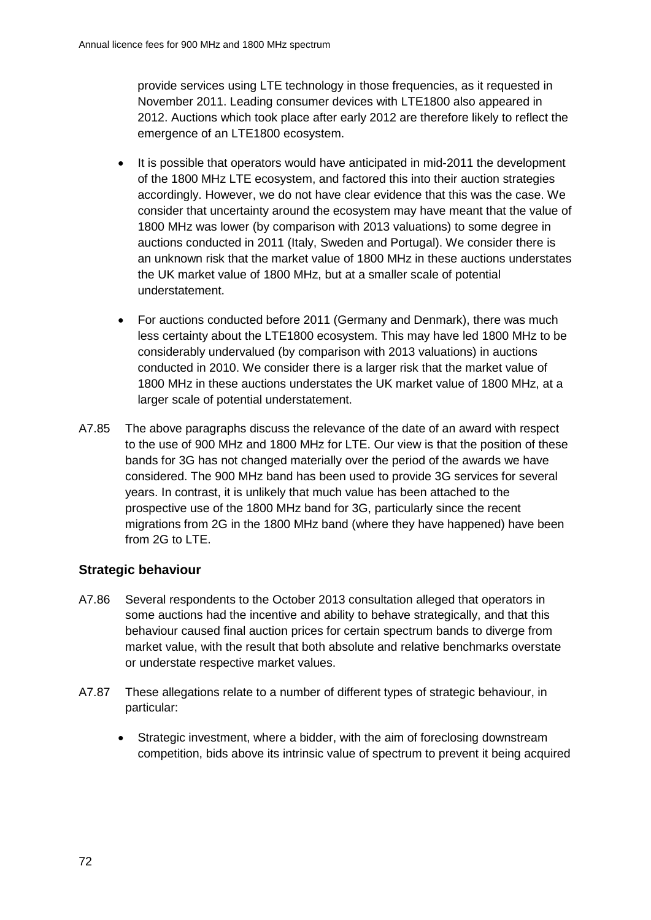provide services using LTE technology in those frequencies, as it requested in November 2011. Leading consumer devices with LTE1800 also appeared in 2012. Auctions which took place after early 2012 are therefore likely to reflect the emergence of an LTE1800 ecosystem.

- It is possible that operators would have anticipated in mid-2011 the development of the 1800 MHz LTE ecosystem, and factored this into their auction strategies accordingly. However, we do not have clear evidence that this was the case. We consider that uncertainty around the ecosystem may have meant that the value of 1800 MHz was lower (by comparison with 2013 valuations) to some degree in auctions conducted in 2011 (Italy, Sweden and Portugal). We consider there is an unknown risk that the market value of 1800 MHz in these auctions understates the UK market value of 1800 MHz, but at a smaller scale of potential understatement.
- For auctions conducted before 2011 (Germany and Denmark), there was much less certainty about the LTE1800 ecosystem. This may have led 1800 MHz to be considerably undervalued (by comparison with 2013 valuations) in auctions conducted in 2010. We consider there is a larger risk that the market value of 1800 MHz in these auctions understates the UK market value of 1800 MHz, at a larger scale of potential understatement.
- A7.85 The above paragraphs discuss the relevance of the date of an award with respect to the use of 900 MHz and 1800 MHz for LTE. Our view is that the position of these bands for 3G has not changed materially over the period of the awards we have considered. The 900 MHz band has been used to provide 3G services for several years. In contrast, it is unlikely that much value has been attached to the prospective use of the 1800 MHz band for 3G, particularly since the recent migrations from 2G in the 1800 MHz band (where they have happened) have been from 2G to LTE.

## **Strategic behaviour**

- A7.86 Several respondents to the October 2013 consultation alleged that operators in some auctions had the incentive and ability to behave strategically, and that this behaviour caused final auction prices for certain spectrum bands to diverge from market value, with the result that both absolute and relative benchmarks overstate or understate respective market values.
- A7.87 These allegations relate to a number of different types of strategic behaviour, in particular:
	- Strategic investment, where a bidder, with the aim of foreclosing downstream competition, bids above its intrinsic value of spectrum to prevent it being acquired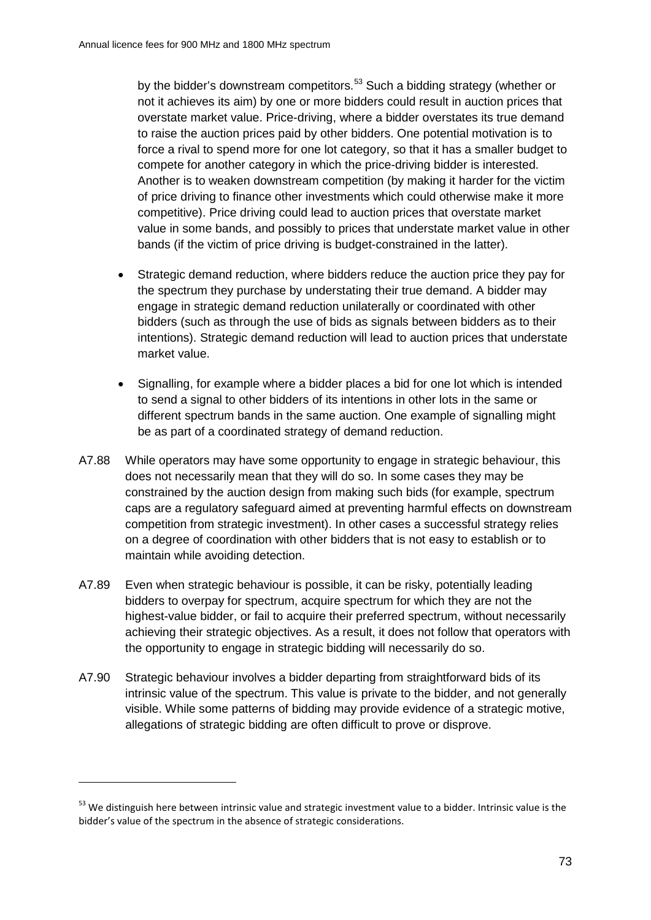by the bidder's downstream competitors.<sup>[53](#page-73-0)</sup> Such a bidding strategy (whether or not it achieves its aim) by one or more bidders could result in auction prices that overstate market value. Price-driving, where a bidder overstates its true demand to raise the auction prices paid by other bidders. One potential motivation is to force a rival to spend more for one lot category, so that it has a smaller budget to compete for another category in which the price-driving bidder is interested. Another is to weaken downstream competition (by making it harder for the victim of price driving to finance other investments which could otherwise make it more competitive). Price driving could lead to auction prices that overstate market value in some bands, and possibly to prices that understate market value in other bands (if the victim of price driving is budget-constrained in the latter).

- Strategic demand reduction, where bidders reduce the auction price they pay for the spectrum they purchase by understating their true demand. A bidder may engage in strategic demand reduction unilaterally or coordinated with other bidders (such as through the use of bids as signals between bidders as to their intentions). Strategic demand reduction will lead to auction prices that understate market value.
- Signalling, for example where a bidder places a bid for one lot which is intended to send a signal to other bidders of its intentions in other lots in the same or different spectrum bands in the same auction. One example of signalling might be as part of a coordinated strategy of demand reduction.
- A7.88 While operators may have some opportunity to engage in strategic behaviour, this does not necessarily mean that they will do so. In some cases they may be constrained by the auction design from making such bids (for example, spectrum caps are a regulatory safeguard aimed at preventing harmful effects on downstream competition from strategic investment). In other cases a successful strategy relies on a degree of coordination with other bidders that is not easy to establish or to maintain while avoiding detection.
- A7.89 Even when strategic behaviour is possible, it can be risky, potentially leading bidders to overpay for spectrum, acquire spectrum for which they are not the highest-value bidder, or fail to acquire their preferred spectrum, without necessarily achieving their strategic objectives. As a result, it does not follow that operators with the opportunity to engage in strategic bidding will necessarily do so.
- A7.90 Strategic behaviour involves a bidder departing from straightforward bids of its intrinsic value of the spectrum. This value is private to the bidder, and not generally visible. While some patterns of bidding may provide evidence of a strategic motive, allegations of strategic bidding are often difficult to prove or disprove.

-

<span id="page-73-0"></span><sup>&</sup>lt;sup>53</sup> We distinguish here between intrinsic value and strategic investment value to a bidder. Intrinsic value is the bidder's value of the spectrum in the absence of strategic considerations.